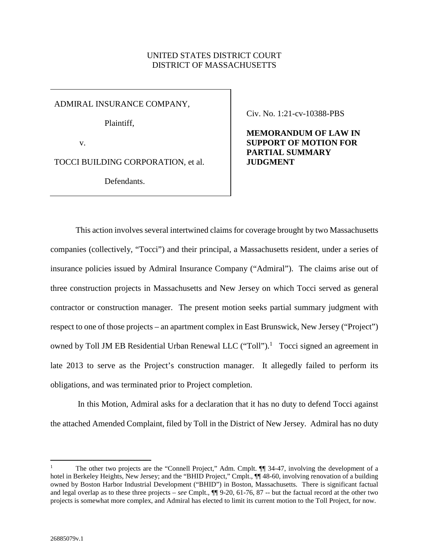### UNITED STATES DISTRICT COURT DISTRICT OF MASSACHUSETTS

ADMIRAL INSURANCE COMPANY,

Plaintiff,

v.

TOCCI BUILDING CORPORATION, et al.

Defendants.

Civ. No. 1:21-cv-10388-PBS

**MEMORANDUM OF LAW IN SUPPORT OF MOTION FOR PARTIAL SUMMARY JUDGMENT** 

This action involves several intertwined claims for coverage brought by two Massachusetts companies (collectively, "Tocci") and their principal, a Massachusetts resident, under a series of insurance policies issued by Admiral Insurance Company ("Admiral"). The claims arise out of three construction projects in Massachusetts and New Jersey on which Tocci served as general contractor or construction manager. The present motion seeks partial summary judgment with respect to one of those projects – an apartment complex in East Brunswick, New Jersey ("Project") owned by Toll JM EB Residential Urban Renewal LLC ("Toll").<sup>1</sup> Tocci signed an agreement in late 2013 to serve as the Project's construction manager. It allegedly failed to perform its obligations, and was terminated prior to Project completion.

 In this Motion, Admiral asks for a declaration that it has no duty to defend Tocci against the attached Amended Complaint, filed by Toll in the District of New Jersey. Admiral has no duty

<sup>1</sup> The other two projects are the "Connell Project," Adm. Cmplt. ¶¶ 34-47, involving the development of a hotel in Berkeley Heights, New Jersey; and the "BHID Project," Cmplt.,  $\P$  48-60, involving renovation of a building owned by Boston Harbor Industrial Development ("BHID") in Boston, Massachusetts. There is significant factual and legal overlap as to these three projects – *see* Cmplt., ¶¶ 9-20, 61-76, 87 -- but the factual record at the other two projects is somewhat more complex, and Admiral has elected to limit its current motion to the Toll Project, for now.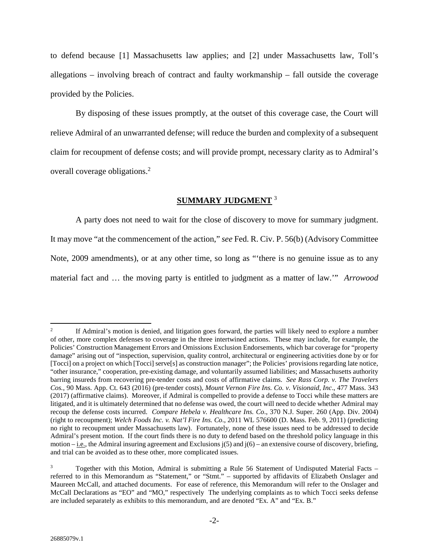to defend because [1] Massachusetts law applies; and [2] under Massachusetts law, Toll's allegations – involving breach of contract and faulty workmanship – fall outside the coverage provided by the Policies.

By disposing of these issues promptly, at the outset of this coverage case, the Court will relieve Admiral of an unwarranted defense; will reduce the burden and complexity of a subsequent claim for recoupment of defense costs; and will provide prompt, necessary clarity as to Admiral's overall coverage obligations.<sup>2</sup>

# **SUMMARY JUDGMENT** <sup>3</sup>

A party does not need to wait for the close of discovery to move for summary judgment. It may move "at the commencement of the action," *see* Fed. R. Civ. P. 56(b) (Advisory Committee Note, 2009 amendments), or at any other time, so long as "'there is no genuine issue as to any material fact and … the moving party is entitled to judgment as a matter of law.'" *Arrowood* 

<sup>2</sup> If Admiral's motion is denied, and litigation goes forward, the parties will likely need to explore a number of other, more complex defenses to coverage in the three intertwined actions. These may include, for example, the Policies' Construction Management Errors and Omissions Exclusion Endorsements, which bar coverage for "property damage" arising out of "inspection, supervision, quality control, architectural or engineering activities done by or for [Tocci] on a project on which [Tocci] serve[s] as construction manager"; the Policies' provisions regarding late notice, "other insurance," cooperation, pre-existing damage, and voluntarily assumed liabilities; and Massachusetts authority barring insureds from recovering pre-tender costs and costs of affirmative claims. *See Rass Corp. v. The Travelers Cos.*, 90 Mass. App. Ct. 643 (2016) (pre-tender costs), *Mount Vernon Fire Ins. Co. v. Visionaid, Inc*., 477 Mass. 343 (2017) (affirmative claims). Moreover, if Admiral is compelled to provide a defense to Tocci while these matters are litigated, and it is ultimately determined that no defense was owed, the court will need to decide whether Admiral may recoup the defense costs incurred. *Compare Hebela v. Healthcare Ins. Co*., 370 N.J. Super. 260 (App. Div. 2004) (right to recoupment); *Welch Foods Inc. v. Nat'l Fire Ins. Co*., 2011 WL 576600 (D. Mass. Feb. 9, 2011) (predicting no right to recoupment under Massachusetts law). Fortunately, none of these issues need to be addressed to decide Admiral's present motion. If the court finds there is no duty to defend based on the threshold policy language in this motion – i.e., the Admiral insuring agreement and Exclusions  $i(5)$  and  $i(6)$  – an extensive course of discovery, briefing, and trial can be avoided as to these other, more complicated issues.

Together with this Motion, Admiral is submitting a Rule 56 Statement of Undisputed Material Facts referred to in this Memorandum as "Statement," or "Stmt." – supported by affidavits of Elizabeth Onslager and Maureen McCall, and attached documents. For ease of reference, this Memorandum will refer to the Onslager and McCall Declarations as "EO" and "MO," respectively The underlying complaints as to which Tocci seeks defense are included separately as exhibits to this memorandum, and are denoted "Ex. A" and "Ex. B."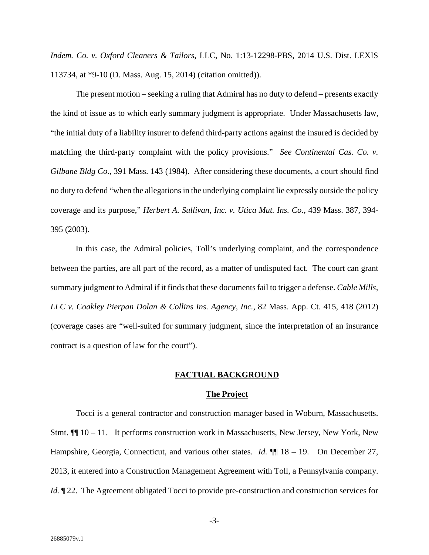*Indem. Co. v. Oxford Cleaners & Tailors*, LLC, No. 1:13-12298-PBS, 2014 U.S. Dist. LEXIS 113734, at \*9-10 (D. Mass. Aug. 15, 2014) (citation omitted)).

The present motion – seeking a ruling that Admiral has no duty to defend – presents exactly the kind of issue as to which early summary judgment is appropriate. Under Massachusetts law, "the initial duty of a liability insurer to defend third-party actions against the insured is decided by matching the third-party complaint with the policy provisions." *See Continental Cas. Co. v. Gilbane Bldg Co*., 391 Mass. 143 (1984). After considering these documents, a court should find no duty to defend "when the allegations in the underlying complaint lie expressly outside the policy coverage and its purpose," *Herbert A. Sullivan, Inc. v. Utica Mut. Ins. Co.*, 439 Mass. 387, 394- 395 (2003).

In this case, the Admiral policies, Toll's underlying complaint, and the correspondence between the parties, are all part of the record, as a matter of undisputed fact. The court can grant summary judgment to Admiral if it finds that these documents fail to trigger a defense. *Cable Mills, LLC v. Coakley Pierpan Dolan & Collins Ins. Agency, Inc.*, 82 Mass. App. Ct. 415, 418 (2012) (coverage cases are "well-suited for summary judgment, since the interpretation of an insurance contract is a question of law for the court").

#### **FACTUAL BACKGROUND**

#### **The Project**

Tocci is a general contractor and construction manager based in Woburn, Massachusetts. Stmt.  $\P$ [10 – 11. It performs construction work in Massachusetts, New Jersey, New York, New Hampshire, Georgia, Connecticut, and various other states. *Id.*  $\P$  18 – 19. On December 27, 2013, it entered into a Construction Management Agreement with Toll, a Pennsylvania company. *Id.*  $\mathbb{I}$  22. The Agreement obligated Tocci to provide pre-construction and construction services for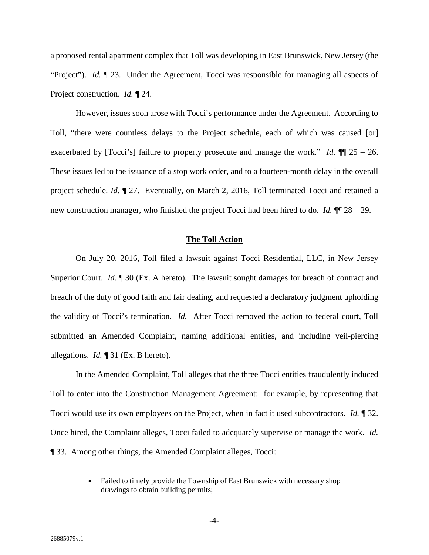a proposed rental apartment complex that Toll was developing in East Brunswick, New Jersey (the "Project"). *Id.* 123. Under the Agreement, Tocci was responsible for managing all aspects of Project construction. *Id.* ¶ 24.

However, issues soon arose with Tocci's performance under the Agreement. According to Toll, "there were countless delays to the Project schedule, each of which was caused [or] exacerbated by [Tocci's] failure to property prosecute and manage the work." *Id.*  $\P$  25 – 26. These issues led to the issuance of a stop work order, and to a fourteen-month delay in the overall project schedule. *Id.* ¶ 27. Eventually, on March 2, 2016, Toll terminated Tocci and retained a new construction manager, who finished the project Tocci had been hired to do. *Id.* ¶¶ 28 – 29.

#### **The Toll Action**

On July 20, 2016, Toll filed a lawsuit against Tocci Residential, LLC, in New Jersey Superior Court. *Id.* 1 30 (Ex. A hereto). The lawsuit sought damages for breach of contract and breach of the duty of good faith and fair dealing, and requested a declaratory judgment upholding the validity of Tocci's termination. *Id.* After Tocci removed the action to federal court, Toll submitted an Amended Complaint, naming additional entities, and including veil-piercing allegations. *Id.* ¶ 31 (Ex. B hereto).

In the Amended Complaint, Toll alleges that the three Tocci entities fraudulently induced Toll to enter into the Construction Management Agreement: for example, by representing that Tocci would use its own employees on the Project, when in fact it used subcontractors. *Id.* ¶ 32. Once hired, the Complaint alleges, Tocci failed to adequately supervise or manage the work. *Id.*  ¶ 33. Among other things, the Amended Complaint alleges, Tocci:

> • Failed to timely provide the Township of East Brunswick with necessary shop drawings to obtain building permits;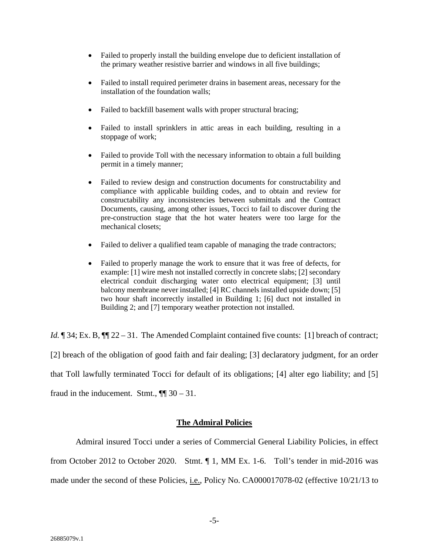- Failed to properly install the building envelope due to deficient installation of the primary weather resistive barrier and windows in all five buildings;
- Failed to install required perimeter drains in basement areas, necessary for the installation of the foundation walls;
- Failed to backfill basement walls with proper structural bracing;
- Failed to install sprinklers in attic areas in each building, resulting in a stoppage of work;
- Failed to provide Toll with the necessary information to obtain a full building permit in a timely manner;
- Failed to review design and construction documents for constructability and compliance with applicable building codes, and to obtain and review for constructability any inconsistencies between submittals and the Contract Documents, causing, among other issues, Tocci to fail to discover during the pre-construction stage that the hot water heaters were too large for the mechanical closets;
- Failed to deliver a qualified team capable of managing the trade contractors;
- Failed to properly manage the work to ensure that it was free of defects, for example: [1] wire mesh not installed correctly in concrete slabs; [2] secondary electrical conduit discharging water onto electrical equipment; [3] until balcony membrane never installed; [4] RC channels installed upside down; [5] two hour shaft incorrectly installed in Building 1; [6] duct not installed in Building 2; and [7] temporary weather protection not installed.

*Id.*  $\sqrt{ }$  34; Ex. B,  $\sqrt{ }$  22 – 31. The Amended Complaint contained five counts: [1] breach of contract; [2] breach of the obligation of good faith and fair dealing; [3] declaratory judgment, for an order that Toll lawfully terminated Tocci for default of its obligations; [4] alter ego liability; and [5] fraud in the inducement. Stmt.,  $\P$  30 – 31.

### **The Admiral Policies**

Admiral insured Tocci under a series of Commercial General Liability Policies, in effect from October 2012 to October 2020. Stmt. ¶ 1, MM Ex. 1-6. Toll's tender in mid-2016 was made under the second of these Policies, i.e., Policy No. CA000017078-02 (effective 10/21/13 to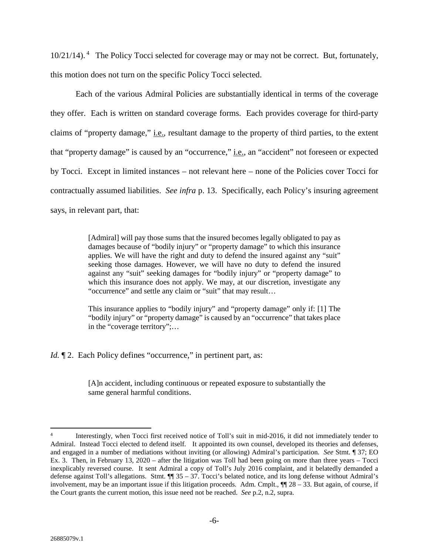$10/21/14$ ).<sup>4</sup> The Policy Tocci selected for coverage may or may not be correct. But, fortunately, this motion does not turn on the specific Policy Tocci selected.

Each of the various Admiral Policies are substantially identical in terms of the coverage they offer. Each is written on standard coverage forms. Each provides coverage for third-party claims of "property damage," i.e., resultant damage to the property of third parties, to the extent that "property damage" is caused by an "occurrence," i.e., an "accident" not foreseen or expected by Tocci. Except in limited instances – not relevant here – none of the Policies cover Tocci for contractually assumed liabilities. *See infra* p. 13. Specifically, each Policy's insuring agreement says, in relevant part, that:

> [Admiral] will pay those sums that the insured becomes legally obligated to pay as damages because of "bodily injury" or "property damage" to which this insurance applies. We will have the right and duty to defend the insured against any "suit" seeking those damages. However, we will have no duty to defend the insured against any "suit" seeking damages for "bodily injury" or "property damage" to which this insurance does not apply. We may, at our discretion, investigate any "occurrence" and settle any claim or "suit" that may result…

> This insurance applies to "bodily injury" and "property damage" only if: [1] The "bodily injury" or "property damage" is caused by an "occurrence" that takes place in the "coverage territory";…

*Id.*  $\P$  2. Each Policy defines "occurrence," in pertinent part, as:

[A]n accident, including continuous or repeated exposure to substantially the same general harmful conditions.

<sup>4</sup> Interestingly, when Tocci first received notice of Toll's suit in mid-2016, it did not immediately tender to Admiral. Instead Tocci elected to defend itself. It appointed its own counsel, developed its theories and defenses, and engaged in a number of mediations without inviting (or allowing) Admiral's participation. *See* Stmt. ¶ 37; EO Ex. 3. Then, in February 13, 2020 – after the litigation was Toll had been going on more than three years – Tocci inexplicably reversed course. It sent Admiral a copy of Toll's July 2016 complaint, and it belatedly demanded a defense against Toll's allegations. Stmt. ¶¶ 35 – 37. Tocci's belated notice, and its long defense without Admiral's involvement, may be an important issue if this litigation proceeds. Adm. Cmplt.,  $\P$  28 – 33. But again, of course, if the Court grants the current motion, this issue need not be reached. *See* p.2, n.2, supra.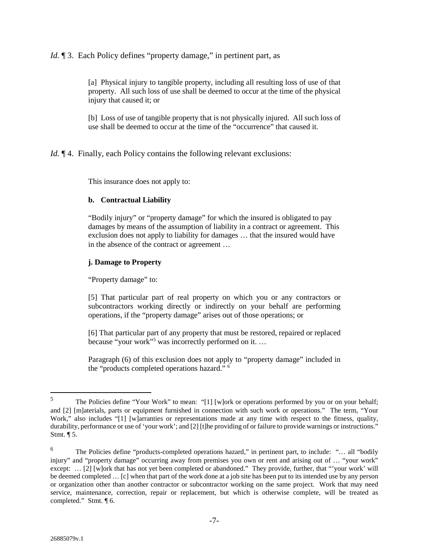*Id.* 13. Each Policy defines "property damage," in pertinent part, as

[a] Physical injury to tangible property, including all resulting loss of use of that property. All such loss of use shall be deemed to occur at the time of the physical injury that caused it; or

[b] Loss of use of tangible property that is not physically injured. All such loss of use shall be deemed to occur at the time of the "occurrence" that caused it.

*Id.*  $\P$  4. Finally, each Policy contains the following relevant exclusions:

This insurance does not apply to:

# **b. Contractual Liability**

"Bodily injury" or "property damage" for which the insured is obligated to pay damages by means of the assumption of liability in a contract or agreement. This exclusion does not apply to liability for damages … that the insured would have in the absence of the contract or agreement …

# **j. Damage to Property**

"Property damage" to:

[5] That particular part of real property on which you or any contractors or subcontractors working directly or indirectly on your behalf are performing operations, if the "property damage" arises out of those operations; or

[6] That particular part of any property that must be restored, repaired or replaced because "your work"<sup>5</sup> was incorrectly performed on it. …

Paragraph (6) of this exclusion does not apply to "property damage" included in the "products completed operations hazard." <sup>6</sup>

<sup>5</sup> The Policies define "Your Work" to mean: "[1] [w]ork or operations performed by you or on your behalf; and [2] [m]aterials, parts or equipment furnished in connection with such work or operations." The term, "Your Work," also includes "[1] [w]arranties or representations made at any time with respect to the fitness, quality, durability, performance or use of 'your work'; and [2] [t]he providing of or failure to provide warnings or instructions." Stmt. ¶ 5.

<sup>6</sup> The Policies define "products-completed operations hazard," in pertinent part, to include: "… all "bodily injury" and "property damage" occurring away from premises you own or rent and arising out of … "your work" except: … [2] [w]ork that has not yet been completed or abandoned." They provide, further, that "'your work' will be deemed completed … [c] when that part of the work done at a job site has been put to its intended use by any person or organization other than another contractor or subcontractor working on the same project. Work that may need service, maintenance, correction, repair or replacement, but which is otherwise complete, will be treated as completed." Stmt. ¶ 6.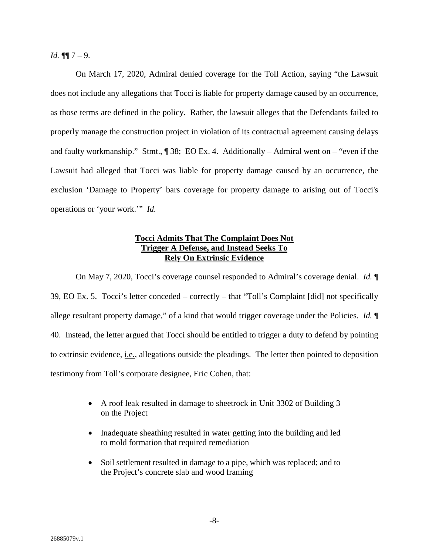*Id.*  $\P\P$  7 – 9.

On March 17, 2020, Admiral denied coverage for the Toll Action, saying "the Lawsuit does not include any allegations that Tocci is liable for property damage caused by an occurrence, as those terms are defined in the policy. Rather, the lawsuit alleges that the Defendants failed to properly manage the construction project in violation of its contractual agreement causing delays and faulty workmanship." Stmt., ¶ 38; EO Ex. 4. Additionally – Admiral went on – "even if the Lawsuit had alleged that Tocci was liable for property damage caused by an occurrence, the exclusion 'Damage to Property' bars coverage for property damage to arising out of Tocci's operations or 'your work.'" *Id.*

### **Tocci Admits That The Complaint Does Not Trigger A Defense, and Instead Seeks To Rely On Extrinsic Evidence**

On May 7, 2020, Tocci's coverage counsel responded to Admiral's coverage denial. *Id.* ¶ 39, EO Ex. 5. Tocci's letter conceded – correctly – that "Toll's Complaint [did] not specifically allege resultant property damage," of a kind that would trigger coverage under the Policies. *Id.* ¶ 40. Instead, the letter argued that Tocci should be entitled to trigger a duty to defend by pointing to extrinsic evidence, i.e., allegations outside the pleadings. The letter then pointed to deposition testimony from Toll's corporate designee, Eric Cohen, that:

- A roof leak resulted in damage to sheetrock in Unit 3302 of Building 3 on the Project
- Inadequate sheathing resulted in water getting into the building and led to mold formation that required remediation
- Soil settlement resulted in damage to a pipe, which was replaced; and to the Project's concrete slab and wood framing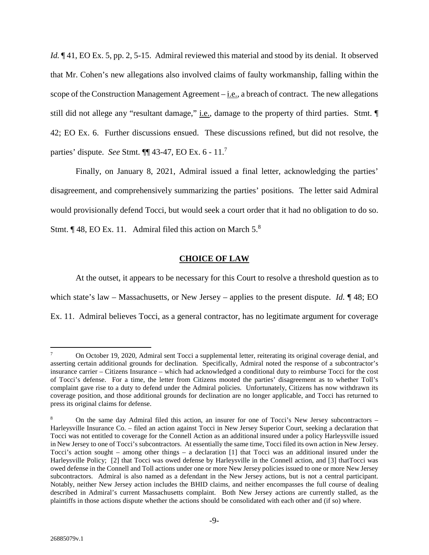*Id.*  $\P$ 41, EO Ex. 5, pp. 2, 5-15. Admiral reviewed this material and stood by its denial. It observed that Mr. Cohen's new allegations also involved claims of faulty workmanship, falling within the scope of the Construction Management Agreement – i.e., a breach of contract. The new allegations still did not allege any "resultant damage," <u>i.e.</u>, damage to the property of third parties. Stmt.  $\P$ 42; EO Ex. 6. Further discussions ensued. These discussions refined, but did not resolve, the parties' dispute. *See* Stmt. ¶¶ 43-47, EO Ex. 6 - 11.<sup>7</sup>

Finally, on January 8, 2021, Admiral issued a final letter, acknowledging the parties' disagreement, and comprehensively summarizing the parties' positions. The letter said Admiral would provisionally defend Tocci, but would seek a court order that it had no obligation to do so. Stmt.  $\P$  48, EO Ex. 11. Admiral filed this action on March  $5^8$ .

### **CHOICE OF LAW**

At the outset, it appears to be necessary for this Court to resolve a threshold question as to which state's law – Massachusetts, or New Jersey – applies to the present dispute. *Id.* ¶ 48; EO Ex. 11. Admiral believes Tocci, as a general contractor, has no legitimate argument for coverage

<sup>7</sup> On October 19, 2020, Admiral sent Tocci a supplemental letter, reiterating its original coverage denial, and asserting certain additional grounds for declination. Specifically, Admiral noted the response of a subcontractor's insurance carrier – Citizens Insurance – which had acknowledged a conditional duty to reimburse Tocci for the cost of Tocci's defense. For a time, the letter from Citizens mooted the parties' disagreement as to whether Toll's complaint gave rise to a duty to defend under the Admiral policies. Unfortunately, Citizens has now withdrawn its coverage position, and those additional grounds for declination are no longer applicable, and Tocci has returned to press its original claims for defense.

<sup>8</sup> On the same day Admiral filed this action, an insurer for one of Tocci's New Jersey subcontractors – Harleysville Insurance Co. – filed an action against Tocci in New Jersey Superior Court, seeking a declaration that Tocci was not entitled to coverage for the Connell Action as an additional insured under a policy Harleysville issued in New Jersey to one of Tocci's subcontractors. At essentially the same time, Tocci filed its own action in New Jersey. Tocci's action sought – among other things – a declaration [1] that Tocci was an additional insured under the Harleysville Policy; [2] that Tocci was owed defense by Harleysville in the Connell action, and [3] thatTocci was owed defense in the Connell and Toll actions under one or more New Jersey policies issued to one or more New Jersey subcontractors. Admiral is also named as a defendant in the New Jersey actions, but is not a central participant. Notably, neither New Jersey action includes the BHID claims, and neither encompasses the full course of dealing described in Admiral's current Massachusetts complaint. Both New Jersey actions are currently stalled, as the plaintiffs in those actions dispute whether the actions should be consolidated with each other and (if so) where.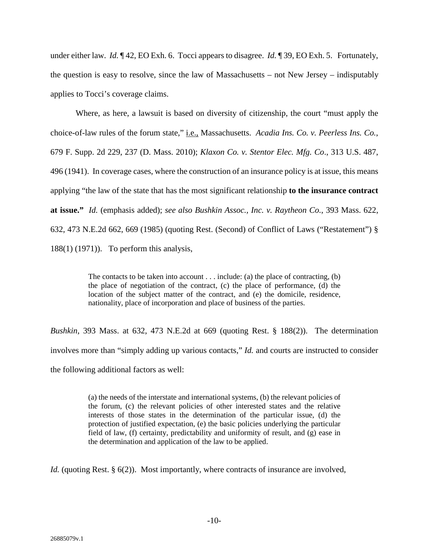under either law. *Id.*  $\P$  42, EO Exh. 6. Tocci appears to disagree. *Id.*  $\P$  39, EO Exh. 5. Fortunately, the question is easy to resolve, since the law of Massachusetts – not New Jersey – indisputably applies to Tocci's coverage claims.

Where, as here, a lawsuit is based on diversity of citizenship, the court "must apply the choice-of-law rules of the forum state," i.e., Massachusetts. *Acadia Ins. Co. v. Peerless Ins. Co.*, 679 F. Supp. 2d 229, 237 (D. Mass. 2010); *Klaxon Co. v. Stentor Elec. Mfg. Co*., 313 U.S. 487, 496 (1941). In coverage cases, where the construction of an insurance policy is at issue, this means applying "the law of the state that has the most significant relationship **to the insurance contract at issue."** *Id.* (emphasis added); *see also Bushkin Assoc., Inc. v. Raytheon Co.*, 393 Mass. 622, 632, 473 N.E.2d 662, 669 (1985) (quoting Rest. (Second) of Conflict of Laws ("Restatement") § 188(1) (1971)). To perform this analysis,

> The contacts to be taken into account . . . include: (a) the place of contracting, (b) the place of negotiation of the contract, (c) the place of performance, (d) the location of the subject matter of the contract, and (e) the domicile, residence, nationality, place of incorporation and place of business of the parties.

*Bushkin*, 393 Mass. at 632, 473 N.E.2d at 669 (quoting Rest. § 188(2)). The determination involves more than "simply adding up various contacts," *Id.* and courts are instructed to consider the following additional factors as well:

> (a) the needs of the interstate and international systems, (b) the relevant policies of the forum, (c) the relevant policies of other interested states and the relative interests of those states in the determination of the particular issue, (d) the protection of justified expectation, (e) the basic policies underlying the particular field of law, (f) certainty, predictability and uniformity of result, and (g) ease in the determination and application of the law to be applied.

*Id.* (quoting Rest. § 6(2)). Most importantly, where contracts of insurance are involved,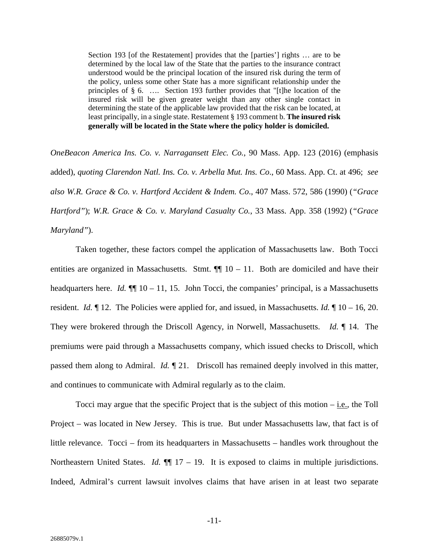Section 193 [of the Restatement] provides that the [parties'] rights … are to be determined by the local law of the State that the parties to the insurance contract understood would be the principal location of the insured risk during the term of the policy, unless some other State has a more significant relationship under the principles of § 6. …. Section 193 further provides that "[t]he location of the insured risk will be given greater weight than any other single contact in determining the state of the applicable law provided that the risk can be located, at least principally, in a single state. Restatement § 193 comment b. **The insured risk generally will be located in the State where the policy holder is domiciled.**

*OneBeacon America Ins. Co. v. Narragansett Elec. Co.*, 90 Mass. App. 123 (2016) (emphasis added), *quoting Clarendon Natl. Ins. Co. v. Arbella Mut. Ins. Co*., 60 Mass. App. Ct. at 496; *see also W.R. Grace & Co. v. Hartford Accident & Indem. Co*., 407 Mass. 572, 586 (1990) (*"Grace Hartford"*); *W.R. Grace & Co. v. Maryland Casualty Co.*, 33 Mass. App. 358 (1992) (*"Grace Maryland"*).

Taken together, these factors compel the application of Massachusetts law. Both Tocci entities are organized in Massachusetts. Stmt.  $\P$  10 – 11. Both are domiciled and have their headquarters here. *Id.*  $\P$  10 – 11, 15. John Tocci, the companies' principal, is a Massachusetts resident. *Id.* ¶ 12. The Policies were applied for, and issued, in Massachusetts. *Id.* ¶ 10 – 16, 20. They were brokered through the Driscoll Agency, in Norwell, Massachusetts. *Id.* ¶ 14. The premiums were paid through a Massachusetts company, which issued checks to Driscoll, which passed them along to Admiral. *Id.* ¶ 21. Driscoll has remained deeply involved in this matter, and continues to communicate with Admiral regularly as to the claim.

Tocci may argue that the specific Project that is the subject of this motion – i.e., the Toll Project – was located in New Jersey. This is true. But under Massachusetts law, that fact is of little relevance. Tocci – from its headquarters in Massachusetts – handles work throughout the Northeastern United States. *Id.*  $\P$  17 – 19. It is exposed to claims in multiple jurisdictions. Indeed, Admiral's current lawsuit involves claims that have arisen in at least two separate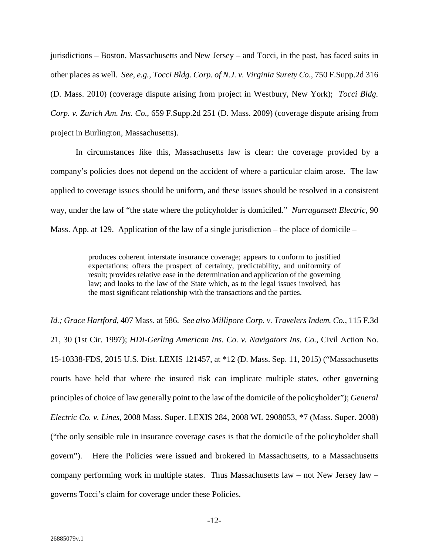jurisdictions – Boston, Massachusetts and New Jersey – and Tocci, in the past, has faced suits in other places as well. *See, e.g., Tocci Bldg. Corp. of N.J. v. Virginia Surety Co*., 750 F.Supp.2d 316 (D. Mass. 2010) (coverage dispute arising from project in Westbury, New York); *Tocci Bldg. Corp. v. Zurich Am. Ins. Co*., 659 F.Supp.2d 251 (D. Mass. 2009) (coverage dispute arising from project in Burlington, Massachusetts).

In circumstances like this, Massachusetts law is clear: the coverage provided by a company's policies does not depend on the accident of where a particular claim arose. The law applied to coverage issues should be uniform, and these issues should be resolved in a consistent way, under the law of "the state where the policyholder is domiciled." *Narragansett Electric*, 90 Mass. App. at 129. Application of the law of a single jurisdiction – the place of domicile –

> produces coherent interstate insurance coverage; appears to conform to justified expectations; offers the prospect of certainty, predictability, and uniformity of result; provides relative ease in the determination and application of the governing law; and looks to the law of the State which, as to the legal issues involved, has the most significant relationship with the transactions and the parties.

*Id.; Grace Hartford,* 407 Mass. at 586. *See also Millipore Corp. v. Travelers Indem. Co.,* 115 F.3d 21, 30 (1st Cir. 1997); *HDI-Gerling American Ins. Co. v. Navigators Ins. Co.*, Civil Action No. 15-10338-FDS, 2015 U.S. Dist. LEXIS 121457, at \*12 (D. Mass. Sep. 11, 2015) ("Massachusetts courts have held that where the insured risk can implicate multiple states, other governing principles of choice of law generally point to the law of the domicile of the policyholder"); *General Electric Co. v. Lines*, 2008 Mass. Super. LEXIS 284, 2008 WL 2908053, \*7 (Mass. Super. 2008) ("the only sensible rule in insurance coverage cases is that the domicile of the policyholder shall govern"). Here the Policies were issued and brokered in Massachusetts, to a Massachusetts company performing work in multiple states. Thus Massachusetts law – not New Jersey law – governs Tocci's claim for coverage under these Policies.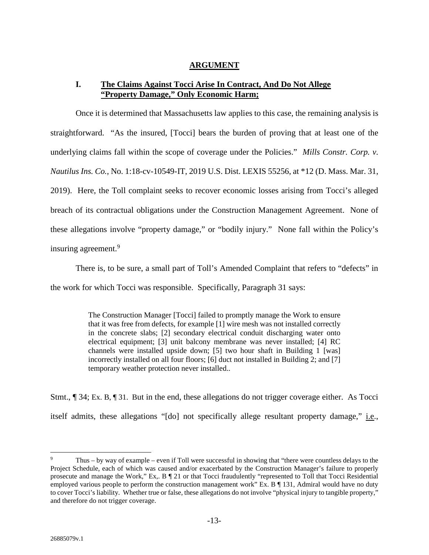# **ARGUMENT**

# **I. The Claims Against Tocci Arise In Contract, And Do Not Allege "Property Damage," Only Economic Harm;**

Once it is determined that Massachusetts law applies to this case, the remaining analysis is straightforward. "As the insured, [Tocci] bears the burden of proving that at least one of the underlying claims fall within the scope of coverage under the Policies." *Mills Constr. Corp. v. Nautilus Ins. Co.*, No. 1:18-cv-10549-IT, 2019 U.S. Dist. LEXIS 55256, at \*12 (D. Mass. Mar. 31, 2019). Here, the Toll complaint seeks to recover economic losses arising from Tocci's alleged breach of its contractual obligations under the Construction Management Agreement. None of these allegations involve "property damage," or "bodily injury." None fall within the Policy's insuring agreement.<sup>9</sup>

There is, to be sure, a small part of Toll's Amended Complaint that refers to "defects" in the work for which Tocci was responsible. Specifically, Paragraph 31 says:

> The Construction Manager [Tocci] failed to promptly manage the Work to ensure that it was free from defects, for example [1] wire mesh was not installed correctly in the concrete slabs; [2] secondary electrical conduit discharging water onto electrical equipment; [3] unit balcony membrane was never installed; [4] RC channels were installed upside down; [5] two hour shaft in Building 1 [was] incorrectly installed on all four floors; [6] duct not installed in Building 2; and [7] temporary weather protection never installed..

Stmt., ¶ 34; Ex. B, ¶ 31. But in the end, these allegations do not trigger coverage either. As Tocci itself admits, these allegations "[do] not specifically allege resultant property damage," i.e.,

<sup>9</sup> Thus – by way of example – even if Toll were successful in showing that "there were countless delays to the Project Schedule, each of which was caused and/or exacerbated by the Construction Manager's failure to properly prosecute and manage the Work," Ex,. B ¶ 21 or that Tocci fraudulently "represented to Toll that Tocci Residential employed various people to perform the construction management work" Ex. B  $\P$  131, Admiral would have no duty to cover Tocci's liability. Whether true or false, these allegations do not involve "physical injury to tangible property," and therefore do not trigger coverage.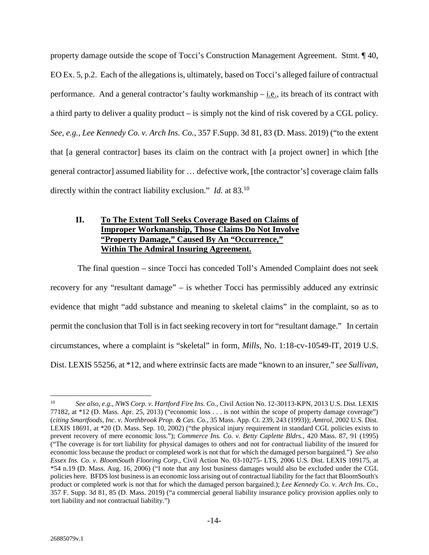property damage outside the scope of Tocci's Construction Management Agreement. Stmt. ¶ 40, EO Ex. 5, p.2. Each of the allegations is, ultimately, based on Tocci's alleged failure of contractual performance. And a general contractor's faulty workmanship – i.e., its breach of its contract with a third party to deliver a quality product – is simply not the kind of risk covered by a CGL policy. *See, e.g., Lee Kennedy Co. v. Arch Ins. Co.*, 357 F.Supp. 3d 81, 83 (D. Mass. 2019) ("to the extent that [a general contractor] bases its claim on the contract with [a project owner] in which [the general contractor] assumed liability for … defective work, [the contractor's] coverage claim falls directly within the contract liability exclusion." *Id.* at 83.<sup>10</sup>

# **II. To The Extent Toll Seeks Coverage Based on Claims of Improper Workmanship, Those Claims Do Not Involve "Property Damage," Caused By An "Occurrence," Within The Admiral Insuring Agreement.**

 The final question – since Tocci has conceded Toll's Amended Complaint does not seek recovery for any "resultant damage" – is whether Tocci has permissibly adduced any extrinsic evidence that might "add substance and meaning to skeletal claims" in the complaint, so as to permit the conclusion that Toll is in fact seeking recovery in tort for "resultant damage." In certain circumstances, where a complaint is "skeletal" in form, *Mills*, No. 1:18-cv-10549-IT, 2019 U.S. Dist. LEXIS 55256, at \*12, and where extrinsic facts are made "known to an insurer," *see Sullivan*,

<sup>10</sup> *See also, e.g*., *NWS Corp. v. Hartford Fire Ins. Co.*, Civil Action No. 12-30113-KPN, 2013 U.S. Dist. LEXIS 77182, at \*12 (D. Mass. Apr. 25, 2013) ("economic loss . . . is not within the scope of property damage coverage") (*citing Smartfoods, Inc. v. Northbrook Prop. & Cas. Co.*, 35 Mass. App. Ct. 239, 243 (1993)); *Amtrol*, 2002 U.S. Dist. LEXIS 18691, at \*20 (D. Mass. Sep. 10, 2002) ("the physical injury requirement in standard CGL policies exists to prevent recovery of mere economic loss."); *Commerce Ins. Co. v. Betty Caplette Bldrs.*, 420 Mass. 87, 91 (1995) ("The coverage is for tort liability for physical damages to others and not for contractual liability of the insured for economic loss because the product or completed work is not that for which the damaged person bargained.") *See also Essex Ins. Co. v. BloomSouth Flooring Corp*., Civil Action No. 03-10275- LTS, 2006 U.S. Dist. LEXIS 109175, at \*54 n.19 (D. Mass. Aug. 16, 2006) ("I note that any lost business damages would also be excluded under the CGL policies here. BFDS lost business is an economic loss arising out of contractual liability for the fact that BloomSouth's product or completed work is not that for which the damaged person bargained.); *Lee Kennedy Co. v. Arch Ins. Co.*, 357 F. Supp. 3d 81, 85 (D. Mass. 2019) ("a commercial general liability insurance policy provision applies only to tort liability and not contractual liability.")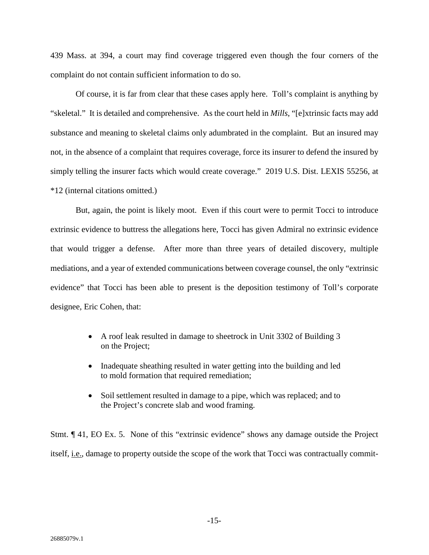439 Mass. at 394, a court may find coverage triggered even though the four corners of the complaint do not contain sufficient information to do so.

Of course, it is far from clear that these cases apply here. Toll's complaint is anything by "skeletal." It is detailed and comprehensive. As the court held in *Mills*, "[e]xtrinsic facts may add substance and meaning to skeletal claims only adumbrated in the complaint. But an insured may not, in the absence of a complaint that requires coverage, force its insurer to defend the insured by simply telling the insurer facts which would create coverage." 2019 U.S. Dist. LEXIS 55256, at \*12 (internal citations omitted.)

But, again, the point is likely moot. Even if this court were to permit Tocci to introduce extrinsic evidence to buttress the allegations here, Tocci has given Admiral no extrinsic evidence that would trigger a defense. After more than three years of detailed discovery, multiple mediations, and a year of extended communications between coverage counsel, the only "extrinsic evidence" that Tocci has been able to present is the deposition testimony of Toll's corporate designee, Eric Cohen, that:

- A roof leak resulted in damage to sheetrock in Unit 3302 of Building 3 on the Project;
- Inadequate sheathing resulted in water getting into the building and led to mold formation that required remediation;
- Soil settlement resulted in damage to a pipe, which was replaced; and to the Project's concrete slab and wood framing.

Stmt. ¶ 41, EO Ex. 5. None of this "extrinsic evidence" shows any damage outside the Project itself, i.e., damage to property outside the scope of the work that Tocci was contractually commit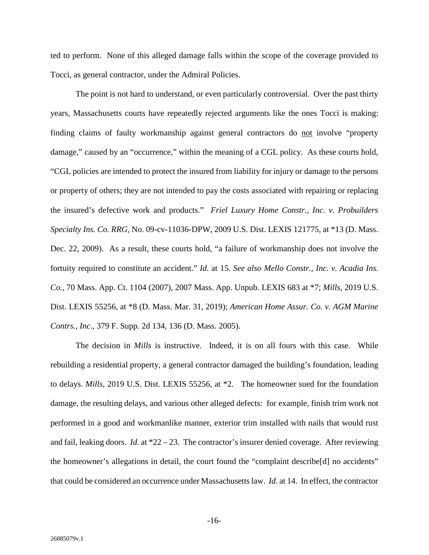ted to perform. None of this alleged damage falls within the scope of the coverage provided to Tocci, as general contractor, under the Admiral Policies.

The point is not hard to understand, or even particularly controversial. Over the past thirty years, Massachusetts courts have repeatedly rejected arguments like the ones Tocci is making: finding claims of faulty workmanship against general contractors do not involve "property damage," caused by an "occurrence," within the meaning of a CGL policy. As these courts hold, "CGL policies are intended to protect the insured from liability for injury or damage to the persons or property of others; they are not intended to pay the costs associated with repairing or replacing the insured's defective work and products." *Friel Luxury Home Constr., Inc. v. Probuilders Specialty Ins. Co. RRG*, No. 09-cv-11036-DPW, 2009 U.S. Dist. LEXIS 121775, at \*13 (D. Mass. Dec. 22, 2009). As a result, these courts hold, "a failure of workmanship does not involve the fortuity required to constitute an accident." *Id.* at 15. *See also Mello Constr., Inc. v. Acadia Ins. Co.*, 70 Mass. App. Ct. 1104 (2007), 2007 Mass. App. Unpub. LEXIS 683 at \*7; *Mills,* 2019 U.S. Dist. LEXIS 55256, at \*8 (D. Mass. Mar. 31, 2019); *American Home Assur. Co. v. AGM Marine Contrs., Inc*., 379 F. Supp. 2d 134, 136 (D. Mass. 2005).

The decision in *Mills* is instructive. Indeed, it is on all fours with this case. While rebuilding a residential property, a general contractor damaged the building's foundation, leading to delays. *Mills*, 2019 U.S. Dist. LEXIS 55256, at \*2. The homeowner sued for the foundation damage, the resulting delays, and various other alleged defects: for example, finish trim work not performed in a good and workmanlike manner, exterior trim installed with nails that would rust and fail, leaking doors. *Id.* at \*22 – 23. The contractor's insurer denied coverage. After reviewing the homeowner's allegations in detail, the court found the "complaint describe[d] no accidents" that could be considered an occurrence under Massachusetts law. *Id.* at 14. In effect, the contractor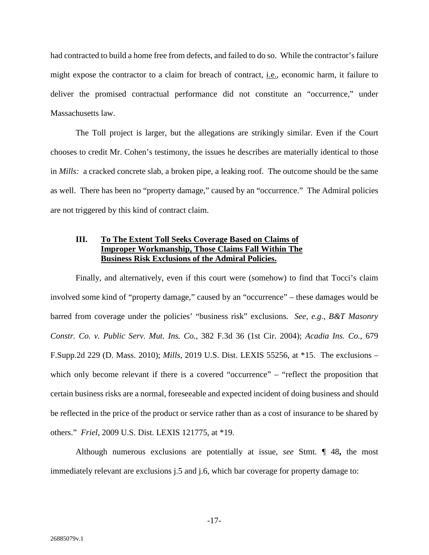had contracted to build a home free from defects, and failed to do so. While the contractor's failure might expose the contractor to a claim for breach of contract, i.e., economic harm, it failure to deliver the promised contractual performance did not constitute an "occurrence," under Massachusetts law.

The Toll project is larger, but the allegations are strikingly similar. Even if the Court chooses to credit Mr. Cohen's testimony, the issues he describes are materially identical to those in *Mills:* a cracked concrete slab, a broken pipe, a leaking roof. The outcome should be the same as well. There has been no "property damage," caused by an "occurrence." The Admiral policies are not triggered by this kind of contract claim.

# **III. To The Extent Toll Seeks Coverage Based on Claims of Improper Workmanship, Those Claims Fall Within The Business Risk Exclusions of the Admiral Policies.**

Finally, and alternatively, even if this court were (somehow) to find that Tocci's claim involved some kind of "property damage," caused by an "occurrence" – these damages would be barred from coverage under the policies' "business risk" exclusions. *See, e.g., B&T Masonry Constr. Co. v. Public Serv. Mut. Ins. Co.,* 382 F.3d 36 (1st Cir. 2004); *Acadia Ins. Co.*, 679 F.Supp.2d 229 (D. Mass. 2010); *Mills*, 2019 U.S. Dist. LEXIS 55256, at \*15. The exclusions – which only become relevant if there is a covered "occurrence" – "reflect the proposition that certain business risks are a normal, foreseeable and expected incident of doing business and should be reflected in the price of the product or service rather than as a cost of insurance to be shared by others." *Friel*, 2009 U.S. Dist. LEXIS 121775, at \*19.

Although numerous exclusions are potentially at issue, *see* Stmt. ¶ 48**,** the most immediately relevant are exclusions j.5 and j.6, which bar coverage for property damage to: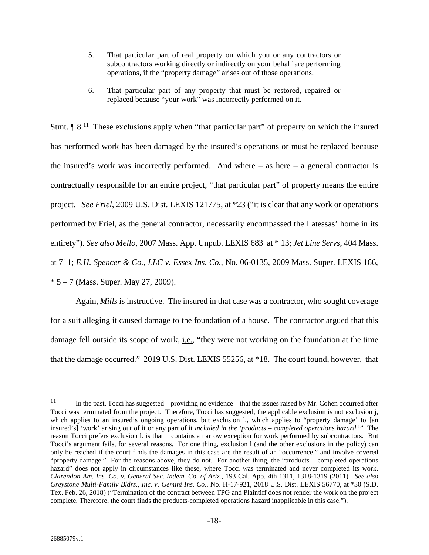- 5. That particular part of real property on which you or any contractors or subcontractors working directly or indirectly on your behalf are performing operations, if the "property damage" arises out of those operations.
- 6. That particular part of any property that must be restored, repaired or replaced because "your work" was incorrectly performed on it.

Stmt.  $\llbracket 8^{11} \rrbracket$  These exclusions apply when "that particular part" of property on which the insured has performed work has been damaged by the insured's operations or must be replaced because the insured's work was incorrectly performed. And where  $-$  as here  $-$  a general contractor is contractually responsible for an entire project, "that particular part" of property means the entire project. *See Friel*, 2009 U.S. Dist. LEXIS 121775, at \*23 ("it is clear that any work or operations performed by Friel, as the general contractor, necessarily encompassed the Latessas' home in its entirety"). *See also Mello*, 2007 Mass. App. Unpub. LEXIS 683 at \* 13; *Jet Line Servs*, 404 Mass. at 711; *E.H. Spencer & Co., LLC v. Essex Ins. Co.*, No. 06-0135, 2009 Mass. Super. LEXIS 166,  $* 5 - 7$  (Mass. Super. May 27, 2009).

Again, *Mills* is instructive. The insured in that case was a contractor, who sought coverage for a suit alleging it caused damage to the foundation of a house. The contractor argued that this damage fell outside its scope of work, *i.e.*, "they were not working on the foundation at the time that the damage occurred." 2019 U.S. Dist. LEXIS 55256, at \*18. The court found, however, that

<sup>&</sup>lt;sup>11</sup> In the past, Tocci has suggested – providing no evidence – that the issues raised by Mr. Cohen occurred after Tocci was terminated from the project. Therefore, Tocci has suggested, the applicable exclusion is not exclusion j, which applies to an insured's ongoing operations, but exclusion 1., which applies to "property damage' to [an insured's] 'work' arising out of it or any part of it *included in the 'products – completed operations hazard*.'" The reason Tocci prefers exclusion l. is that it contains a narrow exception for work performed by subcontractors. But Tocci's argument fails, for several reasons. For one thing, exclusion l (and the other exclusions in the policy) can only be reached if the court finds the damages in this case are the result of an "occurrence," and involve covered "property damage." For the reasons above, they do not. For another thing, the "products – completed operations hazard" does not apply in circumstances like these, where Tocci was terminated and never completed its work. *Clarendon Am. Ins. Co. v. General Sec. Indem. Co. of Ariz.*, 193 Cal. App. 4th 1311, 1318-1319 (2011). *See also Greystone Multi-Family Bldrs., Inc. v. Gemini Ins. Co.*, No. H-17-921, 2018 U.S. Dist. LEXIS 56770, at \*30 (S.D. Tex. Feb. 26, 2018) ("Termination of the contract between TPG and Plaintiff does not render the work on the project complete. Therefore, the court finds the products-completed operations hazard inapplicable in this case.").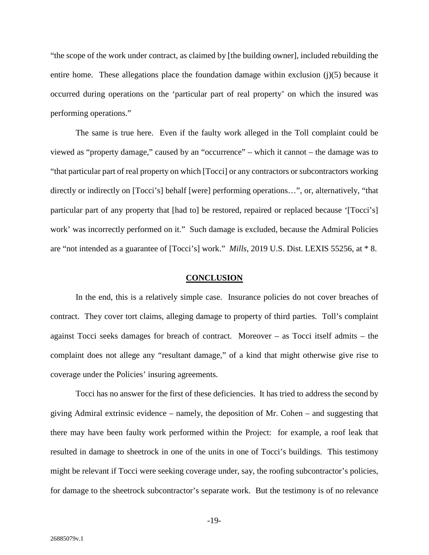"the scope of the work under contract, as claimed by [the building owner], included rebuilding the entire home. These allegations place the foundation damage within exclusion (j)(5) because it occurred during operations on the 'particular part of real property' on which the insured was performing operations."

The same is true here. Even if the faulty work alleged in the Toll complaint could be viewed as "property damage," caused by an "occurrence" – which it cannot – the damage was to "that particular part of real property on which [Tocci] or any contractors or subcontractors working directly or indirectly on [Tocci's] behalf [were] performing operations…", or, alternatively, "that particular part of any property that [had to] be restored, repaired or replaced because '[Tocci's] work' was incorrectly performed on it." Such damage is excluded, because the Admiral Policies are "not intended as a guarantee of [Tocci's] work." *Mills*, 2019 U.S. Dist. LEXIS 55256, at \* 8.

#### **CONCLUSION**

In the end, this is a relatively simple case. Insurance policies do not cover breaches of contract. They cover tort claims, alleging damage to property of third parties. Toll's complaint against Tocci seeks damages for breach of contract. Moreover – as Tocci itself admits – the complaint does not allege any "resultant damage," of a kind that might otherwise give rise to coverage under the Policies' insuring agreements.

Tocci has no answer for the first of these deficiencies. It has tried to address the second by giving Admiral extrinsic evidence – namely, the deposition of Mr. Cohen – and suggesting that there may have been faulty work performed within the Project: for example, a roof leak that resulted in damage to sheetrock in one of the units in one of Tocci's buildings. This testimony might be relevant if Tocci were seeking coverage under, say, the roofing subcontractor's policies, for damage to the sheetrock subcontractor's separate work. But the testimony is of no relevance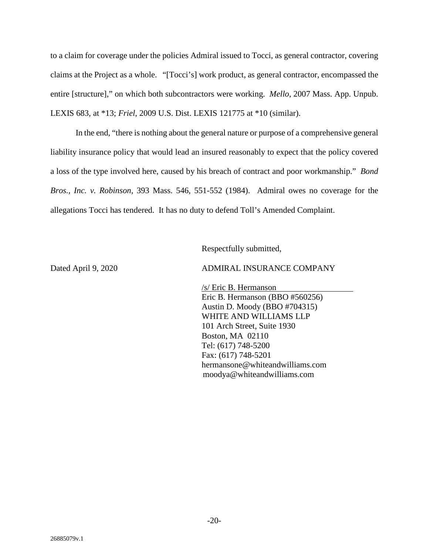to a claim for coverage under the policies Admiral issued to Tocci, as general contractor, covering claims at the Project as a whole. "[Tocci's] work product, as general contractor, encompassed the entire [structure]," on which both subcontractors were working. *Mello*, 2007 Mass. App. Unpub. LEXIS 683*,* at \*13; *Friel*, 2009 U.S. Dist. LEXIS 121775 at \*10 (similar).

In the end, "there is nothing about the general nature or purpose of a comprehensive general liability insurance policy that would lead an insured reasonably to expect that the policy covered a loss of the type involved here, caused by his breach of contract and poor workmanship." *Bond Bros., Inc. v. Robinson*, 393 Mass. 546, 551-552 (1984). Admiral owes no coverage for the allegations Tocci has tendered. It has no duty to defend Toll's Amended Complaint.

Respectfully submitted,

Dated April 9, 2020 ADMIRAL INSURANCE COMPANY

/s/ Eric B. Hermanson Eric B. Hermanson (BBO #560256) Austin D. Moody (BBO #704315) WHITE AND WILLIAMS LLP 101 Arch Street, Suite 1930 Boston, MA 02110 Tel: (617) 748-5200 Fax: (617) 748-5201 hermansone@whiteandwilliams.com moodya@whiteandwilliams.com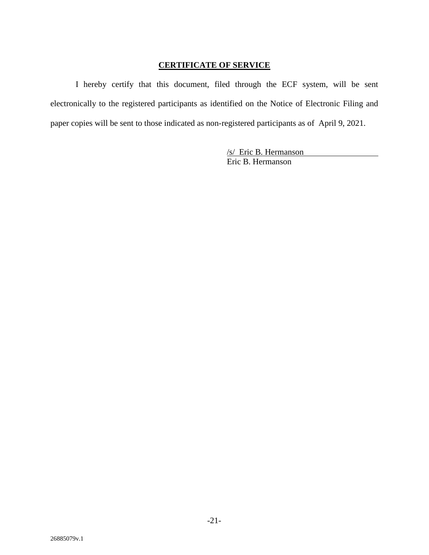# **CERTIFICATE OF SERVICE**

I hereby certify that this document, filed through the ECF system, will be sent electronically to the registered participants as identified on the Notice of Electronic Filing and paper copies will be sent to those indicated as non-registered participants as of April 9, 2021.

> /s/ Eric B. Hermanson Eric B. Hermanson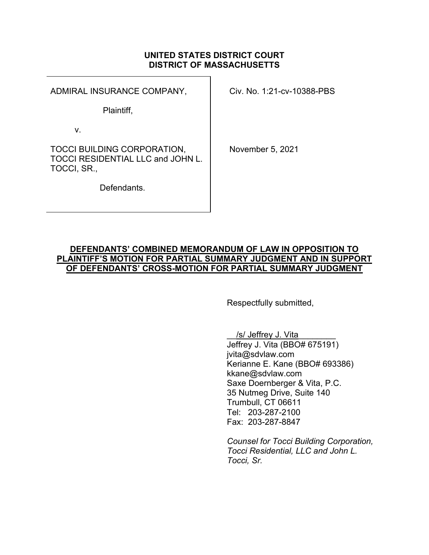# UNITED STATES DISTRICT COURT DISTRICT OF MASSACHUSETTS

ADMIRAL INSURANCE COMPANY,

Civ. No. 1:21-cv-10388-PBS

Plaintiff,

v.

TOCCI BUILDING CORPORATION, TOCCI RESIDENTIAL LLC and JOHN L. TOCCI, SR.,

November 5, 2021

Defendants.

# DEFENDANTS' COMBINED MEMORANDUM OF LAW IN OPPOSITION TO PLAINTIFF'S MOTION FOR PARTIAL SUMMARY JUDGMENT AND IN SUPPORT OF DEFENDANTS' CROSS-MOTION FOR PARTIAL SUMMARY JUDGMENT

Respectfully submitted,

/s/ Jeffrey J. Vita Jeffrey J. Vita (BBO# 675191) jvita@sdvlaw.com Kerianne E. Kane (BBO# 693386) kkane@sdvlaw.com Saxe Doernberger & Vita, P.C. 35 Nutmeg Drive, Suite 140 Trumbull, CT 06611 Tel: 203-287-2100 Fax: 203-287-8847

Counsel for Tocci Building Corporation, Tocci Residential, LLC and John L. Tocci, Sr.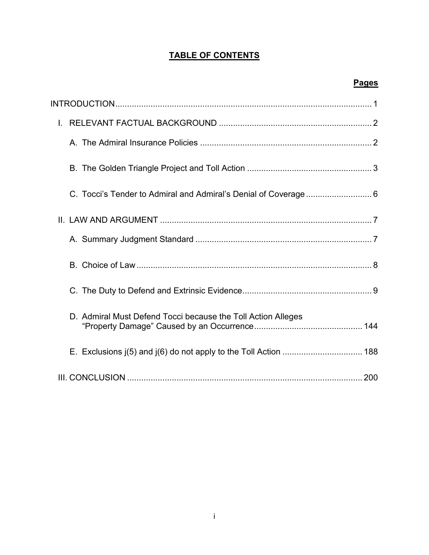# TABLE OF CONTENTS

# Pages

| $\mathbf{L}$ |                                                                 |  |
|--------------|-----------------------------------------------------------------|--|
|              |                                                                 |  |
|              |                                                                 |  |
|              | C. Tocci's Tender to Admiral and Admiral's Denial of Coverage 6 |  |
|              |                                                                 |  |
|              |                                                                 |  |
|              |                                                                 |  |
|              |                                                                 |  |
|              | D. Admiral Must Defend Tocci because the Toll Action Alleges    |  |
|              |                                                                 |  |
|              |                                                                 |  |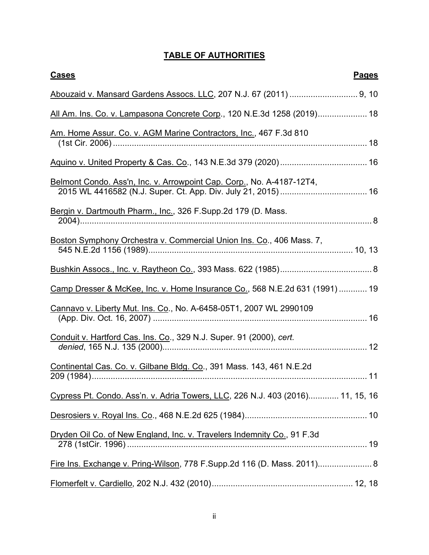# TABLE OF AUTHORITIES

| <b>Cases</b><br><b>Pages</b>                                                   |  |
|--------------------------------------------------------------------------------|--|
| Abouzaid v. Mansard Gardens Assocs. LLC, 207 N.J. 67 (2011)  9, 10             |  |
| All Am. Ins. Co. v. Lampasona Concrete Corp., 120 N.E.3d 1258 (2019) 18        |  |
| Am. Home Assur. Co. v. AGM Marine Contractors, Inc., 467 F.3d 810              |  |
|                                                                                |  |
| Belmont Condo. Ass'n, Inc. v. Arrowpoint Cap. Corp., No. A-4187-12T4,          |  |
| Bergin v. Dartmouth Pharm., Inc., 326 F.Supp.2d 179 (D. Mass.                  |  |
| Boston Symphony Orchestra v. Commercial Union Ins. Co., 406 Mass. 7,           |  |
|                                                                                |  |
| Camp Dresser & McKee, Inc. v. Home Insurance Co., 568 N.E.2d 631 (1991) 19     |  |
| Cannavo v. Liberty Mut. Ins. Co., No. A-6458-05T1, 2007 WL 2990109             |  |
| Conduit v. Hartford Cas. Ins. Co., 329 N.J. Super. 91 (2000), cert.            |  |
| Continental Cas. Co. v. Gilbane Bldg. Co., 391 Mass. 143, 461 N.E.2d           |  |
| Cypress Pt. Condo. Ass'n. v. Adria Towers, LLC, 226 N.J. 403 (2016) 11, 15, 16 |  |
|                                                                                |  |
| Dryden Oil Co. of New England, Inc. v. Travelers Indemnity Co., 91 F.3d        |  |
| Fire Ins. Exchange v. Pring-Wilson, 778 F.Supp.2d 116 (D. Mass. 2011) 8        |  |
|                                                                                |  |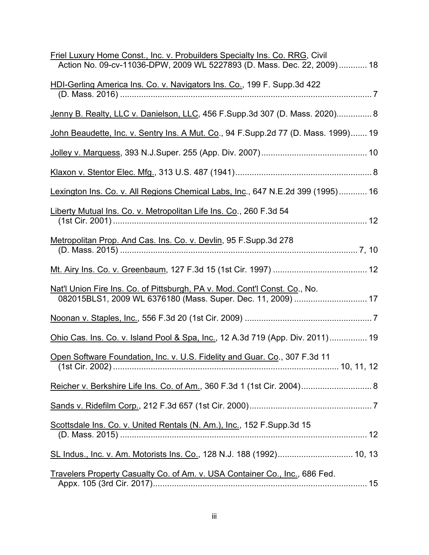| Friel Luxury Home Const., Inc. v. Probuilders Specialty Ins. Co. RRG, Civil<br>Action No. 09-cv-11036-DPW, 2009 WL 5227893 (D. Mass. Dec. 22, 2009) 18 |
|--------------------------------------------------------------------------------------------------------------------------------------------------------|
| HDI-Gerling America Ins. Co. v. Navigators Ins. Co., 199 F. Supp.3d 422                                                                                |
| Jenny B. Realty, LLC v. Danielson, LLC, 456 F.Supp.3d 307 (D. Mass. 2020) 8                                                                            |
| John Beaudette, Inc. v. Sentry Ins. A Mut. Co., 94 F.Supp.2d 77 (D. Mass. 1999) 19                                                                     |
|                                                                                                                                                        |
|                                                                                                                                                        |
| Lexington Ins. Co. v. All Regions Chemical Labs, Inc., 647 N.E.2d 399 (1995) 16                                                                        |
| Liberty Mutual Ins. Co. v. Metropolitan Life Ins. Co., 260 F.3d 54                                                                                     |
| Metropolitan Prop. And Cas. Ins. Co. v. Devlin, 95 F.Supp.3d 278                                                                                       |
|                                                                                                                                                        |
| Nat'l Union Fire Ins. Co. of Pittsburgh, PA v. Mod. Cont'l Const. Co., No.<br>082015BLS1, 2009 WL 6376180 (Mass. Super. Dec. 11, 2009)  17             |
|                                                                                                                                                        |
| Ohio Cas. Ins. Co. v. Island Pool & Spa, Inc., 12 A.3d 719 (App. Div. 2011) 19                                                                         |
| Open Software Foundation, Inc. v. U.S. Fidelity and Guar. Co., 307 F.3d 11                                                                             |
| Reicher v. Berkshire Life Ins. Co. of Am., 360 F.3d 1 (1st Cir. 2004) 8                                                                                |
|                                                                                                                                                        |
| Scottsdale Ins. Co. v. United Rentals (N. Am.), Inc., 152 F. Supp.3d 15                                                                                |
| SL Indus., Inc. v. Am. Motorists Ins. Co., 128 N.J. 188 (1992) 10, 13                                                                                  |
| Travelers Property Casualty Co. of Am. v. USA Container Co., Inc., 686 Fed.                                                                            |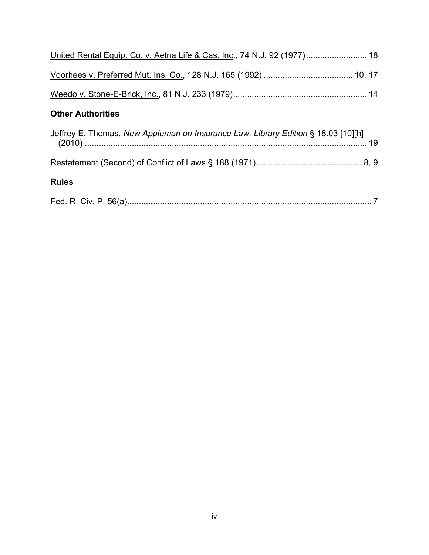| United Rental Equip. Co. v. Aetna Life & Cas. Inc., 74 N.J. 92 (1977) 18          |  |  |  |
|-----------------------------------------------------------------------------------|--|--|--|
|                                                                                   |  |  |  |
|                                                                                   |  |  |  |
| <b>Other Authorities</b>                                                          |  |  |  |
| Jeffrey E. Thomas, New Appleman on Insurance Law, Library Edition § 18.03 [10][h] |  |  |  |
|                                                                                   |  |  |  |
| <b>Rules</b>                                                                      |  |  |  |
|                                                                                   |  |  |  |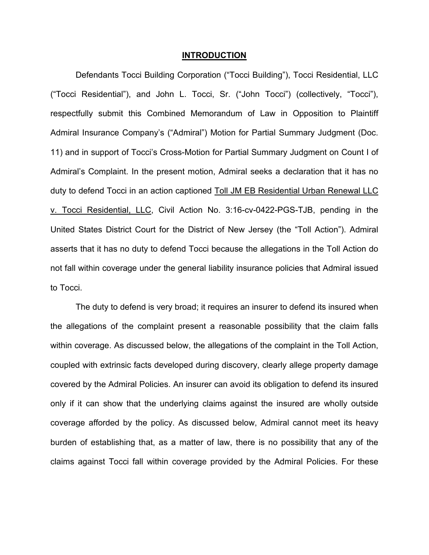#### **INTRODUCTION**

Defendants Tocci Building Corporation ("Tocci Building"), Tocci Residential, LLC ("Tocci Residential"), and John L. Tocci, Sr. ("John Tocci") (collectively, "Tocci"), respectfully submit this Combined Memorandum of Law in Opposition to Plaintiff Admiral Insurance Company's ("Admiral") Motion for Partial Summary Judgment (Doc. 11) and in support of Tocci's Cross-Motion for Partial Summary Judgment on Count I of Admiral's Complaint. In the present motion, Admiral seeks a declaration that it has no duty to defend Tocci in an action captioned Toll JM EB Residential Urban Renewal LLC v. Tocci Residential, LLC, Civil Action No. 3:16-cv-0422-PGS-TJB, pending in the United States District Court for the District of New Jersey (the "Toll Action"). Admiral asserts that it has no duty to defend Tocci because the allegations in the Toll Action do not fall within coverage under the general liability insurance policies that Admiral issued to Tocci.

The duty to defend is very broad; it requires an insurer to defend its insured when the allegations of the complaint present a reasonable possibility that the claim falls within coverage. As discussed below, the allegations of the complaint in the Toll Action, coupled with extrinsic facts developed during discovery, clearly allege property damage covered by the Admiral Policies. An insurer can avoid its obligation to defend its insured only if it can show that the underlying claims against the insured are wholly outside coverage afforded by the policy. As discussed below, Admiral cannot meet its heavy burden of establishing that, as a matter of law, there is no possibility that any of the claims against Tocci fall within coverage provided by the Admiral Policies. For these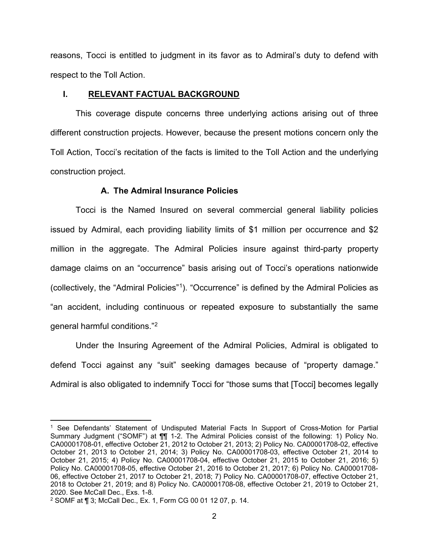reasons, Tocci is entitled to judgment in its favor as to Admiral's duty to defend with respect to the Toll Action.

### I. RELEVANT FACTUAL BACKGROUND

This coverage dispute concerns three underlying actions arising out of three different construction projects. However, because the present motions concern only the Toll Action, Tocci's recitation of the facts is limited to the Toll Action and the underlying construction project.

### A. The Admiral Insurance Policies

Tocci is the Named Insured on several commercial general liability policies issued by Admiral, each providing liability limits of \$1 million per occurrence and \$2 million in the aggregate. The Admiral Policies insure against third-party property damage claims on an "occurrence" basis arising out of Tocci's operations nationwide (collectively, the "Admiral Policies"<sup>1</sup> ). "Occurrence" is defined by the Admiral Policies as "an accident, including continuous or repeated exposure to substantially the same general harmful conditions."<sup>2</sup>

Under the Insuring Agreement of the Admiral Policies, Admiral is obligated to defend Tocci against any "suit" seeking damages because of "property damage." Admiral is also obligated to indemnify Tocci for "those sums that [Tocci] becomes legally

<sup>1</sup> See Defendants' Statement of Undisputed Material Facts In Support of Cross-Motion for Partial Summary Judgment ("SOMF") at ¶¶ 1-2. The Admiral Policies consist of the following: 1) Policy No. CA00001708-01, effective October 21, 2012 to October 21, 2013; 2) Policy No. CA00001708-02, effective October 21, 2013 to October 21, 2014; 3) Policy No. CA00001708-03, effective October 21, 2014 to October 21, 2015; 4) Policy No. CA00001708-04, effective October 21, 2015 to October 21, 2016; 5) Policy No. CA00001708-05, effective October 21, 2016 to October 21, 2017; 6) Policy No. CA00001708- 06, effective October 21, 2017 to October 21, 2018; 7) Policy No. CA00001708-07, effective October 21, 2018 to October 21, 2019; and 8) Policy No. CA00001708-08, effective October 21, 2019 to October 21, 2020. See McCall Dec., Exs. 1-8.

<sup>2</sup> SOMF at ¶ 3; McCall Dec., Ex. 1, Form CG 00 01 12 07, p. 14.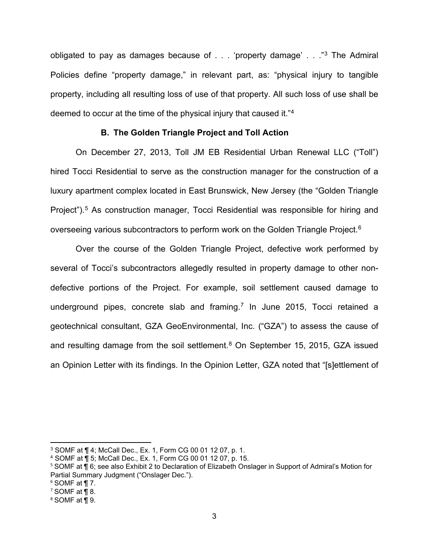obligated to pay as damages because of . . . 'property damage' . . ."<sup>3</sup> The Admiral Policies define "property damage," in relevant part, as: "physical injury to tangible property, including all resulting loss of use of that property. All such loss of use shall be deemed to occur at the time of the physical injury that caused it."<sup>4</sup>

# B. The Golden Triangle Project and Toll Action

On December 27, 2013, Toll JM EB Residential Urban Renewal LLC ("Toll") hired Tocci Residential to serve as the construction manager for the construction of a luxury apartment complex located in East Brunswick, New Jersey (the "Golden Triangle Project").<sup>5</sup> As construction manager, Tocci Residential was responsible for hiring and overseeing various subcontractors to perform work on the Golden Triangle Project.<sup>6</sup>

Over the course of the Golden Triangle Project, defective work performed by several of Tocci's subcontractors allegedly resulted in property damage to other nondefective portions of the Project. For example, soil settlement caused damage to underground pipes, concrete slab and framing.<sup>7</sup> In June 2015, Tocci retained a geotechnical consultant, GZA GeoEnvironmental, Inc. ("GZA") to assess the cause of and resulting damage from the soil settlement.<sup>8</sup> On September 15, 2015, GZA issued an Opinion Letter with its findings. In the Opinion Letter, GZA noted that "[s]ettlement of

<sup>3</sup> SOMF at ¶ 4; McCall Dec., Ex. 1, Form CG 00 01 12 07, p. 1.

<sup>4</sup> SOMF at ¶ 5; McCall Dec., Ex. 1, Form CG 00 01 12 07, p. 15.

<sup>5</sup> SOMF at ¶ 6; see also Exhibit 2 to Declaration of Elizabeth Onslager in Support of Admiral's Motion for Partial Summary Judgment ("Onslager Dec.").

 $6$  SOMF at ¶ 7.

 $7$  SOMF at ¶ 8.

<sup>8</sup> SOMF at ¶ 9.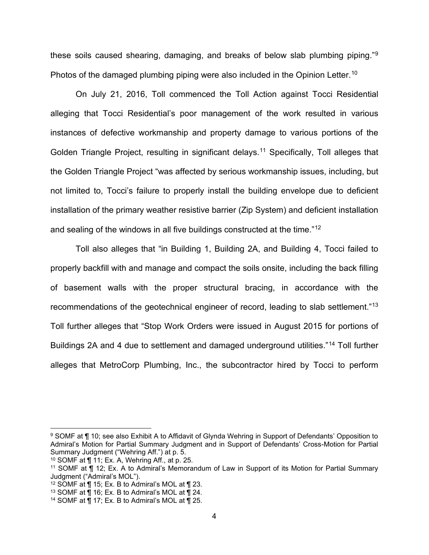these soils caused shearing, damaging, and breaks of below slab plumbing piping."<sup>9</sup> Photos of the damaged plumbing piping were also included in the Opinion Letter.<sup>10</sup>

On July 21, 2016, Toll commenced the Toll Action against Tocci Residential alleging that Tocci Residential's poor management of the work resulted in various instances of defective workmanship and property damage to various portions of the Golden Triangle Project, resulting in significant delays.<sup>11</sup> Specifically, Toll alleges that the Golden Triangle Project "was affected by serious workmanship issues, including, but not limited to, Tocci's failure to properly install the building envelope due to deficient installation of the primary weather resistive barrier (Zip System) and deficient installation and sealing of the windows in all five buildings constructed at the time."<sup>12</sup>

Toll also alleges that "in Building 1, Building 2A, and Building 4, Tocci failed to properly backfill with and manage and compact the soils onsite, including the back filling of basement walls with the proper structural bracing, in accordance with the recommendations of the geotechnical engineer of record, leading to slab settlement."<sup>13</sup> Toll further alleges that "Stop Work Orders were issued in August 2015 for portions of Buildings 2A and 4 due to settlement and damaged underground utilities."<sup>14</sup> Toll further alleges that MetroCorp Plumbing, Inc., the subcontractor hired by Tocci to perform

<sup>9</sup> SOMF at ¶ 10; see also Exhibit A to Affidavit of Glynda Wehring in Support of Defendants' Opposition to Admiral's Motion for Partial Summary Judgment and in Support of Defendants' Cross-Motion for Partial Summary Judgment ("Wehring Aff.") at p. 5.

<sup>10</sup> SOMF at ¶ 11; Ex. A, Wehring Aff., at p. 25.

<sup>11</sup> SOMF at ¶ 12; Ex. A to Admiral's Memorandum of Law in Support of its Motion for Partial Summary Judgment ("Admiral's MOL").

<sup>&</sup>lt;sup>12</sup> SOMF at  $\P$  15; Ex. B to Admiral's MOL at  $\P$  23.

<sup>&</sup>lt;sup>13</sup> SOMF at  $\overline{\P}$  16; Ex. B to Admiral's MOL at  $\overline{\P}$  24.

<sup>&</sup>lt;sup>14</sup> SOMF at  $\P$  17; Ex. B to Admiral's MOL at  $\P$  25.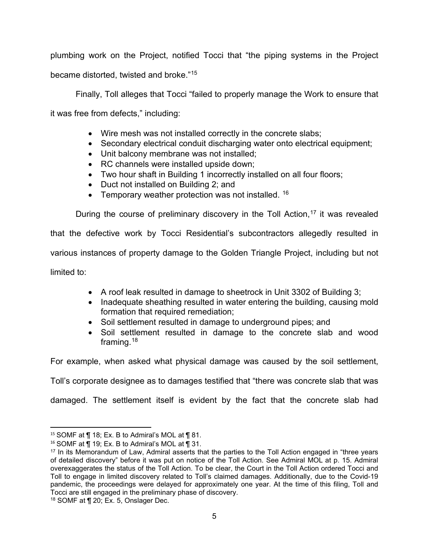plumbing work on the Project, notified Tocci that "the piping systems in the Project became distorted, twisted and broke."<sup>15</sup>

Finally, Toll alleges that Tocci "failed to properly manage the Work to ensure that it was free from defects," including:

- Wire mesh was not installed correctly in the concrete slabs;
- Secondary electrical conduit discharging water onto electrical equipment;
- Unit balcony membrane was not installed;
- RC channels were installed upside down;
- Two hour shaft in Building 1 incorrectly installed on all four floors;
- Duct not installed on Building 2; and
- Temporary weather protection was not installed.  $16$

During the course of preliminary discovery in the Toll Action,  $17$  it was revealed that the defective work by Tocci Residential's subcontractors allegedly resulted in various instances of property damage to the Golden Triangle Project, including but not limited to:

- A roof leak resulted in damage to sheetrock in Unit 3302 of Building 3;
- Inadequate sheathing resulted in water entering the building, causing mold formation that required remediation;
- Soil settlement resulted in damage to underground pipes; and
- Soil settlement resulted in damage to the concrete slab and wood framing.<sup>18</sup>

For example, when asked what physical damage was caused by the soil settlement,

Toll's corporate designee as to damages testified that "there was concrete slab that was

damaged. The settlement itself is evident by the fact that the concrete slab had

<sup>&</sup>lt;sup>15</sup> SOMF at  $\P$  18; Ex. B to Admiral's MOL at  $\P$  81.

<sup>&</sup>lt;sup>16</sup> SOMF at  $\overline{P}$  19; Ex. B to Admiral's MOL at  $\overline{P}$  31.

<sup>&</sup>lt;sup>17</sup> In its Memorandum of Law, Admiral asserts that the parties to the Toll Action engaged in "three years" of detailed discovery" before it was put on notice of the Toll Action. See Admiral MOL at p. 15. Admiral overexaggerates the status of the Toll Action. To be clear, the Court in the Toll Action ordered Tocci and Toll to engage in limited discovery related to Toll's claimed damages. Additionally, due to the Covid-19 pandemic, the proceedings were delayed for approximately one year. At the time of this filing, Toll and Tocci are still engaged in the preliminary phase of discovery.

<sup>18</sup> SOMF at ¶ 20; Ex. 5, Onslager Dec.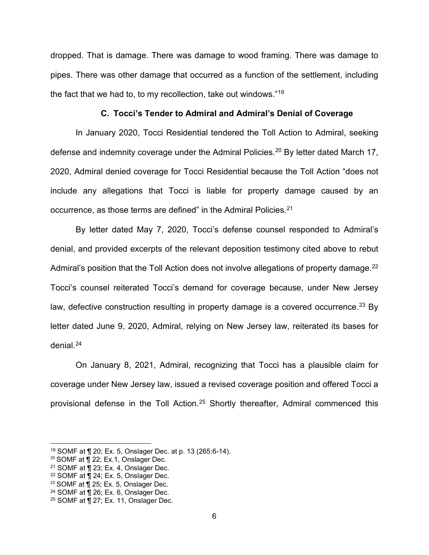dropped. That is damage. There was damage to wood framing. There was damage to pipes. There was other damage that occurred as a function of the settlement, including the fact that we had to, to my recollection, take out windows."<sup>19</sup>

### C. Tocci's Tender to Admiral and Admiral's Denial of Coverage

In January 2020, Tocci Residential tendered the Toll Action to Admiral, seeking defense and indemnity coverage under the Admiral Policies.<sup>20</sup> By letter dated March 17, 2020, Admiral denied coverage for Tocci Residential because the Toll Action "does not include any allegations that Tocci is liable for property damage caused by an occurrence, as those terms are defined" in the Admiral Policies.<sup>21</sup>

By letter dated May 7, 2020, Tocci's defense counsel responded to Admiral's denial, and provided excerpts of the relevant deposition testimony cited above to rebut Admiral's position that the Toll Action does not involve allegations of property damage.<sup>22</sup> Tocci's counsel reiterated Tocci's demand for coverage because, under New Jersey law, defective construction resulting in property damage is a covered occurrence.<sup>23</sup> By letter dated June 9, 2020, Admiral, relying on New Jersey law, reiterated its bases for denial.<sup>24</sup>

On January 8, 2021, Admiral, recognizing that Tocci has a plausible claim for coverage under New Jersey law, issued a revised coverage position and offered Tocci a provisional defense in the Toll Action.<sup>25</sup> Shortly thereafter, Admiral commenced this

<sup>19</sup> SOMF at ¶ 20; Ex. 5, Onslager Dec. at p. 13 (265:6-14).

<sup>&</sup>lt;sup>20</sup> SOMF at ¶ 22; Ex.1, Onslager Dec.

<sup>21</sup> SOMF at ¶ 23; Ex. 4, Onslager Dec.

 $22$  SOMF at  $\P$  24; Ex. 5, Onslager Dec.

<sup>&</sup>lt;sup>23</sup> SOMF at ¶ 25; Ex. 5, Onslager Dec.

<sup>&</sup>lt;sup>24</sup> SOMF at  $\P$  26; Ex. 6, Onslager Dec.

<sup>25</sup> SOMF at ¶ 27; Ex. 11, Onslager Dec.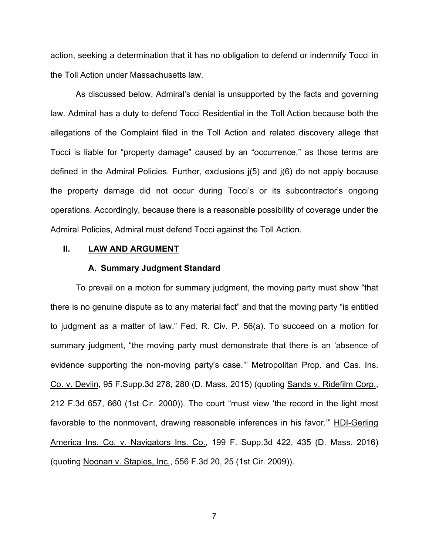action, seeking a determination that it has no obligation to defend or indemnify Tocci in the Toll Action under Massachusetts law.

As discussed below, Admiral's denial is unsupported by the facts and governing law. Admiral has a duty to defend Tocci Residential in the Toll Action because both the allegations of the Complaint filed in the Toll Action and related discovery allege that Tocci is liable for "property damage" caused by an "occurrence," as those terms are defined in the Admiral Policies. Further, exclusions j(5) and j(6) do not apply because the property damage did not occur during Tocci's or its subcontractor's ongoing operations. Accordingly, because there is a reasonable possibility of coverage under the Admiral Policies, Admiral must defend Tocci against the Toll Action.

### II. LAW AND ARGUMENT

#### A. Summary Judgment Standard

To prevail on a motion for summary judgment, the moving party must show "that there is no genuine dispute as to any material fact" and that the moving party "is entitled to judgment as a matter of law." Fed. R. Civ. P. 56(a). To succeed on a motion for summary judgment, "the moving party must demonstrate that there is an 'absence of evidence supporting the non-moving party's case." Metropolitan Prop. and Cas. Ins. Co. v. Devlin, 95 F.Supp.3d 278, 280 (D. Mass. 2015) (quoting Sands v. Ridefilm Corp., 212 F.3d 657, 660 (1st Cir. 2000)). The court "must view 'the record in the light most favorable to the nonmovant, drawing reasonable inferences in his favor.'" HDI-Gerling America Ins. Co. v. Navigators Ins. Co., 199 F. Supp.3d 422, 435 (D. Mass. 2016) (quoting Noonan v. Staples, Inc., 556 F.3d 20, 25 (1st Cir. 2009)).

7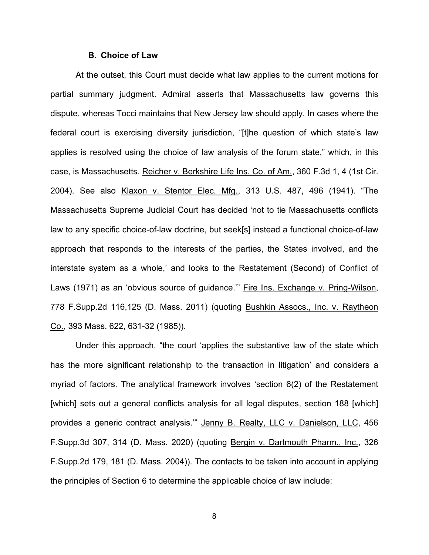#### B. Choice of Law

At the outset, this Court must decide what law applies to the current motions for partial summary judgment. Admiral asserts that Massachusetts law governs this dispute, whereas Tocci maintains that New Jersey law should apply. In cases where the federal court is exercising diversity jurisdiction, "[t]he question of which state's law applies is resolved using the choice of law analysis of the forum state," which, in this case, is Massachusetts. Reicher v. Berkshire Life Ins. Co. of Am., 360 F.3d 1, 4 (1st Cir. 2004). See also Klaxon v. Stentor Elec. Mfg., 313 U.S. 487, 496 (1941). "The Massachusetts Supreme Judicial Court has decided 'not to tie Massachusetts conflicts law to any specific choice-of-law doctrine, but seek[s] instead a functional choice-of-law approach that responds to the interests of the parties, the States involved, and the interstate system as a whole,' and looks to the Restatement (Second) of Conflict of Laws (1971) as an 'obvious source of guidance.'" Fire Ins. Exchange v. Pring-Wilson, 778 F.Supp.2d 116,125 (D. Mass. 2011) (quoting Bushkin Assocs., Inc. v. Raytheon Co., 393 Mass. 622, 631-32 (1985)).

Under this approach, "the court 'applies the substantive law of the state which has the more significant relationship to the transaction in litigation' and considers a myriad of factors. The analytical framework involves 'section 6(2) of the Restatement [which] sets out a general conflicts analysis for all legal disputes, section 188 [which] provides a generic contract analysis.'" Jenny B. Realty, LLC v. Danielson, LLC, 456 F.Supp.3d 307, 314 (D. Mass. 2020) (quoting Bergin v. Dartmouth Pharm., Inc., 326 F.Supp.2d 179, 181 (D. Mass. 2004)). The contacts to be taken into account in applying the principles of Section 6 to determine the applicable choice of law include:

8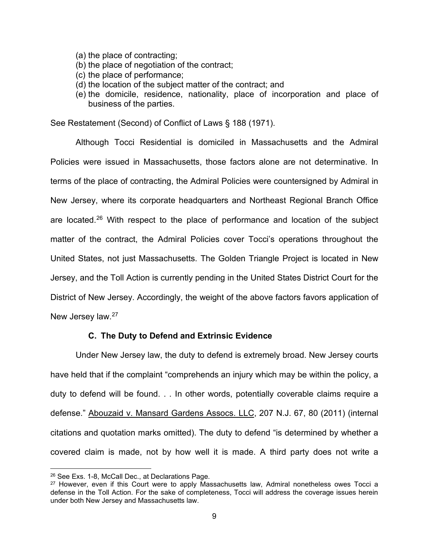- (a) the place of contracting;
- (b) the place of negotiation of the contract;
- (c) the place of performance;
- (d) the location of the subject matter of the contract; and
- (e) the domicile, residence, nationality, place of incorporation and place of business of the parties.

See Restatement (Second) of Conflict of Laws § 188 (1971).

Although Tocci Residential is domiciled in Massachusetts and the Admiral Policies were issued in Massachusetts, those factors alone are not determinative. In terms of the place of contracting, the Admiral Policies were countersigned by Admiral in New Jersey, where its corporate headquarters and Northeast Regional Branch Office are located.<sup>26</sup> With respect to the place of performance and location of the subject matter of the contract, the Admiral Policies cover Tocci's operations throughout the United States, not just Massachusetts. The Golden Triangle Project is located in New Jersey, and the Toll Action is currently pending in the United States District Court for the District of New Jersey. Accordingly, the weight of the above factors favors application of New Jersey law.<sup>27</sup>

### C. The Duty to Defend and Extrinsic Evidence

Under New Jersey law, the duty to defend is extremely broad. New Jersey courts have held that if the complaint "comprehends an injury which may be within the policy, a duty to defend will be found. . . In other words, potentially coverable claims require a defense." Abouzaid v. Mansard Gardens Assocs. LLC, 207 N.J. 67, 80 (2011) (internal citations and quotation marks omitted). The duty to defend "is determined by whether a covered claim is made, not by how well it is made. A third party does not write a

<sup>26</sup> See Exs. 1-8, McCall Dec., at Declarations Page.

<sup>&</sup>lt;sup>27</sup> However, even if this Court were to apply Massachusetts law, Admiral nonetheless owes Tocci a defense in the Toll Action. For the sake of completeness, Tocci will address the coverage issues herein under both New Jersey and Massachusetts law.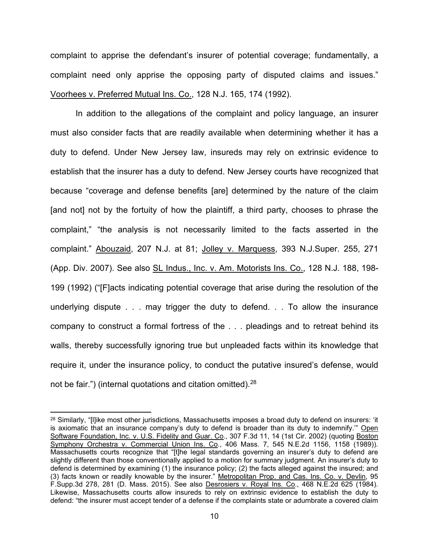complaint to apprise the defendant's insurer of potential coverage; fundamentally, a complaint need only apprise the opposing party of disputed claims and issues." Voorhees v. Preferred Mutual Ins. Co., 128 N.J. 165, 174 (1992).

In addition to the allegations of the complaint and policy language, an insurer must also consider facts that are readily available when determining whether it has a duty to defend. Under New Jersey law, insureds may rely on extrinsic evidence to establish that the insurer has a duty to defend. New Jersey courts have recognized that because "coverage and defense benefits [are] determined by the nature of the claim [and not] not by the fortuity of how the plaintiff, a third party, chooses to phrase the complaint," "the analysis is not necessarily limited to the facts asserted in the complaint." Abouzaid, 207 N.J. at 81; Jolley v. Marquess, 393 N.J.Super. 255, 271 (App. Div. 2007). See also SL Indus., Inc. v. Am. Motorists Ins. Co., 128 N.J. 188, 198- 199 (1992) ("[F]acts indicating potential coverage that arise during the resolution of the underlying dispute . . . may trigger the duty to defend. . . To allow the insurance company to construct a formal fortress of the . . . pleadings and to retreat behind its walls, thereby successfully ignoring true but unpleaded facts within its knowledge that require it, under the insurance policy, to conduct the putative insured's defense, would not be fair.") (internal quotations and citation omitted).<sup>28</sup>

<sup>&</sup>lt;sup>28</sup> Similarly, "[I]ike most other jurisdictions, Massachusetts imposes a broad duty to defend on insurers: 'it is axiomatic that an insurance company's duty to defend is broader than its duty to indemnify." Open Software Foundation, Inc. v. U.S. Fidelity and Guar. Co., 307 F.3d 11, 14 (1st Cir. 2002) (quoting Boston Symphony Orchestra v. Commercial Union Ins. Co., 406 Mass. 7, 545 N.E.2d 1156, 1158 (1989)). Massachusetts courts recognize that "[t]he legal standards governing an insurer's duty to defend are slightly different than those conventionally applied to a motion for summary judgment. An insurer's duty to defend is determined by examining (1) the insurance policy; (2) the facts alleged against the insured; and (3) facts known or readily knowable by the insurer." Metropolitan Prop. and Cas. Ins. Co. v. Devlin, 95 F.Supp.3d 278, 281 (D. Mass. 2015). See also Desrosiers v. Royal Ins. Co., 468 N.E.2d 625 (1984). Likewise, Massachusetts courts allow insureds to rely on extrinsic evidence to establish the duty to defend: "the insurer must accept tender of a defense if the complaints state or adumbrate a covered claim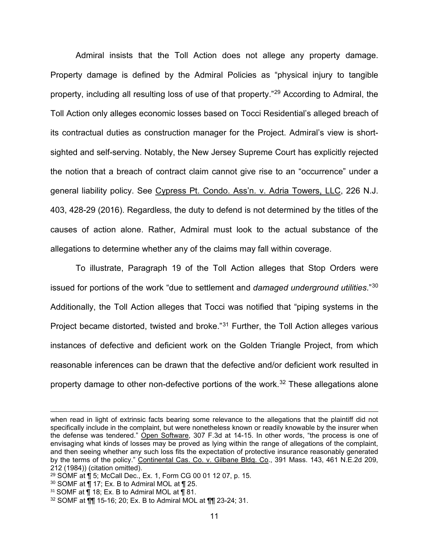Admiral insists that the Toll Action does not allege any property damage. Property damage is defined by the Admiral Policies as "physical injury to tangible property, including all resulting loss of use of that property."<sup>29</sup> According to Admiral, the Toll Action only alleges economic losses based on Tocci Residential's alleged breach of its contractual duties as construction manager for the Project. Admiral's view is shortsighted and self-serving. Notably, the New Jersey Supreme Court has explicitly rejected the notion that a breach of contract claim cannot give rise to an "occurrence" under a general liability policy. See Cypress Pt. Condo. Ass'n. v. Adria Towers, LLC, 226 N.J. 403, 428-29 (2016). Regardless, the duty to defend is not determined by the titles of the causes of action alone. Rather, Admiral must look to the actual substance of the allegations to determine whether any of the claims may fall within coverage.

To illustrate, Paragraph 19 of the Toll Action alleges that Stop Orders were issued for portions of the work "due to settlement and damaged underground utilities."30 Additionally, the Toll Action alleges that Tocci was notified that "piping systems in the Project became distorted, twisted and broke."<sup>31</sup> Further, the Toll Action alleges various instances of defective and deficient work on the Golden Triangle Project, from which reasonable inferences can be drawn that the defective and/or deficient work resulted in property damage to other non-defective portions of the work.<sup>32</sup> These allegations alone

when read in light of extrinsic facts bearing some relevance to the allegations that the plaintiff did not specifically include in the complaint, but were nonetheless known or readily knowable by the insurer when the defense was tendered." Open Software, 307 F.3d at 14-15. In other words, "the process is one of envisaging what kinds of losses may be proved as lying within the range of allegations of the complaint, and then seeing whether any such loss fits the expectation of protective insurance reasonably generated by the terms of the policy." Continental Cas. Co. v. Gilbane Bldg. Co., 391 Mass. 143, 461 N.E.2d 209, 212 (1984)) (citation omitted).

<sup>29</sup> SOMF at ¶ 5; McCall Dec., Ex. 1, Form CG 00 01 12 07, p. 15.

 $30$  SOMF at  $\overline{9}$  17; Ex. B to Admiral MOL at  $\overline{9}$  25.

 $31$  SOMF at  $\P$  18; Ex. B to Admiral MOL at  $\P$  81.

<sup>32</sup> SOMF at ¶¶ 15-16; 20; Ex. B to Admiral MOL at ¶¶ 23-24; 31.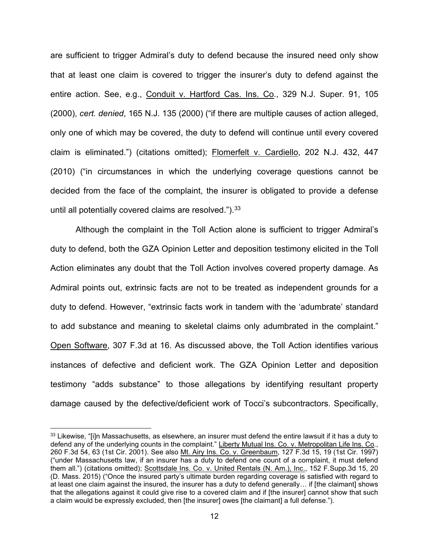are sufficient to trigger Admiral's duty to defend because the insured need only show that at least one claim is covered to trigger the insurer's duty to defend against the entire action. See, e.g., Conduit v. Hartford Cas. Ins. Co., 329 N.J. Super. 91, 105 (2000), cert. denied, 165 N.J. 135 (2000) ("if there are multiple causes of action alleged, only one of which may be covered, the duty to defend will continue until every covered claim is eliminated.") (citations omitted); Flomerfelt v. Cardiello, 202 N.J. 432, 447 (2010) ("in circumstances in which the underlying coverage questions cannot be decided from the face of the complaint, the insurer is obligated to provide a defense until all potentially covered claims are resolved." $b^{33}$ 

Although the complaint in the Toll Action alone is sufficient to trigger Admiral's duty to defend, both the GZA Opinion Letter and deposition testimony elicited in the Toll Action eliminates any doubt that the Toll Action involves covered property damage. As Admiral points out, extrinsic facts are not to be treated as independent grounds for a duty to defend. However, "extrinsic facts work in tandem with the 'adumbrate' standard to add substance and meaning to skeletal claims only adumbrated in the complaint." Open Software, 307 F.3d at 16. As discussed above, the Toll Action identifies various instances of defective and deficient work. The GZA Opinion Letter and deposition testimony "adds substance" to those allegations by identifying resultant property damage caused by the defective/deficient work of Tocci's subcontractors. Specifically,

<sup>33</sup> Likewise. "[i]n Massachusetts, as elsewhere, an insurer must defend the entire lawsuit if it has a duty to defend any of the underlying counts in the complaint." Liberty Mutual Ins. Co. v. Metropolitan Life Ins. Co., 260 F.3d 54, 63 (1st Cir. 2001). See also Mt. Airy Ins. Co. v. Greenbaum, 127 F.3d 15, 19 (1st Cir. 1997) ("under Massachusetts law, if an insurer has a duty to defend one count of a complaint, it must defend them all.") (citations omitted); Scottsdale Ins. Co. v. United Rentals (N. Am.), Inc., 152 F.Supp.3d 15, 20 (D. Mass. 2015) ("Once the insured party's ultimate burden regarding coverage is satisfied with regard to at least one claim against the insured, the insurer has a duty to defend generally… if [the claimant] shows that the allegations against it could give rise to a covered claim and if [the insurer] cannot show that such a claim would be expressly excluded, then [the insurer] owes [the claimant] a full defense.").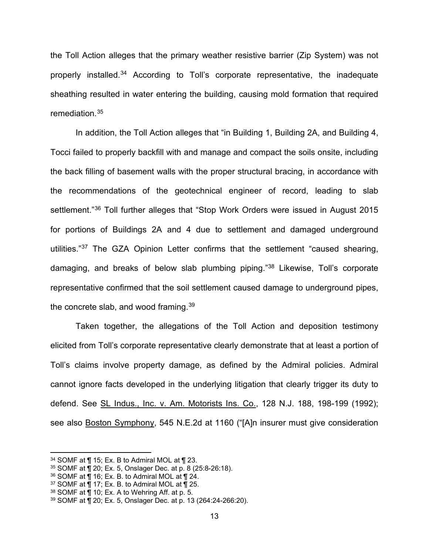the Toll Action alleges that the primary weather resistive barrier (Zip System) was not properly installed.<sup>34</sup> According to Toll's corporate representative, the inadequate sheathing resulted in water entering the building, causing mold formation that required remediation.<sup>35</sup>

In addition, the Toll Action alleges that "in Building 1, Building 2A, and Building 4, Tocci failed to properly backfill with and manage and compact the soils onsite, including the back filling of basement walls with the proper structural bracing, in accordance with the recommendations of the geotechnical engineer of record, leading to slab settlement."<sup>36</sup> Toll further alleges that "Stop Work Orders were issued in August 2015 for portions of Buildings 2A and 4 due to settlement and damaged underground utilities."<sup>37</sup> The GZA Opinion Letter confirms that the settlement "caused shearing, damaging, and breaks of below slab plumbing piping."<sup>38</sup> Likewise, Toll's corporate representative confirmed that the soil settlement caused damage to underground pipes, the concrete slab, and wood framing. $39$ 

Taken together, the allegations of the Toll Action and deposition testimony elicited from Toll's corporate representative clearly demonstrate that at least a portion of Toll's claims involve property damage, as defined by the Admiral policies. Admiral cannot ignore facts developed in the underlying litigation that clearly trigger its duty to defend. See SL Indus., Inc. v. Am. Motorists Ins. Co., 128 N.J. 188, 198-199 (1992); see also Boston Symphony, 545 N.E.2d at 1160 ("[A]n insurer must give consideration

<sup>34</sup> SOMF at ¶ 15; Ex. B to Admiral MOL at ¶ 23.

<sup>35</sup> SOMF at ¶ 20; Ex. 5, Onslager Dec. at p. 8 (25:8-26:18).

 $36$  SOMF at  $\overline{9}$  16; Ex. B. to Admiral MOL at  $\overline{9}$  24.

<sup>&</sup>lt;sup>37</sup> SOMF at  $\overline{P}$  17; Ex. B. to Admiral MOL at  $\overline{P}$  25.

 $38$  SOMF at  $\P$  10; Ex. A to Wehring Aff. at p. 5.

<sup>39</sup> SOMF at ¶ 20; Ex. 5, Onslager Dec. at p. 13 (264:24-266:20).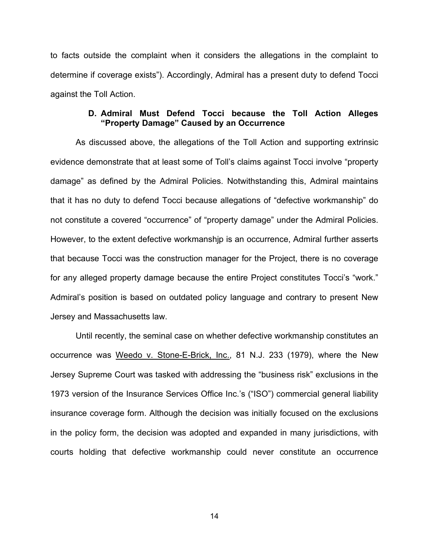to facts outside the complaint when it considers the allegations in the complaint to determine if coverage exists"). Accordingly, Admiral has a present duty to defend Tocci against the Toll Action.

#### D. Admiral Must Defend Tocci because the Toll Action Alleges "Property Damage" Caused by an Occurrence

As discussed above, the allegations of the Toll Action and supporting extrinsic evidence demonstrate that at least some of Toll's claims against Tocci involve "property damage" as defined by the Admiral Policies. Notwithstanding this, Admiral maintains that it has no duty to defend Tocci because allegations of "defective workmanship" do not constitute a covered "occurrence" of "property damage" under the Admiral Policies. However, to the extent defective workmanshjp is an occurrence, Admiral further asserts that because Tocci was the construction manager for the Project, there is no coverage for any alleged property damage because the entire Project constitutes Tocci's "work." Admiral's position is based on outdated policy language and contrary to present New Jersey and Massachusetts law.

Until recently, the seminal case on whether defective workmanship constitutes an occurrence was Weedo v. Stone-E-Brick, Inc., 81 N.J. 233 (1979), where the New Jersey Supreme Court was tasked with addressing the "business risk" exclusions in the 1973 version of the Insurance Services Office Inc.'s ("ISO") commercial general liability insurance coverage form. Although the decision was initially focused on the exclusions in the policy form, the decision was adopted and expanded in many jurisdictions, with courts holding that defective workmanship could never constitute an occurrence

14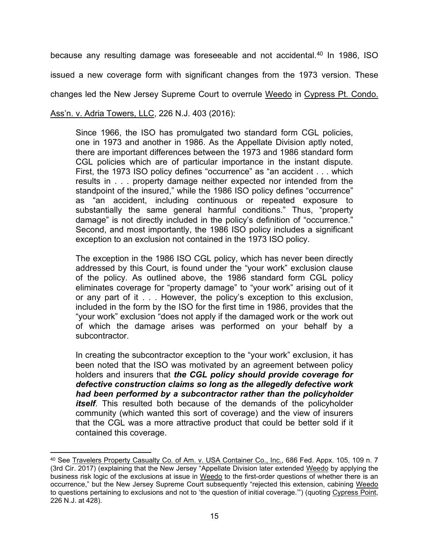because any resulting damage was foreseeable and not accidental.<sup>40</sup> In 1986, ISO

issued a new coverage form with significant changes from the 1973 version. These

changes led the New Jersey Supreme Court to overrule Weedo in Cypress Pt. Condo.

### Ass'n. v. Adria Towers, LLC, 226 N.J. 403 (2016):

Since 1966, the ISO has promulgated two standard form CGL policies, one in 1973 and another in 1986. As the Appellate Division aptly noted, there are important differences between the 1973 and 1986 standard form CGL policies which are of particular importance in the instant dispute. First, the 1973 ISO policy defines "occurrence" as "an accident . . . which results in . . . property damage neither expected nor intended from the standpoint of the insured," while the 1986 ISO policy defines "occurrence" as "an accident, including continuous or repeated exposure to substantially the same general harmful conditions." Thus, "property damage" is not directly included in the policy's definition of "occurrence." Second, and most importantly, the 1986 ISO policy includes a significant exception to an exclusion not contained in the 1973 ISO policy.

The exception in the 1986 ISO CGL policy, which has never been directly addressed by this Court, is found under the "your work" exclusion clause of the policy. As outlined above, the 1986 standard form CGL policy eliminates coverage for "property damage" to "your work" arising out of it or any part of it . . . However, the policy's exception to this exclusion, included in the form by the ISO for the first time in 1986, provides that the "your work" exclusion "does not apply if the damaged work or the work out of which the damage arises was performed on your behalf by a subcontractor.

In creating the subcontractor exception to the "your work" exclusion, it has been noted that the ISO was motivated by an agreement between policy holders and insurers that the CGL policy should provide coverage for defective construction claims so long as the allegedly defective work had been performed by a subcontractor rather than the policyholder *itself.* This resulted both because of the demands of the policyholder community (which wanted this sort of coverage) and the view of insurers that the CGL was a more attractive product that could be better sold if it contained this coverage.

<sup>40</sup> See Travelers Property Casualty Co. of Am. v. USA Container Co., Inc., 686 Fed. Appx. 105, 109 n. 7 (3rd Cir. 2017) (explaining that the New Jersey "Appellate Division later extended Weedo by applying the business risk logic of the exclusions at issue in Weedo to the first-order questions of whether there is an occurrence," but the New Jersey Supreme Court subsequently "rejected this extension, cabining Weedo to questions pertaining to exclusions and not to 'the question of initial coverage."") (quoting Cypress Point, 226 N.J. at 428).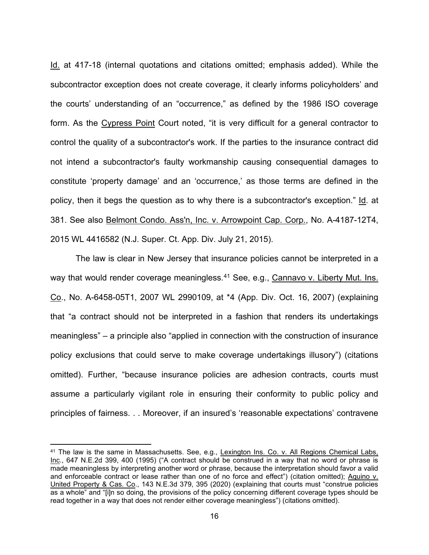Id. at 417-18 (internal quotations and citations omitted; emphasis added). While the subcontractor exception does not create coverage, it clearly informs policyholders' and the courts' understanding of an "occurrence," as defined by the 1986 ISO coverage form. As the Cypress Point Court noted, "it is very difficult for a general contractor to control the quality of a subcontractor's work. If the parties to the insurance contract did not intend a subcontractor's faulty workmanship causing consequential damages to constitute 'property damage' and an 'occurrence,' as those terms are defined in the policy, then it begs the question as to why there is a subcontractor's exception." Id. at 381. See also Belmont Condo. Ass'n, Inc. v. Arrowpoint Cap. Corp., No. A-4187-12T4, 2015 WL 4416582 (N.J. Super. Ct. App. Div. July 21, 2015).

The law is clear in New Jersey that insurance policies cannot be interpreted in a way that would render coverage meaningless.<sup>41</sup> See, e.g., Cannavo v. Liberty Mut. Ins. Co., No. A-6458-05T1, 2007 WL 2990109, at \*4 (App. Div. Oct. 16, 2007) (explaining that "a contract should not be interpreted in a fashion that renders its undertakings meaningless" – a principle also "applied in connection with the construction of insurance policy exclusions that could serve to make coverage undertakings illusory") (citations omitted). Further, "because insurance policies are adhesion contracts, courts must assume a particularly vigilant role in ensuring their conformity to public policy and principles of fairness. . . Moreover, if an insured's 'reasonable expectations' contravene

<sup>&</sup>lt;sup>41</sup> The law is the same in Massachusetts. See, e.g., Lexington Ins. Co. v. All Regions Chemical Labs, Inc., 647 N.E.2d 399, 400 (1995) ("A contract should be construed in a way that no word or phrase is made meaningless by interpreting another word or phrase, because the interpretation should favor a valid and enforceable contract or lease rather than one of no force and effect") (citation omitted); Aquino v. United Property & Cas. Co., 143 N.E.3d 379, 395 (2020) (explaining that courts must "construe policies as a whole" and "[i]n so doing, the provisions of the policy concerning different coverage types should be read together in a way that does not render either coverage meaningless") (citations omitted).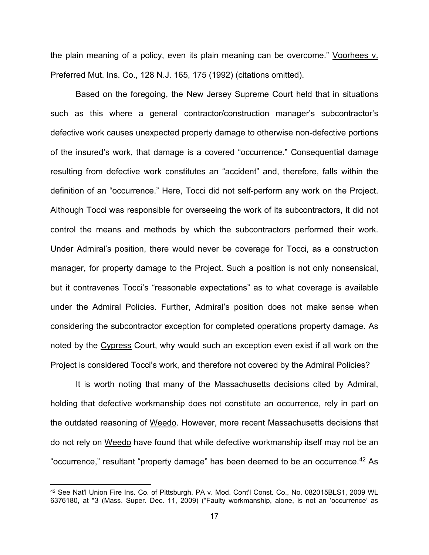the plain meaning of a policy, even its plain meaning can be overcome." Voorhees v. Preferred Mut. Ins. Co., 128 N.J. 165, 175 (1992) (citations omitted).

Based on the foregoing, the New Jersey Supreme Court held that in situations such as this where a general contractor/construction manager's subcontractor's defective work causes unexpected property damage to otherwise non-defective portions of the insured's work, that damage is a covered "occurrence." Consequential damage resulting from defective work constitutes an "accident" and, therefore, falls within the definition of an "occurrence." Here, Tocci did not self-perform any work on the Project. Although Tocci was responsible for overseeing the work of its subcontractors, it did not control the means and methods by which the subcontractors performed their work. Under Admiral's position, there would never be coverage for Tocci, as a construction manager, for property damage to the Project. Such a position is not only nonsensical, but it contravenes Tocci's "reasonable expectations" as to what coverage is available under the Admiral Policies. Further, Admiral's position does not make sense when considering the subcontractor exception for completed operations property damage. As noted by the Cypress Court, why would such an exception even exist if all work on the Project is considered Tocci's work, and therefore not covered by the Admiral Policies?

It is worth noting that many of the Massachusetts decisions cited by Admiral, holding that defective workmanship does not constitute an occurrence, rely in part on the outdated reasoning of Weedo. However, more recent Massachusetts decisions that do not rely on Weedo have found that while defective workmanship itself may not be an "occurrence," resultant "property damage" has been deemed to be an occurrence.<sup>42</sup> As

<sup>42</sup> See Nat'l Union Fire Ins. Co. of Pittsburgh, PA v. Mod. Cont'l Const. Co., No. 082015BLS1, 2009 WL 6376180, at \*3 (Mass. Super. Dec. 11, 2009) ("Faulty workmanship, alone, is not an 'occurrence' as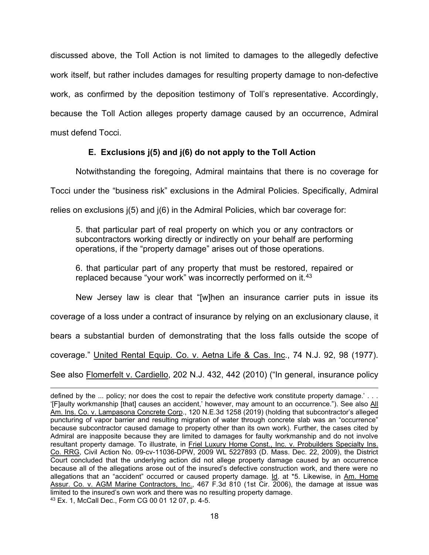discussed above, the Toll Action is not limited to damages to the allegedly defective work itself, but rather includes damages for resulting property damage to non-defective work, as confirmed by the deposition testimony of Toll's representative. Accordingly, because the Toll Action alleges property damage caused by an occurrence, Admiral must defend Tocci.

# E. Exclusions j(5) and j(6) do not apply to the Toll Action

Notwithstanding the foregoing, Admiral maintains that there is no coverage for Tocci under the "business risk" exclusions in the Admiral Policies. Specifically, Admiral relies on exclusions j(5) and j(6) in the Admiral Policies, which bar coverage for:

5. that particular part of real property on which you or any contractors or subcontractors working directly or indirectly on your behalf are performing operations, if the "property damage" arises out of those operations.

6. that particular part of any property that must be restored, repaired or replaced because "your work" was incorrectly performed on it.<sup>43</sup>

New Jersey law is clear that "[w]hen an insurance carrier puts in issue its

coverage of a loss under a contract of insurance by relying on an exclusionary clause, it

bears a substantial burden of demonstrating that the loss falls outside the scope of

coverage." United Rental Equip. Co. v. Aetna Life & Cas. Inc., 74 N.J. 92, 98 (1977).

See also Flomerfelt v. Cardiello, 202 N.J. 432, 442 (2010) ("In general, insurance policy

defined by the ... policy; nor does the cost to repair the defective work constitute property damage.' . . . '[F]aulty workmanship [that] causes an accident,' however, may amount to an occurrence."). See also All Am. Ins. Co. v. Lampasona Concrete Corp., 120 N.E.3d 1258 (2019) (holding that subcontractor's alleged puncturing of vapor barrier and resulting migration of water through concrete slab was an "occurrence" because subcontractor caused damage to property other than its own work). Further, the cases cited by Admiral are inapposite because they are limited to damages for faulty workmanship and do not involve resultant property damage. To illustrate, in Friel Luxury Home Const., Inc. v. Probuilders Specialty Ins. Co. RRG, Civil Action No. 09-cv-11036-DPW, 2009 WL 5227893 (D. Mass. Dec. 22, 2009), the District Court concluded that the underlying action did not allege property damage caused by an occurrence because all of the allegations arose out of the insured's defective construction work, and there were no allegations that an "accident" occurred or caused property damage. Id. at \*5. Likewise, in Am. Home Assur. Co. v. AGM Marine Contractors, Inc., 467 F.3d 810 (1st Cir. 2006), the damage at issue was limited to the insured's own work and there was no resulting property damage. 43 Ex. 1, McCall Dec., Form CG 00 01 12 07, p. 4-5.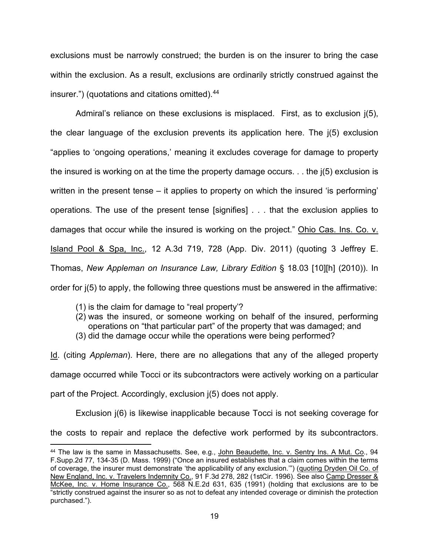exclusions must be narrowly construed; the burden is on the insurer to bring the case within the exclusion. As a result, exclusions are ordinarily strictly construed against the insurer.") (quotations and citations omitted).<sup>44</sup>

Admiral's reliance on these exclusions is misplaced. First, as to exclusion j(5), the clear language of the exclusion prevents its application here. The j(5) exclusion "applies to 'ongoing operations,' meaning it excludes coverage for damage to property the insured is working on at the time the property damage occurs. . . the j(5) exclusion is written in the present tense – it applies to property on which the insured 'is performing' operations. The use of the present tense [signifies] . . . that the exclusion applies to damages that occur while the insured is working on the project." Ohio Cas. Ins. Co. v. Island Pool & Spa, Inc., 12 A.3d 719, 728 (App. Div. 2011) (quoting 3 Jeffrey E. Thomas, New Appleman on Insurance Law, Library Edition § 18.03 [10][h] (2010)). In order for j(5) to apply, the following three questions must be answered in the affirmative:

- (1) is the claim for damage to "real property'?
- (2) was the insured, or someone working on behalf of the insured, performing operations on "that particular part" of the property that was damaged; and
- (3) did the damage occur while the operations were being performed?

Id. (citing Appleman). Here, there are no allegations that any of the alleged property damage occurred while Tocci or its subcontractors were actively working on a particular part of the Project. Accordingly, exclusion j(5) does not apply.

Exclusion j(6) is likewise inapplicable because Tocci is not seeking coverage for

the costs to repair and replace the defective work performed by its subcontractors.

<sup>44</sup> The law is the same in Massachusetts. See, e.g., John Beaudette, Inc. v. Sentry Ins. A Mut. Co., 94 F.Supp.2d 77, 134-35 (D. Mass. 1999) ("Once an insured establishes that a claim comes within the terms of coverage, the insurer must demonstrate 'the applicability of any exclusion.'") (quoting Dryden Oil Co. of New England, Inc. v. Travelers Indemnity Co., 91 F.3d 278, 282 (1stCir. 1996). See also Camp Dresser & McKee, Inc. v. Home Insurance Co., 568 N.E.2d 631, 635 (1991) (holding that exclusions are to be "strictly construed against the insurer so as not to defeat any intended coverage or diminish the protection purchased.").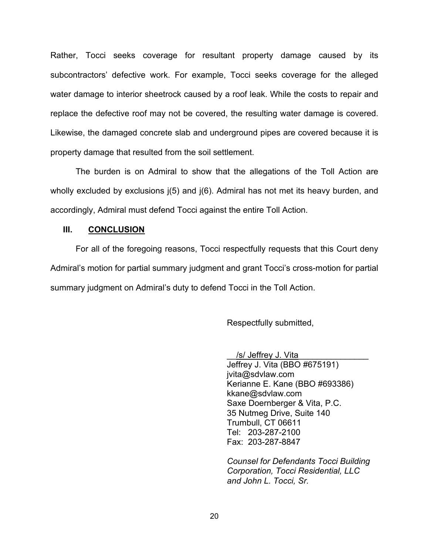Rather, Tocci seeks coverage for resultant property damage caused by its subcontractors' defective work. For example, Tocci seeks coverage for the alleged water damage to interior sheetrock caused by a roof leak. While the costs to repair and replace the defective roof may not be covered, the resulting water damage is covered. Likewise, the damaged concrete slab and underground pipes are covered because it is property damage that resulted from the soil settlement.

The burden is on Admiral to show that the allegations of the Toll Action are wholly excluded by exclusions  $j(5)$  and  $j(6)$ . Admiral has not met its heavy burden, and accordingly, Admiral must defend Tocci against the entire Toll Action.

#### III. CONCLUSION

For all of the foregoing reasons, Tocci respectfully requests that this Court deny Admiral's motion for partial summary judgment and grant Tocci's cross-motion for partial summary judgment on Admiral's duty to defend Tocci in the Toll Action.

Respectfully submitted,

/s/ Jeffrey J. Vita Jeffrey J. Vita (BBO #675191) jvita@sdvlaw.com Kerianne E. Kane (BBO #693386) kkane@sdvlaw.com Saxe Doernberger & Vita, P.C. 35 Nutmeg Drive, Suite 140 Trumbull, CT 06611 Tel: 203-287-2100 Fax: 203-287-8847

Counsel for Defendants Tocci Building Corporation, Tocci Residential, LLC and John L. Tocci, Sr.

20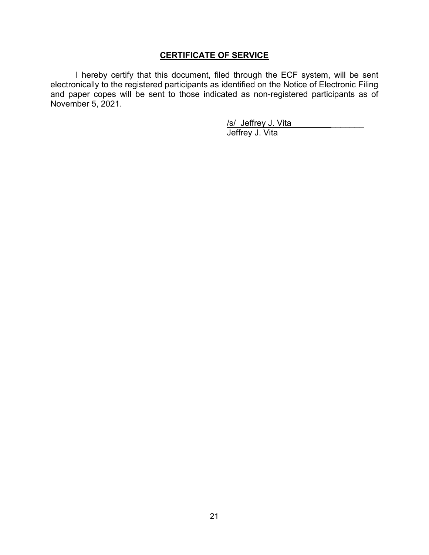# CERTIFICATE OF SERVICE

I hereby certify that this document, filed through the ECF system, will be sent electronically to the registered participants as identified on the Notice of Electronic Filing and paper copes will be sent to those indicated as non-registered participants as of November 5, 2021.

> /s/\_Jeffrey J. Vita Jeffrey J. Vita

21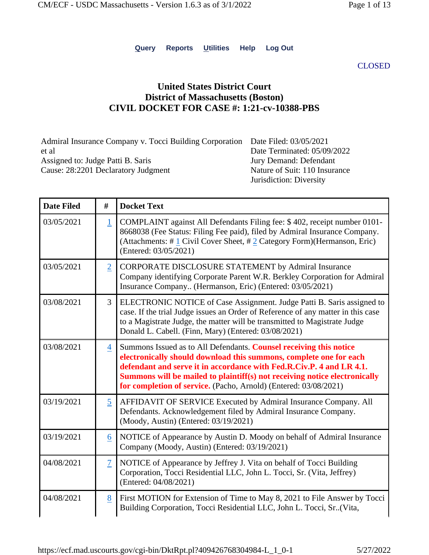**Query Reports Utilities Help Log Out**

CLOSED

# **United States District Court District of Massachusetts (Boston) CIVIL DOCKET FOR CASE #: 1:21-cv-10388-PBS**

| Admiral Insurance Company v. Tocci Building Corporation Date Filed: 03/05/2021 |                               |
|--------------------------------------------------------------------------------|-------------------------------|
| et al                                                                          | Date Terminated: 05/09/2022   |
| Assigned to: Judge Patti B. Saris                                              | Jury Demand: Defendant        |
| Cause: 28:2201 Declaratory Judgment                                            | Nature of Suit: 110 Insurance |
|                                                                                | Jurisdiction: Diversity       |

| <b>Date Filed</b> | #              | <b>Docket Text</b>                                                                                                                                                                                                                                                                                                                                                 |
|-------------------|----------------|--------------------------------------------------------------------------------------------------------------------------------------------------------------------------------------------------------------------------------------------------------------------------------------------------------------------------------------------------------------------|
| 03/05/2021        | $\overline{1}$ | COMPLAINT against All Defendants Filing fee: \$402, receipt number 0101-<br>8668038 (Fee Status: Filing Fee paid), filed by Admiral Insurance Company.<br>(Attachments: #1 Civil Cover Sheet, #2 Category Form)(Hermanson, Eric)<br>(Entered: 03/05/2021)                                                                                                          |
| 03/05/2021        | $\overline{2}$ | <b>CORPORATE DISCLOSURE STATEMENT by Admiral Insurance</b><br>Company identifying Corporate Parent W.R. Berkley Corporation for Admiral<br>Insurance Company (Hermanson, Eric) (Entered: 03/05/2021)                                                                                                                                                               |
| 03/08/2021        | 3              | ELECTRONIC NOTICE of Case Assignment. Judge Patti B. Saris assigned to<br>case. If the trial Judge issues an Order of Reference of any matter in this case<br>to a Magistrate Judge, the matter will be transmitted to Magistrate Judge<br>Donald L. Cabell. (Finn, Mary) (Entered: 03/08/2021)                                                                    |
| 03/08/2021        | $\overline{4}$ | Summons Issued as to All Defendants. Counsel receiving this notice<br>electronically should download this summons, complete one for each<br>defendant and serve it in accordance with Fed.R.Civ.P. 4 and LR 4.1.<br>Summons will be mailed to plaintiff(s) not receiving notice electronically<br>for completion of service. (Pacho, Arnold) (Entered: 03/08/2021) |
| 03/19/2021        | $\overline{5}$ | AFFIDAVIT OF SERVICE Executed by Admiral Insurance Company. All<br>Defendants. Acknowledgement filed by Admiral Insurance Company.<br>(Moody, Austin) (Entered: 03/19/2021)                                                                                                                                                                                        |
| 03/19/2021        | 6              | NOTICE of Appearance by Austin D. Moody on behalf of Admiral Insurance<br>Company (Moody, Austin) (Entered: 03/19/2021)                                                                                                                                                                                                                                            |
| 04/08/2021        | $\overline{1}$ | NOTICE of Appearance by Jeffrey J. Vita on behalf of Tocci Building<br>Corporation, Tocci Residential LLC, John L. Tocci, Sr. (Vita, Jeffrey)<br>(Entered: 04/08/2021)                                                                                                                                                                                             |
| 04/08/2021        | 8              | First MOTION for Extension of Time to May 8, 2021 to File Answer by Tocci<br>Building Corporation, Tocci Residential LLC, John L. Tocci, Sr(Vita,                                                                                                                                                                                                                  |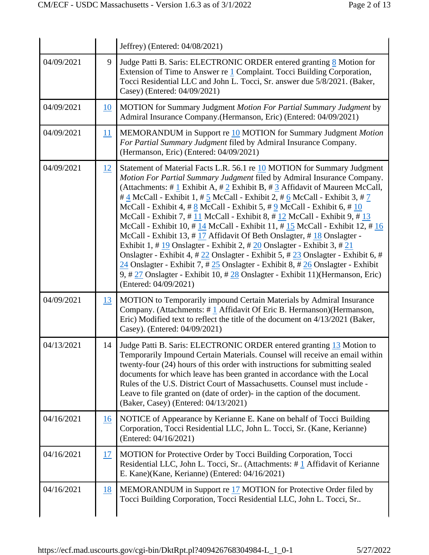|            |           | Jeffrey) (Entered: 04/08/2021)                                                                                                                                                                                                                                                                                                                                                                                                                                                                                                                                                                                                                                                                                                                                                                                                                                                                                                                                                                                                                                                                                |
|------------|-----------|---------------------------------------------------------------------------------------------------------------------------------------------------------------------------------------------------------------------------------------------------------------------------------------------------------------------------------------------------------------------------------------------------------------------------------------------------------------------------------------------------------------------------------------------------------------------------------------------------------------------------------------------------------------------------------------------------------------------------------------------------------------------------------------------------------------------------------------------------------------------------------------------------------------------------------------------------------------------------------------------------------------------------------------------------------------------------------------------------------------|
| 04/09/2021 | 9         | Judge Patti B. Saris: ELECTRONIC ORDER entered granting 8 Motion for<br>Extension of Time to Answer re 1 Complaint. Tocci Building Corporation,<br>Tocci Residential LLC and John L. Tocci, Sr. answer due 5/8/2021. (Baker,<br>Casey) (Entered: 04/09/2021)                                                                                                                                                                                                                                                                                                                                                                                                                                                                                                                                                                                                                                                                                                                                                                                                                                                  |
| 04/09/2021 | 10        | MOTION for Summary Judgment Motion For Partial Summary Judgment by<br>Admiral Insurance Company.(Hermanson, Eric) (Entered: 04/09/2021)                                                                                                                                                                                                                                                                                                                                                                                                                                                                                                                                                                                                                                                                                                                                                                                                                                                                                                                                                                       |
| 04/09/2021 | 11        | MEMORANDUM in Support re 10 MOTION for Summary Judgment Motion<br>For Partial Summary Judgment filed by Admiral Insurance Company.<br>(Hermanson, Eric) (Entered: 04/09/2021)                                                                                                                                                                                                                                                                                                                                                                                                                                                                                                                                                                                                                                                                                                                                                                                                                                                                                                                                 |
| 04/09/2021 | 12        | Statement of Material Facts L.R. 56.1 re 10 MOTION for Summary Judgment<br>Motion For Partial Summary Judgment filed by Admiral Insurance Company.<br>(Attachments: # 1 Exhibit A, # 2 Exhibit B, # 3 Affidavit of Maureen McCall,<br># $\frac{4}{3}$ McCall - Exhibit 1, # $\frac{5}{3}$ McCall - Exhibit 2, # $\frac{6}{3}$ McCall - Exhibit 3, # 7<br>McCall - Exhibit 4, # 8 McCall - Exhibit 5, # 9 McCall - Exhibit 6, # 10<br>McCall - Exhibit 7, #11 McCall - Exhibit 8, #12 McCall - Exhibit 9, #13<br>McCall - Exhibit 10, #14 McCall - Exhibit 11, #15 McCall - Exhibit 12, #16<br>McCall - Exhibit 13, #17 Affidavit Of Beth Onslagter, #18 Onslagter -<br>Exhibit 1, # $\underline{19}$ Onslagter - Exhibit 2, # $\underline{20}$ Onslagter - Exhibit 3, # $\underline{21}$<br>Onslagter - Exhibit 4, # 22 Onslagter - Exhibit 5, # 23 Onslagter - Exhibit 6, #<br>$\frac{24}{1}$ Onslagter - Exhibit 7, # $\frac{25}{1}$ Onslagter - Exhibit 8, # $\frac{26}{1}$ Onslagter - Exhibit<br>9, # 27 Onslagter - Exhibit 10, # 28 Onslagter - Exhibit 11) (Hermanson, Eric)<br>(Entered: 04/09/2021) |
| 04/09/2021 | <u>13</u> | MOTION to Temporarily impound Certain Materials by Admiral Insurance<br>Company. (Attachments: $\# \underline{1}$ Affidavit Of Eric B. Hermanson)(Hermanson,<br>Eric) Modified text to reflect the title of the document on 4/13/2021 (Baker,<br>Casey). (Entered: 04/09/2021)                                                                                                                                                                                                                                                                                                                                                                                                                                                                                                                                                                                                                                                                                                                                                                                                                                |
| 04/13/2021 | 14        | Judge Patti B. Saris: ELECTRONIC ORDER entered granting 13 Motion to<br>Temporarily Impound Certain Materials. Counsel will receive an email within<br>twenty-four (24) hours of this order with instructions for submitting sealed<br>documents for which leave has been granted in accordance with the Local<br>Rules of the U.S. District Court of Massachusetts. Counsel must include -<br>Leave to file granted on (date of order)- in the caption of the document.<br>(Baker, Casey) (Entered: 04/13/2021)                                                                                                                                                                                                                                                                                                                                                                                                                                                                                                                                                                                              |
| 04/16/2021 | 16        | NOTICE of Appearance by Kerianne E. Kane on behalf of Tocci Building<br>Corporation, Tocci Residential LLC, John L. Tocci, Sr. (Kane, Kerianne)<br>(Entered: 04/16/2021)                                                                                                                                                                                                                                                                                                                                                                                                                                                                                                                                                                                                                                                                                                                                                                                                                                                                                                                                      |
| 04/16/2021 | 17        | MOTION for Protective Order by Tocci Building Corporation, Tocci<br>Residential LLC, John L. Tocci, Sr (Attachments: #1 Affidavit of Kerianne<br>E. Kane)(Kane, Kerianne) (Entered: 04/16/2021)                                                                                                                                                                                                                                                                                                                                                                                                                                                                                                                                                                                                                                                                                                                                                                                                                                                                                                               |
| 04/16/2021 | 18        | MEMORANDUM in Support re $17$ MOTION for Protective Order filed by<br>Tocci Building Corporation, Tocci Residential LLC, John L. Tocci, Sr                                                                                                                                                                                                                                                                                                                                                                                                                                                                                                                                                                                                                                                                                                                                                                                                                                                                                                                                                                    |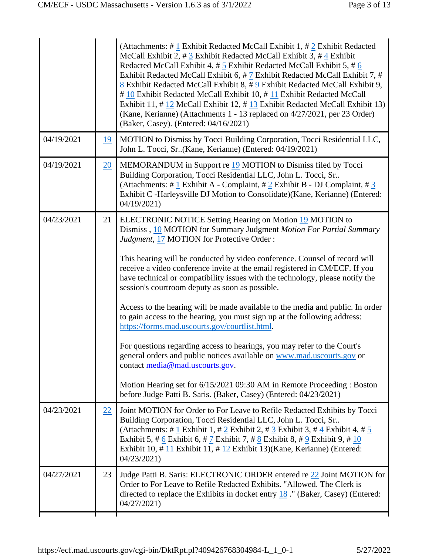|                 | (Attachments: #1 Exhibit Redacted McCall Exhibit 1, #2 Exhibit Redacted<br>McCall Exhibit 2, # 3 Exhibit Redacted McCall Exhibit 3, # 4 Exhibit<br>Redacted McCall Exhibit 4, # 5 Exhibit Redacted McCall Exhibit 5, # 6<br>Exhibit Redacted McCall Exhibit 6, #7 Exhibit Redacted McCall Exhibit 7, #<br>8 Exhibit Redacted McCall Exhibit 8, #9 Exhibit Redacted McCall Exhibit 9,<br>#10 Exhibit Redacted McCall Exhibit 10, #11 Exhibit Redacted McCall<br>Exhibit 11, #12 McCall Exhibit 12, #13 Exhibit Redacted McCall Exhibit 13)<br>(Kane, Kerianne) (Attachments 1 - 13 replaced on 4/27/2021, per 23 Order)<br>(Baker, Casey). (Entered: 04/16/2021)                                                                                                                                                                                                                                                                                                                                                                        |
|-----------------|----------------------------------------------------------------------------------------------------------------------------------------------------------------------------------------------------------------------------------------------------------------------------------------------------------------------------------------------------------------------------------------------------------------------------------------------------------------------------------------------------------------------------------------------------------------------------------------------------------------------------------------------------------------------------------------------------------------------------------------------------------------------------------------------------------------------------------------------------------------------------------------------------------------------------------------------------------------------------------------------------------------------------------------|
| 19              | MOTION to Dismiss by Tocci Building Corporation, Tocci Residential LLC,<br>John L. Tocci, Sr. (Kane, Kerianne) (Entered: 04/19/2021)                                                                                                                                                                                                                                                                                                                                                                                                                                                                                                                                                                                                                                                                                                                                                                                                                                                                                                   |
| $\overline{20}$ | MEMORANDUM in Support re 19 MOTION to Dismiss filed by Tocci<br>Building Corporation, Tocci Residential LLC, John L. Tocci, Sr<br>(Attachments: # 1 Exhibit A - Complaint, # 2 Exhibit B - DJ Complaint, # 3<br>Exhibit C -Harleysville DJ Motion to Consolidate)(Kane, Kerianne) (Entered:<br>04/19/2021                                                                                                                                                                                                                                                                                                                                                                                                                                                                                                                                                                                                                                                                                                                              |
| 21              | ELECTRONIC NOTICE Setting Hearing on Motion 19 MOTION to<br>Dismiss, 10 MOTION for Summary Judgment Motion For Partial Summary<br>Judgment, 17 MOTION for Protective Order:<br>This hearing will be conducted by video conference. Counsel of record will<br>receive a video conference invite at the email registered in CM/ECF. If you<br>have technical or compatibility issues with the technology, please notify the<br>session's courtroom deputy as soon as possible.<br>Access to the hearing will be made available to the media and public. In order<br>to gain access to the hearing, you must sign up at the following address:<br>https://forms.mad.uscourts.gov/courtlist.html.<br>For questions regarding access to hearings, you may refer to the Court's<br>general orders and public notices available on www.mad.uscourts.gov or<br>contact media@mad.uscourts.gov.<br>Motion Hearing set for 6/15/2021 09:30 AM in Remote Proceeding : Boston<br>before Judge Patti B. Saris. (Baker, Casey) (Entered: 04/23/2021) |
| 22              | Joint MOTION for Order to For Leave to Refile Redacted Exhibits by Tocci<br>Building Corporation, Tocci Residential LLC, John L. Tocci, Sr<br>(Attachments: # 1 Exhibit 1, # 2 Exhibit 2, # 3 Exhibit 3, # 4 Exhibit 4, # $5$<br>Exhibit 5, # 6 Exhibit 6, # 7 Exhibit 7, # 8 Exhibit 8, # 9 Exhibit 9, # $10$<br>Exhibit 10, #11 Exhibit 11, #12 Exhibit 13)(Kane, Kerianne) (Entered:<br>04/23/2021)                                                                                                                                                                                                                                                                                                                                                                                                                                                                                                                                                                                                                                 |
| 23              | Judge Patti B. Saris: ELECTRONIC ORDER entered re 22 Joint MOTION for<br>Order to For Leave to Refile Redacted Exhibits. "Allowed. The Clerk is<br>directed to replace the Exhibits in docket entry $18$ ." (Baker, Casey) (Entered:<br>04/27/2021                                                                                                                                                                                                                                                                                                                                                                                                                                                                                                                                                                                                                                                                                                                                                                                     |
|                 |                                                                                                                                                                                                                                                                                                                                                                                                                                                                                                                                                                                                                                                                                                                                                                                                                                                                                                                                                                                                                                        |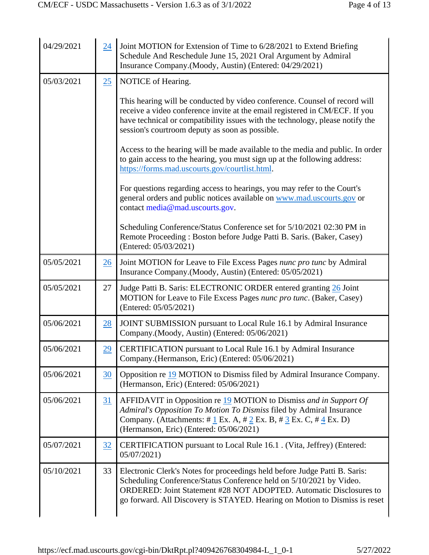| 04/29/2021 | 24              | Joint MOTION for Extension of Time to 6/28/2021 to Extend Briefing<br>Schedule And Reschedule June 15, 2021 Oral Argument by Admiral<br>Insurance Company.(Moody, Austin) (Entered: 04/29/2021)                                                                                                                    |
|------------|-----------------|--------------------------------------------------------------------------------------------------------------------------------------------------------------------------------------------------------------------------------------------------------------------------------------------------------------------|
| 05/03/2021 | 25              | NOTICE of Hearing.                                                                                                                                                                                                                                                                                                 |
|            |                 | This hearing will be conducted by video conference. Counsel of record will<br>receive a video conference invite at the email registered in CM/ECF. If you<br>have technical or compatibility issues with the technology, please notify the<br>session's courtroom deputy as soon as possible.                      |
|            |                 | Access to the hearing will be made available to the media and public. In order<br>to gain access to the hearing, you must sign up at the following address:<br>https://forms.mad.uscourts.gov/courtlist.html.                                                                                                      |
|            |                 | For questions regarding access to hearings, you may refer to the Court's<br>general orders and public notices available on www.mad.uscourts.gov or<br>contact media@mad.uscourts.gov.                                                                                                                              |
|            |                 | Scheduling Conference/Status Conference set for 5/10/2021 02:30 PM in<br>Remote Proceeding: Boston before Judge Patti B. Saris. (Baker, Casey)<br>(Entered: 05/03/2021)                                                                                                                                            |
| 05/05/2021 | $\overline{26}$ | Joint MOTION for Leave to File Excess Pages nunc pro tunc by Admiral<br>Insurance Company.(Moody, Austin) (Entered: 05/05/2021)                                                                                                                                                                                    |
| 05/05/2021 | 27              | Judge Patti B. Saris: ELECTRONIC ORDER entered granting 26 Joint<br>MOTION for Leave to File Excess Pages nunc pro tunc. (Baker, Casey)<br>(Entered: 05/05/2021)                                                                                                                                                   |
| 05/06/2021 | 28              | JOINT SUBMISSION pursuant to Local Rule 16.1 by Admiral Insurance<br>Company.(Moody, Austin) (Entered: 05/06/2021)                                                                                                                                                                                                 |
| 05/06/2021 | $\overline{29}$ | CERTIFICATION pursuant to Local Rule 16.1 by Admiral Insurance<br>Company.(Hermanson, Eric) (Entered: 05/06/2021)                                                                                                                                                                                                  |
| 05/06/2021 | 30              | Opposition re 19 MOTION to Dismiss filed by Admiral Insurance Company.<br>(Hermanson, Eric) (Entered: 05/06/2021)                                                                                                                                                                                                  |
| 05/06/2021 | 31              | AFFIDAVIT in Opposition re 19 MOTION to Dismiss and in Support Of<br>Admiral's Opposition To Motion To Dismiss filed by Admiral Insurance<br>Company. (Attachments: $\#\underline{1}$ Ex. A, $\#\underline{2}$ Ex. B, $\#\underline{3}$ Ex. C, $\#\underline{4}$ Ex. D)<br>(Hermanson, Eric) (Entered: 05/06/2021) |
| 05/07/2021 | 32              | CERTIFICATION pursuant to Local Rule 16.1. (Vita, Jeffrey) (Entered:<br>05/07/2021)                                                                                                                                                                                                                                |
| 05/10/2021 | 33              | Electronic Clerk's Notes for proceedings held before Judge Patti B. Saris:<br>Scheduling Conference/Status Conference held on 5/10/2021 by Video.<br>ORDERED: Joint Statement #28 NOT ADOPTED. Automatic Disclosures to<br>go forward. All Discovery is STAYED. Hearing on Motion to Dismiss is reset              |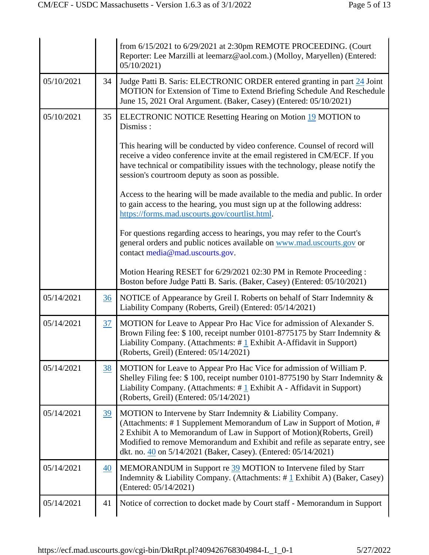|            |    | from 6/15/2021 to 6/29/2021 at 2:30pm REMOTE PROCEEDING. (Court<br>Reporter: Lee Marzilli at leemarz@aol.com.) (Molloy, Maryellen) (Entered:<br>05/10/2021                                                                                                                                                                                                      |
|------------|----|-----------------------------------------------------------------------------------------------------------------------------------------------------------------------------------------------------------------------------------------------------------------------------------------------------------------------------------------------------------------|
| 05/10/2021 | 34 | Judge Patti B. Saris: ELECTRONIC ORDER entered granting in part 24 Joint<br>MOTION for Extension of Time to Extend Briefing Schedule And Reschedule<br>June 15, 2021 Oral Argument. (Baker, Casey) (Entered: 05/10/2021)                                                                                                                                        |
| 05/10/2021 | 35 | <b>ELECTRONIC NOTICE Resetting Hearing on Motion 19 MOTION to</b><br>Dismiss :                                                                                                                                                                                                                                                                                  |
|            |    | This hearing will be conducted by video conference. Counsel of record will<br>receive a video conference invite at the email registered in CM/ECF. If you<br>have technical or compatibility issues with the technology, please notify the<br>session's courtroom deputy as soon as possible.                                                                   |
|            |    | Access to the hearing will be made available to the media and public. In order<br>to gain access to the hearing, you must sign up at the following address:<br>https://forms.mad.uscourts.gov/courtlist.html.                                                                                                                                                   |
|            |    | For questions regarding access to hearings, you may refer to the Court's<br>general orders and public notices available on www.mad.uscourts.gov or<br>contact media@mad.uscourts.gov.                                                                                                                                                                           |
|            |    | Motion Hearing RESET for 6/29/2021 02:30 PM in Remote Proceeding :<br>Boston before Judge Patti B. Saris. (Baker, Casey) (Entered: 05/10/2021)                                                                                                                                                                                                                  |
| 05/14/2021 | 36 | NOTICE of Appearance by Greil I. Roberts on behalf of Starr Indemnity &<br>Liability Company (Roberts, Greil) (Entered: 05/14/2021)                                                                                                                                                                                                                             |
| 05/14/2021 | 37 | MOTION for Leave to Appear Pro Hac Vice for admission of Alexander S.<br>Brown Filing fee: \$100, receipt number 0101-8775175 by Starr Indemnity &<br>Liability Company. (Attachments: #1 Exhibit A-Affidavit in Support)<br>(Roberts, Greil) (Entered: 05/14/2021)                                                                                             |
| 05/14/2021 | 38 | MOTION for Leave to Appear Pro Hac Vice for admission of William P.<br>Shelley Filing fee: \$100, receipt number 0101-8775190 by Starr Indemnity &<br>Liability Company. (Attachments: #1 Exhibit A - Affidavit in Support)<br>(Roberts, Greil) (Entered: 05/14/2021)                                                                                           |
| 05/14/2021 | 39 | MOTION to Intervene by Starr Indemnity & Liability Company.<br>(Attachments: #1 Supplement Memorandum of Law in Support of Motion, #<br>2 Exhibit A to Memorandum of Law in Support of Motion)(Roberts, Greil)<br>Modified to remove Memorandum and Exhibit and refile as separate entry, see<br>dkt. no. 40 on 5/14/2021 (Baker, Casey). (Entered: 05/14/2021) |
| 05/14/2021 | 40 | MEMORANDUM in Support re 39 MOTION to Intervene filed by Starr<br>Indemnity & Liability Company. (Attachments: $\# \underline{1}$ Exhibit A) (Baker, Casey)<br>(Entered: 05/14/2021)                                                                                                                                                                            |
| 05/14/2021 | 41 | Notice of correction to docket made by Court staff - Memorandum in Support                                                                                                                                                                                                                                                                                      |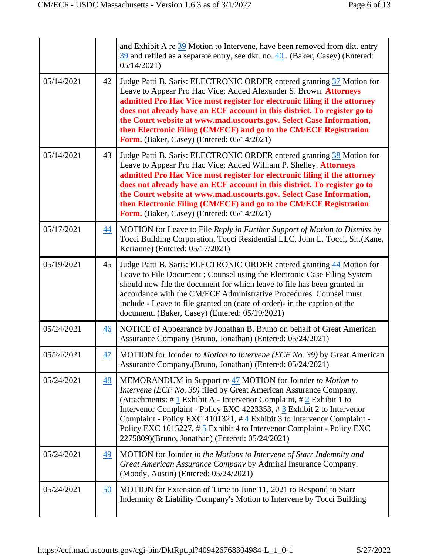|            |                 | and Exhibit A re 39 Motion to Intervene, have been removed from dkt. entry<br>39 and refiled as a separate entry, see dkt. no. 40. (Baker, Casey) (Entered:<br>05/14/2021                                                                                                                                                                                                                                                                                                                                           |
|------------|-----------------|---------------------------------------------------------------------------------------------------------------------------------------------------------------------------------------------------------------------------------------------------------------------------------------------------------------------------------------------------------------------------------------------------------------------------------------------------------------------------------------------------------------------|
| 05/14/2021 | 42              | Judge Patti B. Saris: ELECTRONIC ORDER entered granting 37 Motion for<br>Leave to Appear Pro Hac Vice; Added Alexander S. Brown. Attorneys<br>admitted Pro Hac Vice must register for electronic filing if the attorney<br>does not already have an ECF account in this district. To register go to<br>the Court website at www.mad.uscourts.gov. Select Case Information,<br>then Electronic Filing (CM/ECF) and go to the CM/ECF Registration<br>Form. (Baker, Casey) (Entered: 05/14/2021)                       |
| 05/14/2021 | 43              | Judge Patti B. Saris: ELECTRONIC ORDER entered granting 38 Motion for<br>Leave to Appear Pro Hac Vice; Added William P. Shelley. Attorneys<br>admitted Pro Hac Vice must register for electronic filing if the attorney<br>does not already have an ECF account in this district. To register go to<br>the Court website at www.mad.uscourts.gov. Select Case Information,<br>then Electronic Filing (CM/ECF) and go to the CM/ECF Registration<br>Form. (Baker, Casey) (Entered: 05/14/2021)                       |
| 05/17/2021 | 44              | MOTION for Leave to File Reply in Further Support of Motion to Dismiss by<br>Tocci Building Corporation, Tocci Residential LLC, John L. Tocci, Sr. (Kane,<br>Kerianne) (Entered: 05/17/2021)                                                                                                                                                                                                                                                                                                                        |
| 05/19/2021 | 45              | Judge Patti B. Saris: ELECTRONIC ORDER entered granting 44 Motion for<br>Leave to File Document ; Counsel using the Electronic Case Filing System<br>should now file the document for which leave to file has been granted in<br>accordance with the CM/ECF Administrative Procedures. Counsel must<br>include - Leave to file granted on (date of order)- in the caption of the<br>document. (Baker, Casey) (Entered: 05/19/2021)                                                                                  |
| 05/24/2021 | 46              | NOTICE of Appearance by Jonathan B. Bruno on behalf of Great American<br>Assurance Company (Bruno, Jonathan) (Entered: 05/24/2021)                                                                                                                                                                                                                                                                                                                                                                                  |
| 05/24/2021 | 47              | MOTION for Joinder to Motion to Intervene (ECF No. 39) by Great American<br>Assurance Company.(Bruno, Jonathan) (Entered: 05/24/2021)                                                                                                                                                                                                                                                                                                                                                                               |
| 05/24/2021 | $\overline{48}$ | MEMORANDUM in Support re 47 MOTION for Joinder to Motion to<br>Intervene (ECF No. 39) filed by Great American Assurance Company.<br>(Attachments: # $\frac{1}{2}$ Exhibit A - Intervenor Complaint, # $\frac{2}{2}$ Exhibit 1 to<br>Intervenor Complaint - Policy EXC 4223353, $\#$ 3 Exhibit 2 to Intervenor<br>Complaint - Policy EXC 4101321, #4 Exhibit 3 to Intervenor Complaint -<br>Policy EXC 1615227, #5 Exhibit 4 to Intervenor Complaint - Policy EXC<br>2275809)(Bruno, Jonathan) (Entered: 05/24/2021) |
| 05/24/2021 | 49              | MOTION for Joinder in the Motions to Intervene of Starr Indemnity and<br>Great American Assurance Company by Admiral Insurance Company.<br>(Moody, Austin) (Entered: 05/24/2021)                                                                                                                                                                                                                                                                                                                                    |
| 05/24/2021 | 50              | MOTION for Extension of Time to June 11, 2021 to Respond to Starr<br>Indemnity & Liability Company's Motion to Intervene by Tocci Building                                                                                                                                                                                                                                                                                                                                                                          |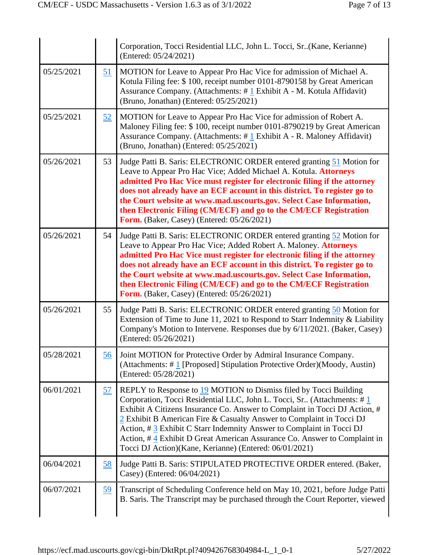|            |           | Corporation, Tocci Residential LLC, John L. Tocci, Sr. (Kane, Kerianne)<br>(Entered: 05/24/2021)                                                                                                                                                                                                                                                                                                                                                                                                                    |
|------------|-----------|---------------------------------------------------------------------------------------------------------------------------------------------------------------------------------------------------------------------------------------------------------------------------------------------------------------------------------------------------------------------------------------------------------------------------------------------------------------------------------------------------------------------|
| 05/25/2021 | 51        | MOTION for Leave to Appear Pro Hac Vice for admission of Michael A.<br>Kotula Filing fee: \$100, receipt number 0101-8790158 by Great American<br>Assurance Company. (Attachments: $\# \underline{1}$ Exhibit A - M. Kotula Affidavit)<br>(Bruno, Jonathan) (Entered: 05/25/2021)                                                                                                                                                                                                                                   |
| 05/25/2021 | 52        | MOTION for Leave to Appear Pro Hac Vice for admission of Robert A.<br>Maloney Filing fee: \$100, receipt number 0101-8790219 by Great American<br>Assurance Company. (Attachments: #1 Exhibit A - R. Maloney Affidavit)<br>(Bruno, Jonathan) (Entered: 05/25/2021)                                                                                                                                                                                                                                                  |
| 05/26/2021 | 53        | Judge Patti B. Saris: ELECTRONIC ORDER entered granting 51 Motion for<br>Leave to Appear Pro Hac Vice; Added Michael A. Kotula. Attorneys<br>admitted Pro Hac Vice must register for electronic filing if the attorney<br>does not already have an ECF account in this district. To register go to<br>the Court website at www.mad.uscourts.gov. Select Case Information,<br>then Electronic Filing (CM/ECF) and go to the CM/ECF Registration<br>Form. (Baker, Casey) (Entered: 05/26/2021)                        |
| 05/26/2021 | 54        | Judge Patti B. Saris: ELECTRONIC ORDER entered granting 52 Motion for<br>Leave to Appear Pro Hac Vice; Added Robert A. Maloney. Attorneys<br>admitted Pro Hac Vice must register for electronic filing if the attorney<br>does not already have an ECF account in this district. To register go to<br>the Court website at www.mad.uscourts.gov. Select Case Information,<br>then Electronic Filing (CM/ECF) and go to the CM/ECF Registration<br>Form. (Baker, Casey) (Entered: 05/26/2021)                        |
| 05/26/2021 | 55        | Judge Patti B. Saris: ELECTRONIC ORDER entered granting 50 Motion for<br>Extension of Time to June 11, 2021 to Respond to Starr Indemnity & Liability<br>Company's Motion to Intervene. Responses due by 6/11/2021. (Baker, Casey)<br>(Entered: 05/26/2021)                                                                                                                                                                                                                                                         |
| 05/28/2021 | 56        | Joint MOTION for Protective Order by Admiral Insurance Company.<br>(Attachments: #1 [Proposed] Stipulation Protective Order)(Moody, Austin)<br>(Entered: 05/28/2021)                                                                                                                                                                                                                                                                                                                                                |
| 06/01/2021 | <u>57</u> | REPLY to Response to 19 MOTION to Dismiss filed by Tocci Building<br>Corporation, Tocci Residential LLC, John L. Tocci, Sr (Attachments: #1<br>Exhibit A Citizens Insurance Co. Answer to Complaint in Tocci DJ Action, #<br>2 Exhibit B American Fire & Casualty Answer to Complaint in Tocci DJ<br>Action, $\#$ 3 Exhibit C Starr Indemnity Answer to Complaint in Tocci DJ<br>Action, #4 Exhibit D Great American Assurance Co. Answer to Complaint in<br>Tocci DJ Action)(Kane, Kerianne) (Entered: 06/01/2021) |
| 06/04/2021 | 58        | Judge Patti B. Saris: STIPULATED PROTECTIVE ORDER entered. (Baker,<br>Casey) (Entered: 06/04/2021)                                                                                                                                                                                                                                                                                                                                                                                                                  |
| 06/07/2021 | 59        | Transcript of Scheduling Conference held on May 10, 2021, before Judge Patti<br>B. Saris. The Transcript may be purchased through the Court Reporter, viewed                                                                                                                                                                                                                                                                                                                                                        |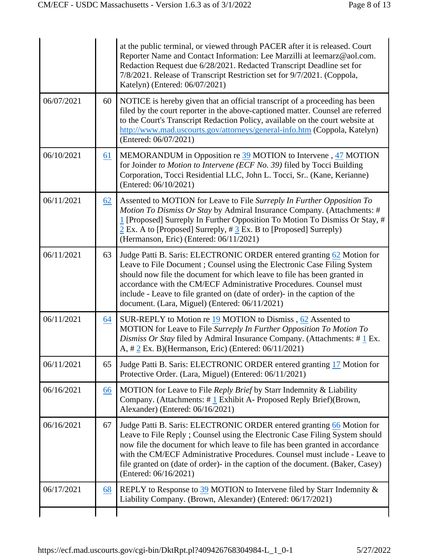|            |    | at the public terminal, or viewed through PACER after it is released. Court<br>Reporter Name and Contact Information: Lee Marzilli at leemarz@aol.com.<br>Redaction Request due 6/28/2021. Redacted Transcript Deadline set for<br>7/8/2021. Release of Transcript Restriction set for 9/7/2021. (Coppola,<br>Katelyn) (Entered: 06/07/2021)                                                                                      |
|------------|----|-----------------------------------------------------------------------------------------------------------------------------------------------------------------------------------------------------------------------------------------------------------------------------------------------------------------------------------------------------------------------------------------------------------------------------------|
| 06/07/2021 | 60 | NOTICE is hereby given that an official transcript of a proceeding has been<br>filed by the court reporter in the above-captioned matter. Counsel are referred<br>to the Court's Transcript Redaction Policy, available on the court website at<br>http://www.mad.uscourts.gov/attorneys/general-info.htm (Coppola, Katelyn)<br>(Entered: 06/07/2021)                                                                             |
| 06/10/2021 | 61 | MEMORANDUM in Opposition re 39 MOTION to Intervene, 47 MOTION<br>for Joinder to Motion to Intervene (ECF No. 39) filed by Tocci Building<br>Corporation, Tocci Residential LLC, John L. Tocci, Sr (Kane, Kerianne)<br>(Entered: 06/10/2021)                                                                                                                                                                                       |
| 06/11/2021 | 62 | Assented to MOTION for Leave to File Surreply In Further Opposition To<br>Motion To Dismiss Or Stay by Admiral Insurance Company. (Attachments: #<br>1 [Proposed] Surreply In Further Opposition To Motion To Dismiss Or Stay, #<br>$2$ Ex. A to [Proposed] Surreply, $\# 3$ Ex. B to [Proposed] Surreply)<br>(Hermanson, Eric) (Entered: 06/11/2021)                                                                             |
| 06/11/2021 | 63 | Judge Patti B. Saris: ELECTRONIC ORDER entered granting 62 Motion for<br>Leave to File Document ; Counsel using the Electronic Case Filing System<br>should now file the document for which leave to file has been granted in<br>accordance with the CM/ECF Administrative Procedures. Counsel must<br>include - Leave to file granted on (date of order) in the caption of the<br>document. (Lara, Miguel) (Entered: 06/11/2021) |
| 06/11/2021 | 64 | SUR-REPLY to Motion re $19$ MOTION to Dismiss, $62$ Assented to<br>MOTION for Leave to File Surreply In Further Opposition To Motion To<br>Dismiss Or Stay filed by Admiral Insurance Company. (Attachments: $\#\underline{1}$ Ex.<br>A, $\# 2$ Ex. B)(Hermanson, Eric) (Entered: 06/11/2021)                                                                                                                                     |
| 06/11/2021 | 65 | Judge Patti B. Saris: ELECTRONIC ORDER entered granting 17 Motion for<br>Protective Order. (Lara, Miguel) (Entered: 06/11/2021)                                                                                                                                                                                                                                                                                                   |
| 06/16/2021 | 66 | MOTION for Leave to File Reply Brief by Starr Indemnity & Liability<br>Company. (Attachments: #1 Exhibit A- Proposed Reply Brief)(Brown,<br>Alexander) (Entered: 06/16/2021)                                                                                                                                                                                                                                                      |
| 06/16/2021 | 67 | Judge Patti B. Saris: ELECTRONIC ORDER entered granting 66 Motion for<br>Leave to File Reply; Counsel using the Electronic Case Filing System should<br>now file the document for which leave to file has been granted in accordance<br>with the CM/ECF Administrative Procedures. Counsel must include - Leave to<br>file granted on (date of order)- in the caption of the document. (Baker, Casey)<br>(Entered: 06/16/2021)    |
| 06/17/2021 | 68 | REPLY to Response to $39$ MOTION to Intervene filed by Starr Indemnity &<br>Liability Company. (Brown, Alexander) (Entered: 06/17/2021)                                                                                                                                                                                                                                                                                           |
|            |    |                                                                                                                                                                                                                                                                                                                                                                                                                                   |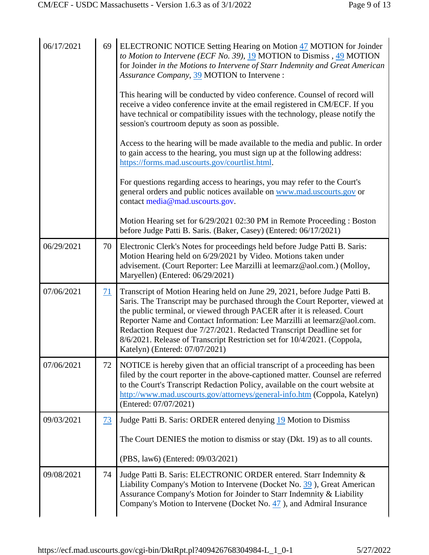| 06/17/2021 | 69             | ELECTRONIC NOTICE Setting Hearing on Motion 47 MOTION for Joinder<br>to Motion to Intervene (ECF No. 39), $\underline{19}$ MOTION to Dismiss, $\underline{49}$ MOTION<br>for Joinder in the Motions to Intervene of Starr Indemnity and Great American<br>Assurance Company, 39 MOTION to Intervene :<br>This hearing will be conducted by video conference. Counsel of record will<br>receive a video conference invite at the email registered in CM/ECF. If you<br>have technical or compatibility issues with the technology, please notify the<br>session's courtroom deputy as soon as possible.<br>Access to the hearing will be made available to the media and public. In order<br>to gain access to the hearing, you must sign up at the following address:<br>https://forms.mad.uscourts.gov/courtlist.html.<br>For questions regarding access to hearings, you may refer to the Court's<br>general orders and public notices available on www.mad.uscourts.gov or<br>contact media@mad.uscourts.gov.<br>Motion Hearing set for 6/29/2021 02:30 PM in Remote Proceeding : Boston<br>before Judge Patti B. Saris. (Baker, Casey) (Entered: 06/17/2021) |
|------------|----------------|------------------------------------------------------------------------------------------------------------------------------------------------------------------------------------------------------------------------------------------------------------------------------------------------------------------------------------------------------------------------------------------------------------------------------------------------------------------------------------------------------------------------------------------------------------------------------------------------------------------------------------------------------------------------------------------------------------------------------------------------------------------------------------------------------------------------------------------------------------------------------------------------------------------------------------------------------------------------------------------------------------------------------------------------------------------------------------------------------------------------------------------------------------------|
| 06/29/2021 | 70             | Electronic Clerk's Notes for proceedings held before Judge Patti B. Saris:<br>Motion Hearing held on 6/29/2021 by Video. Motions taken under<br>advisement. (Court Reporter: Lee Marzilli at leemarz@aol.com.) (Molloy,<br>Maryellen) (Entered: 06/29/2021)                                                                                                                                                                                                                                                                                                                                                                                                                                                                                                                                                                                                                                                                                                                                                                                                                                                                                                      |
| 07/06/2021 | $\frac{71}{2}$ | Transcript of Motion Hearing held on June 29, 2021, before Judge Patti B.<br>Saris. The Transcript may be purchased through the Court Reporter, viewed at<br>the public terminal, or viewed through PACER after it is released. Court<br>Reporter Name and Contact Information: Lee Marzilli at leemarz@aol.com.<br>Redaction Request due 7/27/2021. Redacted Transcript Deadline set for<br>8/6/2021. Release of Transcript Restriction set for 10/4/2021. (Coppola,<br>Katelyn) (Entered: 07/07/2021)                                                                                                                                                                                                                                                                                                                                                                                                                                                                                                                                                                                                                                                          |
| 07/06/2021 | 72             | NOTICE is hereby given that an official transcript of a proceeding has been<br>filed by the court reporter in the above-captioned matter. Counsel are referred<br>to the Court's Transcript Redaction Policy, available on the court website at<br>http://www.mad.uscourts.gov/attorneys/general-info.htm (Coppola, Katelyn)<br>(Entered: 07/07/2021)                                                                                                                                                                                                                                                                                                                                                                                                                                                                                                                                                                                                                                                                                                                                                                                                            |
| 09/03/2021 | $\frac{73}{2}$ | Judge Patti B. Saris: ORDER entered denying 19 Motion to Dismiss                                                                                                                                                                                                                                                                                                                                                                                                                                                                                                                                                                                                                                                                                                                                                                                                                                                                                                                                                                                                                                                                                                 |
|            |                | The Court DENIES the motion to dismiss or stay (Dkt. 19) as to all counts.                                                                                                                                                                                                                                                                                                                                                                                                                                                                                                                                                                                                                                                                                                                                                                                                                                                                                                                                                                                                                                                                                       |
|            |                | (PBS, law6) (Entered: 09/03/2021)                                                                                                                                                                                                                                                                                                                                                                                                                                                                                                                                                                                                                                                                                                                                                                                                                                                                                                                                                                                                                                                                                                                                |
| 09/08/2021 | 74             | Judge Patti B. Saris: ELECTRONIC ORDER entered. Starr Indemnity &<br>Liability Company's Motion to Intervene (Docket No. 39), Great American<br>Assurance Company's Motion for Joinder to Starr Indemnity & Liability<br>Company's Motion to Intervene (Docket No. 47), and Admiral Insurance                                                                                                                                                                                                                                                                                                                                                                                                                                                                                                                                                                                                                                                                                                                                                                                                                                                                    |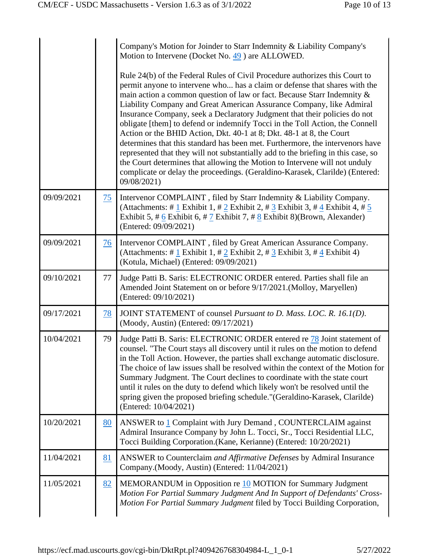|            |           | Company's Motion for Joinder to Starr Indemnity & Liability Company's<br>Motion to Intervene (Docket No. 49) are ALLOWED.                                                                                                                                                                                                                                                                                                                                                                                                                                                                                                                                                                                                                                                                                                                                                                            |
|------------|-----------|------------------------------------------------------------------------------------------------------------------------------------------------------------------------------------------------------------------------------------------------------------------------------------------------------------------------------------------------------------------------------------------------------------------------------------------------------------------------------------------------------------------------------------------------------------------------------------------------------------------------------------------------------------------------------------------------------------------------------------------------------------------------------------------------------------------------------------------------------------------------------------------------------|
|            |           | Rule 24(b) of the Federal Rules of Civil Procedure authorizes this Court to<br>permit anyone to intervene who has a claim or defense that shares with the<br>main action a common question of law or fact. Because Starr Indemnity &<br>Liability Company and Great American Assurance Company, like Admiral<br>Insurance Company, seek a Declaratory Judgment that their policies do not<br>obligate [them] to defend or indemnify Tocci in the Toll Action, the Connell<br>Action or the BHID Action, Dkt. 40-1 at 8; Dkt. 48-1 at 8, the Court<br>determines that this standard has been met. Furthermore, the intervenors have<br>represented that they will not substantially add to the briefing in this case, so<br>the Court determines that allowing the Motion to Intervene will not unduly<br>complicate or delay the proceedings. (Geraldino-Karasek, Clarilde) (Entered:<br>09/08/2021) |
| 09/09/2021 | 75        | Intervenor COMPLAINT, filed by Starr Indemnity & Liability Company.<br>(Attachments: # 1 Exhibit 1, # 2 Exhibit 2, # 3 Exhibit 3, # 4 Exhibit 4, # $5$<br>Exhibit 5, # 6 Exhibit 6, # 7 Exhibit 7, # 8 Exhibit 8)(Brown, Alexander)<br>(Entered: 09/09/2021)                                                                                                                                                                                                                                                                                                                                                                                                                                                                                                                                                                                                                                         |
| 09/09/2021 | 76        | Intervenor COMPLAINT, filed by Great American Assurance Company.<br>(Attachments: # $1$ Exhibit 1, # $2$ Exhibit 2, # $3$ Exhibit 3, # $4$ Exhibit 4)<br>(Kotula, Michael) (Entered: 09/09/2021)                                                                                                                                                                                                                                                                                                                                                                                                                                                                                                                                                                                                                                                                                                     |
| 09/10/2021 | 77        | Judge Patti B. Saris: ELECTRONIC ORDER entered. Parties shall file an<br>Amended Joint Statement on or before 9/17/2021. (Molloy, Maryellen)<br>(Entered: 09/10/2021)                                                                                                                                                                                                                                                                                                                                                                                                                                                                                                                                                                                                                                                                                                                                |
| 09/17/2021 | <u>78</u> | JOINT STATEMENT of counsel Pursuant to D. Mass. LOC. R. 16.1(D).<br>(Moody, Austin) (Entered: 09/17/2021)                                                                                                                                                                                                                                                                                                                                                                                                                                                                                                                                                                                                                                                                                                                                                                                            |
| 10/04/2021 | 79        | Judge Patti B. Saris: ELECTRONIC ORDER entered re 78 Joint statement of<br>counsel. "The Court stays all discovery until it rules on the motion to defend<br>in the Toll Action. However, the parties shall exchange automatic disclosure.<br>The choice of law issues shall be resolved within the context of the Motion for<br>Summary Judgment. The Court declines to coordinate with the state court<br>until it rules on the duty to defend which likely won't be resolved until the<br>spring given the proposed briefing schedule."(Geraldino-Karasek, Clarilde)<br>(Entered: 10/04/2021)                                                                                                                                                                                                                                                                                                     |
| 10/20/2021 | 80        | ANSWER to 1 Complaint with Jury Demand, COUNTERCLAIM against<br>Admiral Insurance Company by John L. Tocci, Sr., Tocci Residential LLC,<br>Tocci Building Corporation. (Kane, Kerianne) (Entered: 10/20/2021)                                                                                                                                                                                                                                                                                                                                                                                                                                                                                                                                                                                                                                                                                        |
| 11/04/2021 | 81        | ANSWER to Counterclaim and Affirmative Defenses by Admiral Insurance<br>Company.(Moody, Austin) (Entered: 11/04/2021)                                                                                                                                                                                                                                                                                                                                                                                                                                                                                                                                                                                                                                                                                                                                                                                |
| 11/05/2021 | 82        | MEMORANDUM in Opposition re 10 MOTION for Summary Judgment<br>Motion For Partial Summary Judgment And In Support of Defendants' Cross-<br>Motion For Partial Summary Judgment filed by Tocci Building Corporation,                                                                                                                                                                                                                                                                                                                                                                                                                                                                                                                                                                                                                                                                                   |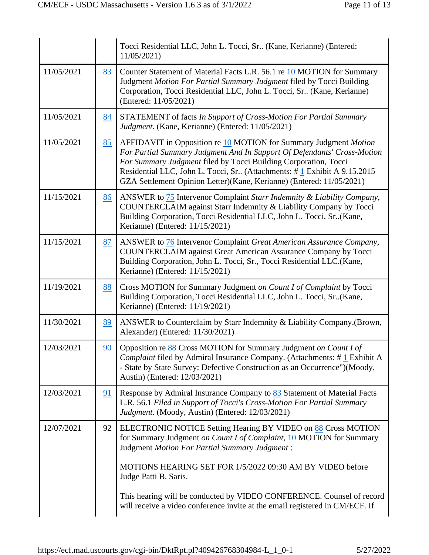|    | Tocci Residential LLC, John L. Tocci, Sr (Kane, Kerianne) (Entered:<br>11/05/2021)                                                                                                                                                                                                                                                                                                                                                    |
|----|---------------------------------------------------------------------------------------------------------------------------------------------------------------------------------------------------------------------------------------------------------------------------------------------------------------------------------------------------------------------------------------------------------------------------------------|
| 83 | Counter Statement of Material Facts L.R. 56.1 re 10 MOTION for Summary<br>Judgment Motion For Partial Summary Judgment filed by Tocci Building<br>Corporation, Tocci Residential LLC, John L. Tocci, Sr (Kane, Kerianne)<br>(Entered: 11/05/2021)                                                                                                                                                                                     |
| 84 | STATEMENT of facts In Support of Cross-Motion For Partial Summary<br>Judgment. (Kane, Kerianne) (Entered: 11/05/2021)                                                                                                                                                                                                                                                                                                                 |
| 85 | AFFIDAVIT in Opposition re 10 MOTION for Summary Judgment Motion<br>For Partial Summary Judgment And In Support Of Defendants' Cross-Motion<br>For Summary Judgment filed by Tocci Building Corporation, Tocci<br>Residential LLC, John L. Tocci, Sr (Attachments: #1 Exhibit A 9.15.2015<br>GZA Settlement Opinion Letter)(Kane, Kerianne) (Entered: 11/05/2021)                                                                     |
| 86 | ANSWER to 75 Intervenor Complaint Starr Indemnity & Liability Company,<br>COUNTERCLAIM against Starr Indemnity & Liability Company by Tocci<br>Building Corporation, Tocci Residential LLC, John L. Tocci, Sr. (Kane,<br>Kerianne) (Entered: 11/15/2021)                                                                                                                                                                              |
| 87 | ANSWER to 76 Intervenor Complaint Great American Assurance Company,<br><b>COUNTERCLAIM</b> against Great American Assurance Company by Tocci<br>Building Corporation, John L. Tocci, Sr., Tocci Residential LLC.(Kane,<br>Kerianne) (Entered: 11/15/2021)                                                                                                                                                                             |
| 88 | Cross MOTION for Summary Judgment on Count I of Complaint by Tocci<br>Building Corporation, Tocci Residential LLC, John L. Tocci, Sr. (Kane,<br>Kerianne) (Entered: 11/19/2021)                                                                                                                                                                                                                                                       |
| 89 | ANSWER to Counterclaim by Starr Indemnity & Liability Company. (Brown,<br>Alexander) (Entered: 11/30/2021)                                                                                                                                                                                                                                                                                                                            |
| 90 | Opposition re 88 Cross MOTION for Summary Judgment on Count I of<br><i>Complaint</i> filed by Admiral Insurance Company. (Attachments: $\# \underline{1}$ Exhibit A<br>- State by State Survey: Defective Construction as an Occurrence")(Moody,<br>Austin) (Entered: 12/03/2021)                                                                                                                                                     |
| 91 | Response by Admiral Insurance Company to 83 Statement of Material Facts<br>L.R. 56.1 Filed in Support of Tocci's Cross-Motion For Partial Summary<br>Judgment. (Moody, Austin) (Entered: 12/03/2021)                                                                                                                                                                                                                                  |
| 92 | ELECTRONIC NOTICE Setting Hearing BY VIDEO on 88 Cross MOTION<br>for Summary Judgment on Count I of Complaint, 10 MOTION for Summary<br>Judgment Motion For Partial Summary Judgment :<br>MOTIONS HEARING SET FOR 1/5/2022 09:30 AM BY VIDEO before<br>Judge Patti B. Saris.<br>This hearing will be conducted by VIDEO CONFERENCE. Counsel of record<br>will receive a video conference invite at the email registered in CM/ECF. If |
|    |                                                                                                                                                                                                                                                                                                                                                                                                                                       |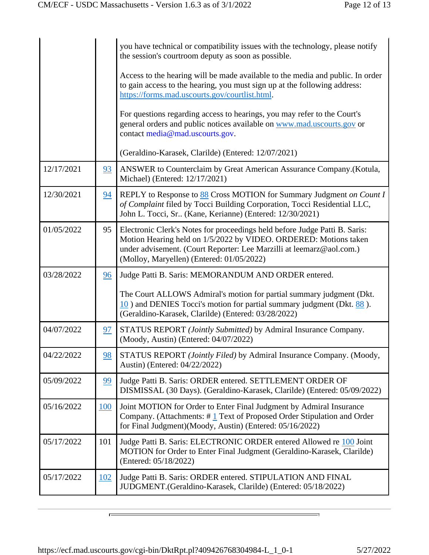|            |     | you have technical or compatibility issues with the technology, please notify<br>the session's courtroom deputy as soon as possible.                                                                                                                                |
|------------|-----|---------------------------------------------------------------------------------------------------------------------------------------------------------------------------------------------------------------------------------------------------------------------|
|            |     | Access to the hearing will be made available to the media and public. In order<br>to gain access to the hearing, you must sign up at the following address:<br>https://forms.mad.uscourts.gov/courtlist.html.                                                       |
|            |     | For questions regarding access to hearings, you may refer to the Court's<br>general orders and public notices available on www.mad.uscourts.gov or<br>contact media@mad.uscourts.gov.                                                                               |
|            |     | (Geraldino-Karasek, Clarilde) (Entered: 12/07/2021)                                                                                                                                                                                                                 |
| 12/17/2021 | 93  | ANSWER to Counterclaim by Great American Assurance Company.(Kotula,<br>Michael) (Entered: 12/17/2021)                                                                                                                                                               |
| 12/30/2021 | 94  | REPLY to Response to 88 Cross MOTION for Summary Judgment on Count I<br>of Complaint filed by Tocci Building Corporation, Tocci Residential LLC,<br>John L. Tocci, Sr (Kane, Kerianne) (Entered: 12/30/2021)                                                        |
| 01/05/2022 | 95  | Electronic Clerk's Notes for proceedings held before Judge Patti B. Saris:<br>Motion Hearing held on 1/5/2022 by VIDEO. ORDERED: Motions taken<br>under advisement. (Court Reporter: Lee Marzilli at leemarz@aol.com.)<br>(Molloy, Maryellen) (Entered: 01/05/2022) |
| 03/28/2022 | 96  | Judge Patti B. Saris: MEMORANDUM AND ORDER entered.                                                                                                                                                                                                                 |
|            |     | The Court ALLOWS Admiral's motion for partial summary judgment (Dkt.<br>10) and DENIES Tocci's motion for partial summary judgment (Dkt. 88).<br>(Geraldino-Karasek, Clarilde) (Entered: 03/28/2022)                                                                |
| 04/07/2022 | 97  | STATUS REPORT (Jointly Submitted) by Admiral Insurance Company.<br>(Moody, Austin) (Entered: 04/07/2022)                                                                                                                                                            |
| 04/22/2022 | 98  | STATUS REPORT (Jointly Filed) by Admiral Insurance Company. (Moody,<br>Austin) (Entered: 04/22/2022)                                                                                                                                                                |
| 05/09/2022 | 99  | Judge Patti B. Saris: ORDER entered. SETTLEMENT ORDER OF<br>DISMISSAL (30 Days). (Geraldino-Karasek, Clarilde) (Entered: 05/09/2022)                                                                                                                                |
| 05/16/2022 | 100 | Joint MOTION for Order to Enter Final Judgment by Admiral Insurance<br>Company. (Attachments: $\# \underline{1}$ Text of Proposed Order Stipulation and Order<br>for Final Judgment)(Moody, Austin) (Entered: 05/16/2022)                                           |
| 05/17/2022 | 101 | Judge Patti B. Saris: ELECTRONIC ORDER entered Allowed re 100 Joint<br>MOTION for Order to Enter Final Judgment (Geraldino-Karasek, Clarilde)<br>(Entered: 05/18/2022)                                                                                              |
| 05/17/2022 | 102 | Judge Patti B. Saris: ORDER entered. STIPULATION AND FINAL<br>JUDGMENT.(Geraldino-Karasek, Clarilde) (Entered: 05/18/2022)                                                                                                                                          |

 $\equiv$ 

 $\blacksquare$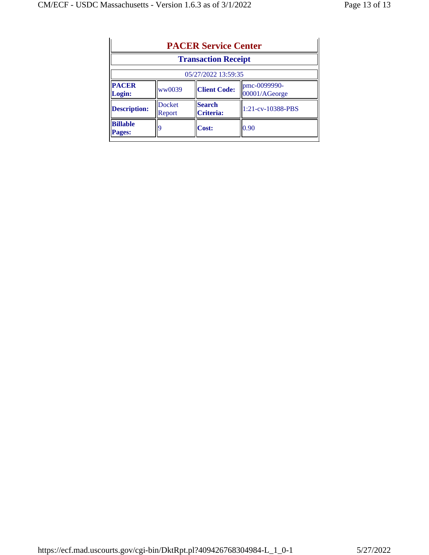|                           |                         | <b>Transaction Receipt</b> |                               |
|---------------------------|-------------------------|----------------------------|-------------------------------|
|                           |                         | 05/27/2022 13:59:35        |                               |
| <b>PACER</b><br>Login:    | ww0039                  | <b>Client Code:</b>        | pmc-0099990-<br>00001/AGeorge |
| <b>Description:</b>       | <b>Docket</b><br>Report | <b>Search</b><br>Criteria: | 1:21-cv-10388-PBS             |
| <b>Billable</b><br>Pages: |                         | <b>Cost:</b>               | 0.90                          |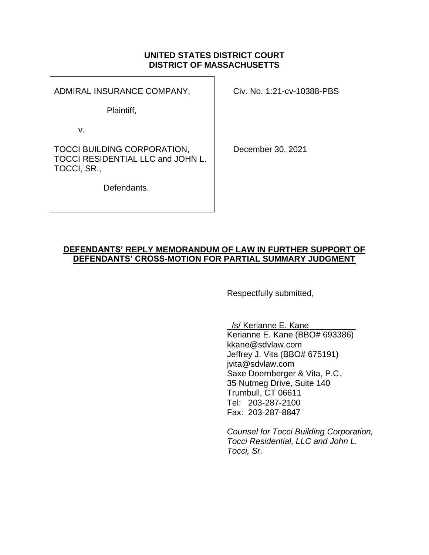### **UNITED STATES DISTRICT COURT DISTRICT OF MASSACHUSETTS**

ADMIRAL INSURANCE COMPANY,

Civ. No. 1:21-cv-10388-PBS

Plaintiff,

v.

TOCCI BUILDING CORPORATION, TOCCI RESIDENTIAL LLC and JOHN L. TOCCI, SR.,

Defendants.

December 30, 2021

### DEFENDANTS' **REPLY MEMORANDUM OF LAW IN FURTHER SUPPORT OF**  DEFENDANTS' CROSS**-MOTION FOR PARTIAL SUMMARY JUDGMENT**

Respectfully submitted,

/s/ Kerianne E. Kane

Kerianne E. Kane (BBO# 693386) kkane@sdvlaw.com Jeffrey J. Vita (BBO# 675191) jvita@sdvlaw.com Saxe Doernberger & Vita, P.C. 35 Nutmeg Drive, Suite 140 Trumbull, CT 06611 Tel: 203-287-2100 Fax: 203-287-8847

*Counsel for Tocci Building Corporation, Tocci Residential, LLC and John L. Tocci, Sr.*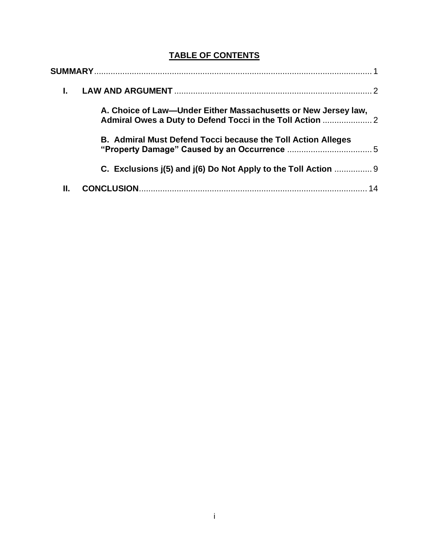# **TABLE OF CONTENTS**

|    | A. Choice of Law-Under Either Massachusetts or New Jersey law, |  |
|----|----------------------------------------------------------------|--|
|    | B. Admiral Must Defend Tocci because the Toll Action Alleges   |  |
|    | C. Exclusions j(5) and j(6) Do Not Apply to the Toll Action    |  |
| Ш. |                                                                |  |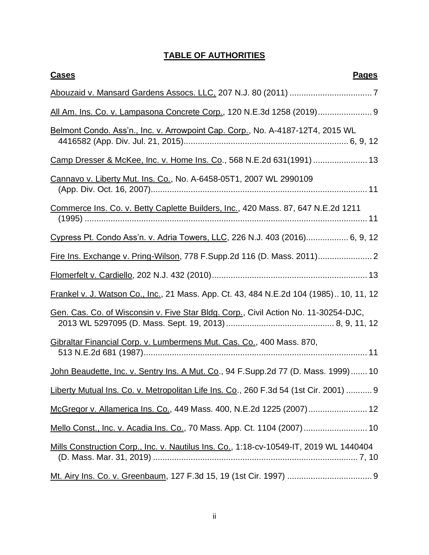# **TABLE OF AUTHORITIES**

| <b>Cases</b><br><b>Pages</b>                                                           |
|----------------------------------------------------------------------------------------|
|                                                                                        |
| All Am. Ins. Co. v. Lampasona Concrete Corp., 120 N.E.3d 1258 (2019) 9                 |
| Belmont Condo. Ass'n., Inc. v. Arrowpoint Cap. Corp., No. A-4187-12T4, 2015 WL         |
| Camp Dresser & McKee, Inc. v. Home Ins. Co., 568 N.E.2d 631(1991)  13                  |
| Cannavo v. Liberty Mut. Ins. Co., No. A-6458-05T1, 2007 WL 2990109                     |
| Commerce Ins. Co. v. Betty Caplette Builders, Inc., 420 Mass. 87, 647 N.E.2d 1211      |
| Cypress Pt. Condo Ass'n. v. Adria Towers, LLC, 226 N.J. 403 (2016) 6, 9, 12            |
|                                                                                        |
|                                                                                        |
| Frankel v. J. Watson Co., Inc., 21 Mass. App. Ct. 43, 484 N.E.2d 104 (1985) 10, 11, 12 |
| Gen. Cas. Co. of Wisconsin v. Five Star Bldg. Corp., Civil Action No. 11-30254-DJC,    |
| Gibraltar Financial Corp. v. Lumbermens Mut. Cas. Co., 400 Mass. 870,                  |
| John Beaudette, Inc. v. Sentry Ins. A Mut. Co., 94 F.Supp.2d 77 (D. Mass. 1999)  10    |
| Liberty Mutual Ins. Co. v. Metropolitan Life Ins. Co., 260 F.3d 54 (1st Cir. 2001)  9  |
| McGregor v. Allamerica Ins. Co., 449 Mass. 400, N.E.2d 1225 (2007) 12                  |
| Mello Const., Inc. v. Acadia Ins. Co., 70 Mass. App. Ct. 1104 (2007)  10               |
| Mills Construction Corp., Inc. v. Nautilus Ins. Co., 1:18-cv-10549-IT, 2019 WL 1440404 |
|                                                                                        |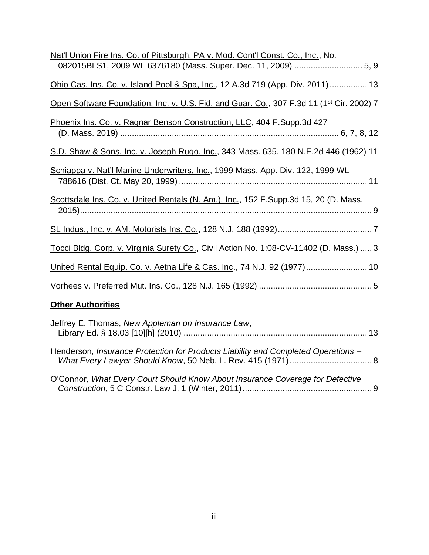| Nat'l Union Fire Ins. Co. of Pittsburgh, PA v. Mod. Cont'l Const. Co., Inc., No.                     |
|------------------------------------------------------------------------------------------------------|
| Ohio Cas. Ins. Co. v. Island Pool & Spa, Inc., 12 A.3d 719 (App. Div. 2011)  13                      |
| Open Software Foundation, Inc. v. U.S. Fid. and Guar. Co., 307 F.3d 11 (1 <sup>st</sup> Cir. 2002) 7 |
| Phoenix Ins. Co. v. Ragnar Benson Construction, LLC, 404 F. Supp.3d 427                              |
| S.D. Shaw & Sons, Inc. v. Joseph Rugo, Inc., 343 Mass. 635, 180 N.E.2d 446 (1962) 11                 |
| Schiappa v. Nat'l Marine Underwriters, Inc., 1999 Mass. App. Div. 122, 1999 WL                       |
| Scottsdale Ins. Co. v. United Rentals (N. Am.), Inc., 152 F. Supp.3d 15, 20 (D. Mass.                |
|                                                                                                      |
| Tocci Bldg. Corp. v. Virginia Surety Co., Civil Action No. 1:08-CV-11402 (D. Mass.)  3               |
| United Rental Equip. Co. v. Aetna Life & Cas. Inc., 74 N.J. 92 (1977) 10                             |
|                                                                                                      |
| <b>Other Authorities</b>                                                                             |

| Jeffrey E. Thomas, New Appleman on Insurance Law,                                 |  |
|-----------------------------------------------------------------------------------|--|
| Henderson, Insurance Protection for Products Liability and Completed Operations - |  |
| O'Connor, What Every Court Should Know About Insurance Coverage for Defective     |  |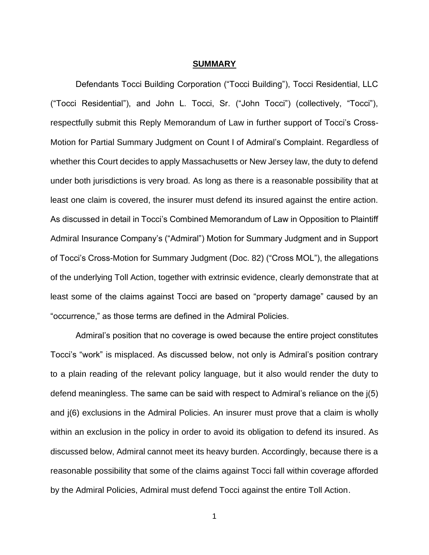#### **SUMMARY**

Defendants Tocci Building Corporation ("Tocci Building"), Tocci Residential, LLC ("Tocci Residential"), and John L. Tocci, Sr. ("John Tocci") (collectively, "Tocci"), respectfully submit this Reply Memorandum of Law in further support of Tocci's Cross-Motion for Partial Summary Judgment on Count I of Admiral's Complaint. Regardless of whether this Court decides to apply Massachusetts or New Jersey law, the duty to defend under both jurisdictions is very broad. As long as there is a reasonable possibility that at least one claim is covered, the insurer must defend its insured against the entire action. As discussed in detail in Tocci's Combined Memorandum of Law in Opposition to Plaintiff Admiral Insurance Company's ("Admiral") Motion for Summary Judgment and in Support of Tocci's Cross-Motion for Summary Judgment (Doc. 82) ("Cross MOL"), the allegations of the underlying Toll Action, together with extrinsic evidence, clearly demonstrate that at least some of the claims against Tocci are based on "property damage" caused by an "occurrence," as those terms are defined in the Admiral Policies.

Admiral's position that no coverage is owed because the entire project constitutes Tocci's "work" is misplaced. As discussed below, not only is Admiral's position contrary to a plain reading of the relevant policy language, but it also would render the duty to defend meaningless. The same can be said with respect to Admiral's reliance on the j(5) and j(6) exclusions in the Admiral Policies. An insurer must prove that a claim is wholly within an exclusion in the policy in order to avoid its obligation to defend its insured. As discussed below, Admiral cannot meet its heavy burden. Accordingly, because there is a reasonable possibility that some of the claims against Tocci fall within coverage afforded by the Admiral Policies, Admiral must defend Tocci against the entire Toll Action.

1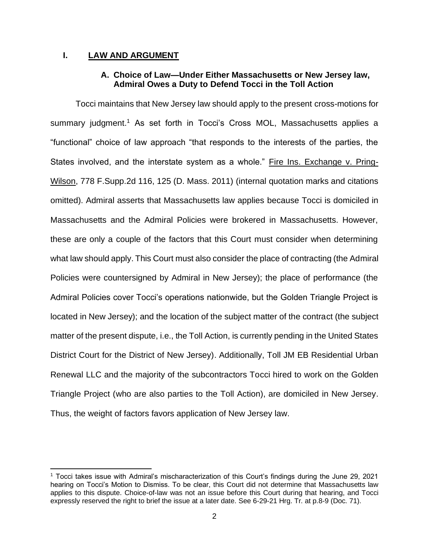#### **I. LAW AND ARGUMENT**

#### **A. Choice of Law**—**Under Either Massachusetts or New Jersey law, Admiral Owes a Duty to Defend Tocci in the Toll Action**

Tocci maintains that New Jersey law should apply to the present cross-motions for summary judgment.<sup>1</sup> As set forth in Tocci's Cross MOL, Massachusetts applies a "functional" choice of law approach "that responds to the interests of the parties, the States involved, and the interstate system as a whole." Fire Ins. Exchange v. Pring-Wilson, 778 F.Supp.2d 116, 125 (D. Mass. 2011) (internal quotation marks and citations omitted). Admiral asserts that Massachusetts law applies because Tocci is domiciled in Massachusetts and the Admiral Policies were brokered in Massachusetts. However, these are only a couple of the factors that this Court must consider when determining what law should apply. This Court must also consider the place of contracting (the Admiral Policies were countersigned by Admiral in New Jersey); the place of performance (the Admiral Policies cover Tocci's operations nationwide, but the Golden Triangle Project is located in New Jersey); and the location of the subject matter of the contract (the subject matter of the present dispute, i.e., the Toll Action, is currently pending in the United States District Court for the District of New Jersey). Additionally, Toll JM EB Residential Urban Renewal LLC and the majority of the subcontractors Tocci hired to work on the Golden Triangle Project (who are also parties to the Toll Action), are domiciled in New Jersey. Thus, the weight of factors favors application of New Jersey law.

<sup>1</sup> Tocci takes issue with Admiral's mischaracterization of this Court's findings during the June 29, 2021 hearing on Tocci's Motion to Dismiss. To be clear, this Court did not determine that Massachusetts law applies to this dispute. Choice-of-law was not an issue before this Court during that hearing, and Tocci expressly reserved the right to brief the issue at a later date. See 6-29-21 Hrg. Tr. at p.8-9 (Doc. 71).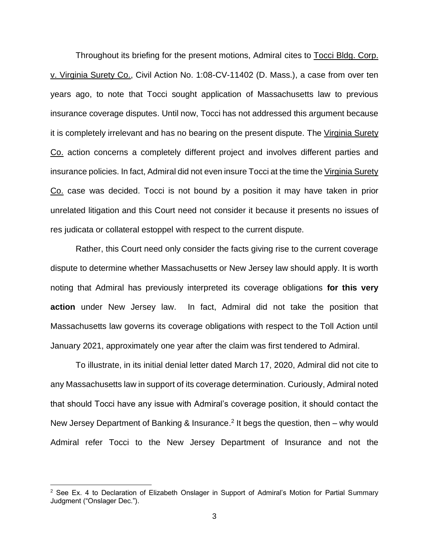Throughout its briefing for the present motions, Admiral cites to Tocci Bldg. Corp. v. Virginia Surety Co., Civil Action No. 1:08-CV-11402 (D. Mass.), a case from over ten years ago, to note that Tocci sought application of Massachusetts law to previous insurance coverage disputes. Until now, Tocci has not addressed this argument because it is completely irrelevant and has no bearing on the present dispute. The Virginia Surety Co. action concerns a completely different project and involves different parties and insurance policies. In fact, Admiral did not even insure Tocci at the time the Virginia Surety Co. case was decided. Tocci is not bound by a position it may have taken in prior unrelated litigation and this Court need not consider it because it presents no issues of res judicata or collateral estoppel with respect to the current dispute.

Rather, this Court need only consider the facts giving rise to the current coverage dispute to determine whether Massachusetts or New Jersey law should apply. It is worth noting that Admiral has previously interpreted its coverage obligations **for this very action** under New Jersey law. In fact, Admiral did not take the position that Massachusetts law governs its coverage obligations with respect to the Toll Action until January 2021, approximately one year after the claim was first tendered to Admiral.

To illustrate, in its initial denial letter dated March 17, 2020, Admiral did not cite to any Massachusetts law in support of its coverage determination. Curiously, Admiral noted that should Tocci have any issue with Admiral's coverage position, it should contact the New Jersey Department of Banking & Insurance.<sup>2</sup> It begs the question, then  $-$  why would Admiral refer Tocci to the New Jersey Department of Insurance and not the

 $2$  See Ex. 4 to Declaration of Elizabeth Onslager in Support of Admiral's Motion for Partial Summary Judgment ("Onslager Dec.").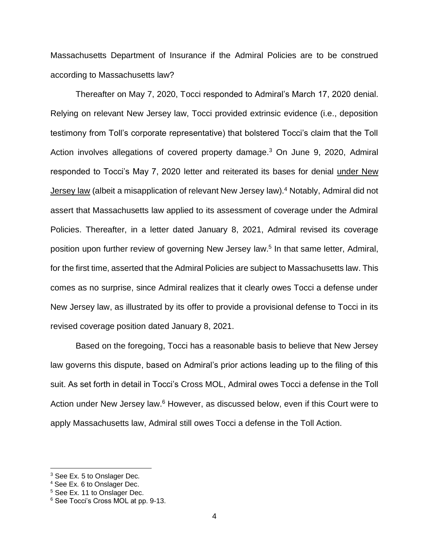Massachusetts Department of Insurance if the Admiral Policies are to be construed according to Massachusetts law?

Thereafter on May 7, 2020, Tocci responded to Admiral's March 17, 2020 denial. Relying on relevant New Jersey law, Tocci provided extrinsic evidence (i.e., deposition testimony from Toll's corporate representative) that bolstered Tocci's claim that the Toll Action involves allegations of covered property damage.<sup>3</sup> On June 9, 2020, Admiral responded to Tocci's May 7, 2020 letter and reiterated its bases for denial under New Jersey law (albeit a misapplication of relevant New Jersey law).<sup>4</sup> Notably, Admiral did not assert that Massachusetts law applied to its assessment of coverage under the Admiral Policies. Thereafter, in a letter dated January 8, 2021, Admiral revised its coverage position upon further review of governing New Jersey law.<sup>5</sup> In that same letter, Admiral, for the first time, asserted that the Admiral Policies are subject to Massachusetts law. This comes as no surprise, since Admiral realizes that it clearly owes Tocci a defense under New Jersey law, as illustrated by its offer to provide a provisional defense to Tocci in its revised coverage position dated January 8, 2021.

Based on the foregoing, Tocci has a reasonable basis to believe that New Jersey law governs this dispute, based on Admiral's prior actions leading up to the filing of this suit. As set forth in detail in Tocci's Cross MOL, Admiral owes Tocci a defense in the Toll Action under New Jersey law.<sup>6</sup> However, as discussed below, even if this Court were to apply Massachusetts law, Admiral still owes Tocci a defense in the Toll Action.

 $3$  See Ex. 5 to Onslager Dec.

<sup>4</sup> See Ex. 6 to Onslager Dec.

<sup>&</sup>lt;sup>5</sup> See Ex. 11 to Onslager Dec.

<sup>&</sup>lt;sup>6</sup> See Tocci's Cross MOL at pp. 9-13.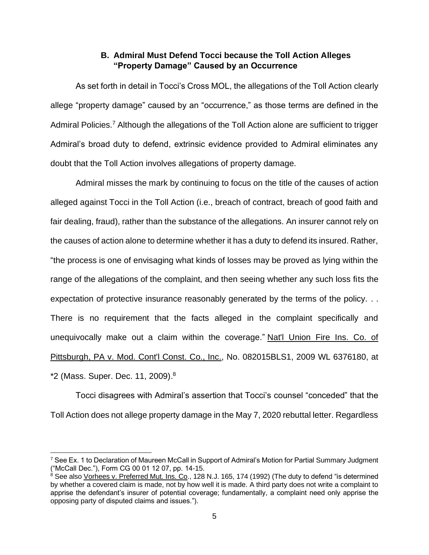# **B. Admiral Must Defend Tocci because the Toll Action Alleges**  "Property Damage" Caused by an Occurrence

As set forth in detail in Tocci's Cross MOL, the allegations of the Toll Action clearly allege "property damage" caused by an "occurrence," as those terms are defined in the Admiral Policies.<sup>7</sup> Although the allegations of the Toll Action alone are sufficient to trigger Admiral's broad duty to defend, extrinsic evidence provided to Admiral eliminates any doubt that the Toll Action involves allegations of property damage.

Admiral misses the mark by continuing to focus on the title of the causes of action alleged against Tocci in the Toll Action (i.e., breach of contract, breach of good faith and fair dealing, fraud), rather than the substance of the allegations. An insurer cannot rely on the causes of action alone to determine whether it has a duty to defend its insured. Rather, "the process is one of envisaging what kinds of losses may be proved as lying within the range of the allegations of the complaint, and then seeing whether any such loss fits the expectation of protective insurance reasonably generated by the terms of the policy. . . There is no requirement that the facts alleged in the complaint specifically and unequivocally make out a claim within the coverage." Nat'l Union Fire Ins. Co. of Pittsburgh, PA v. Mod. Cont'l Const. Co., Inc., No. 082015BLS1, 2009 WL 6376180, at \*2 (Mass. Super. Dec. 11, 2009).<sup>8</sup>

Tocci disagrees with Admiral's assertion that Tocci's counsel "conceded" that the Toll Action does not allege property damage in the May 7, 2020 rebuttal letter. Regardless

<sup>&</sup>lt;sup>7</sup> See Ex. 1 to Declaration of Maureen McCall in Support of Admiral's Motion for Partial Summary Judgment ("McCall Dec."), Form CG 00 01 12 07, pp. 14-15.

<sup>&</sup>lt;sup>8</sup> See also <u>Vorhees v. Preferred Mut. Ins. Co</u>., 128 N.J. 165, 174 (1992) (The duty to defend "is determined by whether a covered claim is made, not by how well it is made. A third party does not write a complaint to apprise the defendant's insurer of potential coverage; fundamentally, a complaint need only apprise the opposing party of disputed claims and issues.").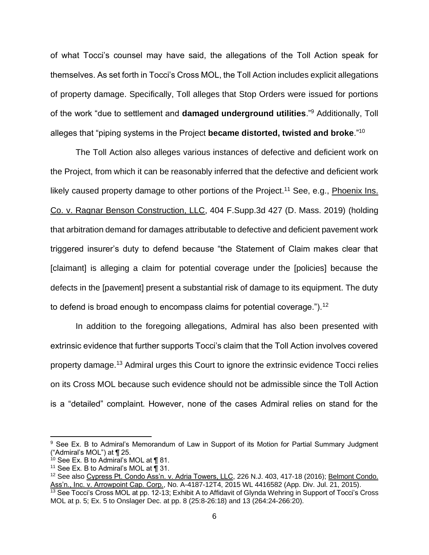of what Tocci's counsel may have said, the allegations of the Toll Action speak for themselves. As set forth in Tocci's Cross MOL, the Toll Action includes explicit allegations of property damage. Specifically, Toll alleges that Stop Orders were issued for portions of the work "due to settlement and **damaged underground utilities**."<sup>9</sup> Additionally, Toll alleges that "piping systems in the Project **became distorted, twisted and broke**."<sup>10</sup>

The Toll Action also alleges various instances of defective and deficient work on the Project, from which it can be reasonably inferred that the defective and deficient work likely caused property damage to other portions of the Project.<sup>11</sup> See, e.g., Phoenix Ins. Co. v. Ragnar Benson Construction, LLC, 404 F.Supp.3d 427 (D. Mass. 2019) (holding that arbitration demand for damages attributable to defective and deficient pavement work triggered insurer's duty to defend because "the Statement of Claim makes clear that [claimant] is alleging a claim for potential coverage under the [policies] because the defects in the [pavement] present a substantial risk of damage to its equipment. The duty to defend is broad enough to encompass claims for potential coverage.").<sup>12</sup>

In addition to the foregoing allegations, Admiral has also been presented with extrinsic evidence that further supports Tocci's claim that the Toll Action involves covered property damage.<sup>13</sup> Admiral urges this Court to ignore the extrinsic evidence Tocci relies on its Cross MOL because such evidence should not be admissible since the Toll Action is a "detailed" complaint. However, none of the cases Admiral relies on stand for the

<sup>&</sup>lt;sup>9</sup> See Ex. B to Admiral's Memorandum of Law in Support of its Motion for Partial Summary Judgment ("Admiral's MOL") at ¶ 25.

 $10$  See Ex. B to Admiral's MOL at  $\P$  81.

<sup>&</sup>lt;sup>11</sup> See Ex. B to Admiral's MOL at  $\overline{1}$  31.

<sup>&</sup>lt;sup>12</sup> See also Cypress Pt. Condo Ass'n. v. Adria Towers, LLC, 226 N.J. 403, 417-18 (2016); Belmont Condo. Ass'n., Inc. v. Arrowpoint Cap. Corp., No. A-4187-12T4, 2015 WL 4416582 (App. Div. Jul. 21, 2015).

<sup>&</sup>lt;sup>13</sup> See Tocci's Cross MOL at pp. 12-13; Exhibit A to Affidavit of Glynda Wehring in Support of Tocci's Cross MOL at p. 5; Ex. 5 to Onslager Dec. at pp. 8 (25:8-26:18) and 13 (264:24-266:20).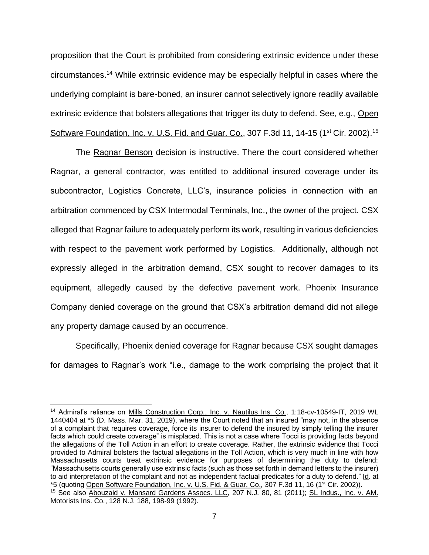proposition that the Court is prohibited from considering extrinsic evidence under these circumstances.<sup>14</sup> While extrinsic evidence may be especially helpful in cases where the underlying complaint is bare-boned, an insurer cannot selectively ignore readily available extrinsic evidence that bolsters allegations that trigger its duty to defend. See, e.g., Open Software Foundation, Inc. v. U.S. Fid. and Guar. Co., 307 F.3d 11, 14-15 (1<sup>st</sup> Cir. 2002).<sup>15</sup>

The Ragnar Benson decision is instructive. There the court considered whether Ragnar, a general contractor, was entitled to additional insured coverage under its subcontractor, Logistics Concrete, LLC's, insurance policies in connection with an arbitration commenced by CSX Intermodal Terminals, Inc., the owner of the project. CSX alleged that Ragnar failure to adequately perform its work, resulting in various deficiencies with respect to the pavement work performed by Logistics. Additionally, although not expressly alleged in the arbitration demand, CSX sought to recover damages to its equipment, allegedly caused by the defective pavement work. Phoenix Insurance Company denied coverage on the ground that CSX's arbitration demand did not allege any property damage caused by an occurrence.

Specifically, Phoenix denied coverage for Ragnar because CSX sought damages for damages to Ragnar's work "i.e., damage to the work comprising the project that it

<sup>&</sup>lt;sup>14</sup> Admiral's reliance on Mills Construction Corp., Inc. v. Nautilus Ins. Co., 1:18-cv-10549-IT, 2019 WL 1440404 at \*5 (D. Mass. Mar. 31, 2019), where the Court noted that an insured "may not, in the absence of a complaint that requires coverage, force its insurer to defend the insured by simply telling the insurer facts which could create coverage" is misplaced. This is not a case where Tocci is providing facts beyond the allegations of the Toll Action in an effort to create coverage. Rather, the extrinsic evidence that Tocci provided to Admiral bolsters the factual allegations in the Toll Action, which is very much in line with how Massachusetts courts treat extrinsic evidence for purposes of determining the duty to defend: "Massachusetts courts generally use extrinsic facts (such as those set forth in demand letters to the insurer) to aid interpretation of the complaint and not as independent factual predicates for a duty to defend." Id. at \*5 (quoting Open Software Foundation, Inc. v. U.S. Fid. & Guar. Co., 307 F.3d 11, 16 (1<sup>st</sup> Cir. 2002)). <sup>15</sup> See also Abouzaid v. Mansard Gardens Assocs. LLC, 207 N.J. 80, 81 (2011); SL Indus., Inc. v. AM. Motorists Ins. Co., 128 N.J. 188, 198-99 (1992).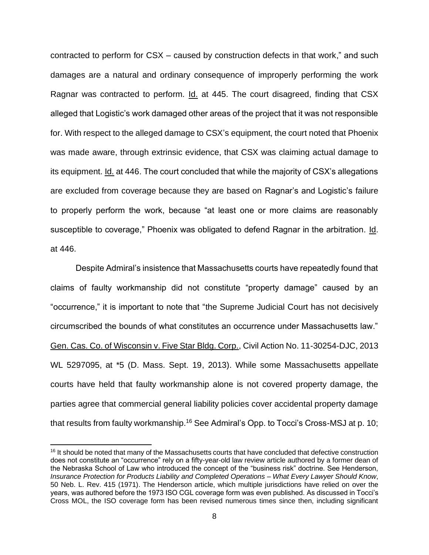contracted to perform for CSX – caused by construction defects in that work," and such damages are a natural and ordinary consequence of improperly performing the work Ragnar was contracted to perform. Id. at 445. The court disagreed, finding that CSX alleged that Logistic's work damaged other areas of the project that it was not responsible for. With respect to the alleged damage to CSX's equipment, the court noted that Phoenix was made aware, through extrinsic evidence, that CSX was claiming actual damage to its equipment. Id. at 446. The court concluded that while the majority of CSX's allegations are excluded from coverage because they are based on Ragnar's and Logistic's failure to properly perform the work, because "at least one or more claims are reasonably susceptible to coverage," Phoenix was obligated to defend Ragnar in the arbitration. Id. at 446.

Despite Admiral's insistence that Massachusetts courts have repeatedly found that claims of faulty workmanship did not constitute "property damage" caused by an "occurrence," it is important to note that "the Supreme Judicial Court has not decisively circumscribed the bounds of what constitutes an occurrence under Massachusetts law." Gen. Cas. Co. of Wisconsin v. Five Star Bldg. Corp., Civil Action No. 11-30254-DJC, 2013 WL 5297095, at \*5 (D. Mass. Sept. 19, 2013). While some Massachusetts appellate courts have held that faulty workmanship alone is not covered property damage, the parties agree that commercial general liability policies cover accidental property damage that results from faulty workmanship.<sup>16</sup> See Admiral's Opp. to Tocci's Cross-MSJ at p. 10;

<sup>&</sup>lt;sup>16</sup> It should be noted that many of the Massachusetts courts that have concluded that defective construction does not constitute an "occurrence" rely on a fifty-year-old law review article authored by a former dean of the Nebraska School of Law who introduced the concept of the "business risk" doctrine. See Henderson, *Insurance Protection for Products Liability and Completed Operations – What Every Lawyer Should Know,* 50 Neb. L. Rev. 415 (1971). The Henderson article, which multiple jurisdictions have relied on over the years, was authored before the 1973 ISO CGL coverage form was even published. As discussed in Tocci's Cross MOL, the ISO coverage form has been revised numerous times since then, including significant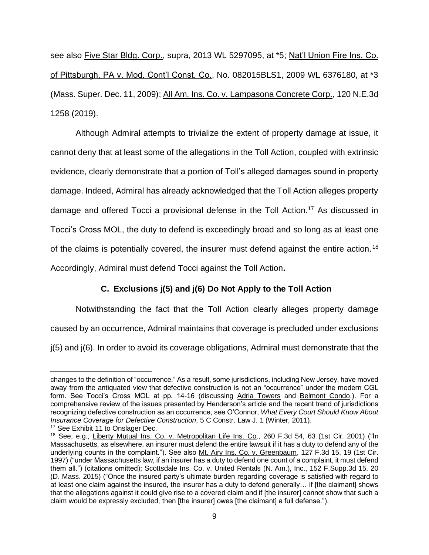see also Five Star Bldg. Corp., supra, 2013 WL 5297095, at \*5; Nat'l Union Fire Ins. Co. of Pittsburgh, PA v. Mod. Cont'l Const. Co., No. 082015BLS1, 2009 WL 6376180, at \*3 (Mass. Super. Dec. 11, 2009); All Am. Ins. Co. v. Lampasona Concrete Corp., 120 N.E.3d 1258 (2019).

Although Admiral attempts to trivialize the extent of property damage at issue, it cannot deny that at least some of the allegations in the Toll Action, coupled with extrinsic evidence, clearly demonstrate that a portion of Toll's alleged damages sound in property damage. Indeed, Admiral has already acknowledged that the Toll Action alleges property damage and offered Tocci a provisional defense in the Toll Action.<sup>17</sup> As discussed in Tocci's Cross MOL, the duty to defend is exceedingly broad and so long as at least one of the claims is potentially covered, the insurer must defend against the entire action.<sup>18</sup> Accordingly, Admiral must defend Tocci against the Toll Action**.**

## **C. Exclusions j(5) and j(6) Do Not Apply to the Toll Action**

Notwithstanding the fact that the Toll Action clearly alleges property damage caused by an occurrence, Admiral maintains that coverage is precluded under exclusions

j(5) and j(6). In order to avoid its coverage obligations, Admiral must demonstrate that the

changes to the definition of "occurrence." As a result, some jurisdictions, including New Jersey, have moved away from the antiquated view that defective construction is not an "occurrence" under the modern CGL form. See Tocci's Cross MOL at pp. 14-16 (discussing Adria Towers and Belmont Condo.). For a comprehensive review of the issues presented by Henderson's article and the recent trend of jurisdictions recognizing defective construction as an occurrence, see O'Connor, *What Every Court Should Know About Insurance Coverage for Defective Construction*, 5 C Constr. Law J. 1 (Winter, 2011).

<sup>&</sup>lt;sup>17</sup> See Exhibit 11 to Onslager Dec.

<sup>&</sup>lt;sup>18</sup> See. e.g., Liberty Mutual Ins. Co. v. Metropolitan Life Ins. Co., 260 F.3d 54, 63 (1st Cir. 2001) ("In Massachusetts, as elsewhere, an insurer must defend the entire lawsuit if it has a duty to defend any of the underlying counts in the complaint."). See also Mt. Airy Ins. Co. v. Greenbaum, 127 F.3d 15, 19 (1st Cir. 1997) ("under Massachusetts law, if an insurer has a duty to defend one count of a complaint, it must defend them all.") (citations omitted); Scottsdale Ins. Co. v. United Rentals (N. Am.), Inc., 152 F.Supp.3d 15, 20 (D. Mass. 2015) ("Once the insured party's ultimate burden regarding coverage is satisfied with regard to at least one claim against the insured, the insurer has a duty to defend generally… if [the claimant] shows that the allegations against it could give rise to a covered claim and if [the insurer] cannot show that such a claim would be expressly excluded, then [the insurer] owes [the claimant] a full defense.").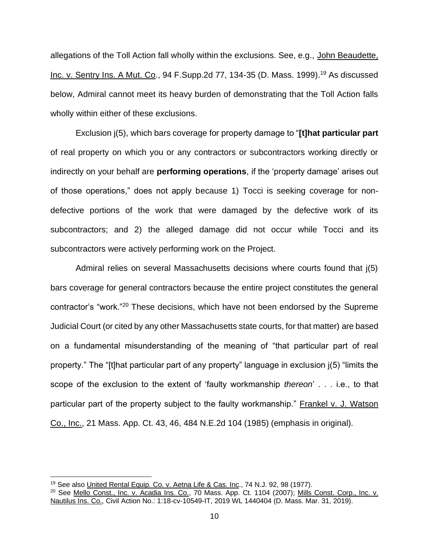allegations of the Toll Action fall wholly within the exclusions. See, e.g., John Beaudette, Inc. v. Sentry Ins. A Mut. Co., 94 F.Supp.2d 77, 134-35 (D. Mass. 1999).<sup>19</sup> As discussed below, Admiral cannot meet its heavy burden of demonstrating that the Toll Action falls wholly within either of these exclusions.

Exclusion j(5), which bars coverage for property damage to "**[t]hat particular part**  of real property on which you or any contractors or subcontractors working directly or indirectly on your behalf are **performing operations**, if the 'property damage' arises out of those operations," does not apply because 1) Tocci is seeking coverage for nondefective portions of the work that were damaged by the defective work of its subcontractors; and 2) the alleged damage did not occur while Tocci and its subcontractors were actively performing work on the Project.

Admiral relies on several Massachusetts decisions where courts found that j(5) bars coverage for general contractors because the entire project constitutes the general contractor's "work."<sup>20</sup> These decisions, which have not been endorsed by the Supreme Judicial Court (or cited by any other Massachusetts state courts, for that matter) are based on a fundamental misunderstanding of the meaning of "that particular part of real property." The "[t]hat particular part of any property" language in exclusion j(5) "limits the scope of the exclusion to the extent of 'faulty workmanship *thereon*' . . . i.e., to that particular part of the property subject to the faulty workmanship." Frankel v. J. Watson Co., Inc., 21 Mass. App. Ct. 43, 46, 484 N.E.2d 104 (1985) (emphasis in original).

<sup>&</sup>lt;sup>19</sup> See also United Rental Equip. Co. v. Aetna Life & Cas. Inc., 74 N.J. 92, 98 (1977).

<sup>&</sup>lt;sup>20</sup> See Mello Const., Inc. v. Acadia Ins. Co., 70 Mass. App. Ct. 1104 (2007); Mills Const. Corp., Inc. v. Nautilus Ins. Co., Civil Action No.: 1:18-cv-10549-IT, 2019 WL 1440404 (D. Mass. Mar. 31, 2019).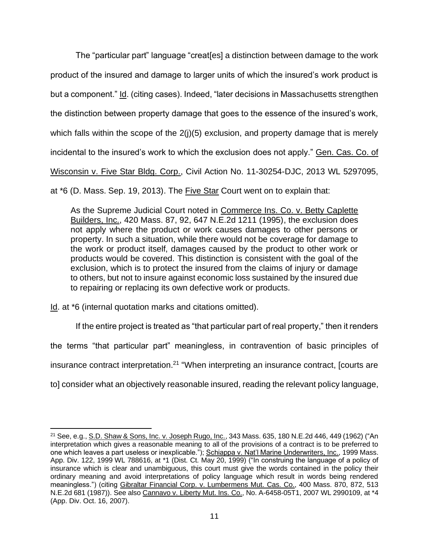The "particular part" language "creat[es] a distinction between damage to the work product of the insured and damage to larger units of which the insured's work product is but a component." Id. (citing cases). Indeed, "later decisions in Massachusetts strengthen the distinction between property damage that goes to the essence of the insured's work, which falls within the scope of the 2(j)(5) exclusion, and property damage that is merely incidental to the insured's work to which the exclusion does not apply." Gen. Cas. Co. of Wisconsin v. Five Star Bldg. Corp., Civil Action No. 11-30254-DJC, 2013 WL 5297095,

at \*6 (D. Mass. Sep. 19, 2013). The Five Star Court went on to explain that:

As the Supreme Judicial Court noted in Commerce Ins. Co. v. Betty Caplette Builders, Inc., 420 Mass. 87, 92, 647 N.E.2d 1211 (1995), the exclusion does not apply where the product or work causes damages to other persons or property. In such a situation, while there would not be coverage for damage to the work or product itself, damages caused by the product to other work or products would be covered. This distinction is consistent with the goal of the exclusion, which is to protect the insured from the claims of injury or damage to others, but not to insure against economic loss sustained by the insured due to repairing or replacing its own defective work or products.

Id. at \*6 (internal quotation marks and citations omitted).

If the entire project is treated as "that particular part of real property," then it renders

the terms "that particular part" meaningless, in contravention of basic principles of

insurance contract interpretation.<sup>21</sup> "When interpreting an insurance contract, [courts are

to] consider what an objectively reasonable insured, reading the relevant policy language,

<sup>21</sup> See, e.g., S.D. Shaw & Sons, Inc. v. Joseph Rugo, Inc., 343 Mass. 635, 180 N.E.2d 446, 449 (1962) ("An interpretation which gives a reasonable meaning to all of the provisions of a contract is to be preferred to one which leaves a part useless or inexplicable."); Schiappa v. Nat'l Marine Underwriters, Inc., 1999 Mass. App. Div. 122, 1999 WL 788616, at \*1 (Dist. Ct. May 20, 1999) ("In construing the language of a policy of insurance which is clear and unambiguous, this court must give the words contained in the policy their ordinary meaning and avoid interpretations of policy language which result in words being rendered meaningless.") (citing Gibraltar Financial Corp. v. Lumbermens Mut. Cas. Co., 400 Mass. 870, 872, 513 N.E.2d 681 (1987)). See also Cannavo v. Liberty Mut. Ins. Co., No. A-6458-05T1, 2007 WL 2990109, at \*4 (App. Div. Oct. 16, 2007).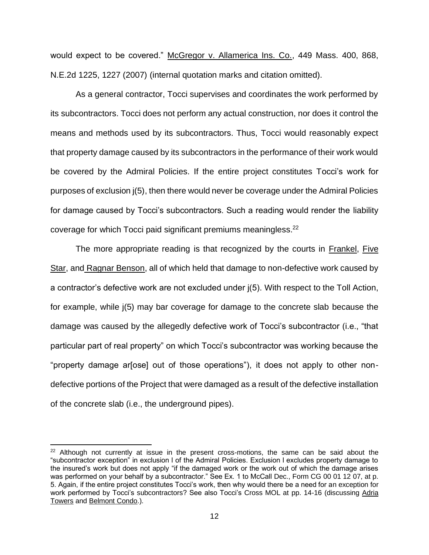would expect to be covered." McGregor v. Allamerica Ins. Co., 449 Mass. 400, 868, N.E.2d 1225, 1227 (2007) (internal quotation marks and citation omitted).

As a general contractor, Tocci supervises and coordinates the work performed by its subcontractors. Tocci does not perform any actual construction, nor does it control the means and methods used by its subcontractors. Thus, Tocci would reasonably expect that property damage caused by its subcontractors in the performance of their work would be covered by the Admiral Policies. If the entire project constitutes Tocci's work for purposes of exclusion j(5), then there would never be coverage under the Admiral Policies for damage caused by Tocci's subcontractors. Such a reading would render the liability coverage for which Tocci paid significant premiums meaningless.<sup>22</sup>

The more appropriate reading is that recognized by the courts in Frankel, Five Star, and Ragnar Benson, all of which held that damage to non-defective work caused by a contractor's defective work are not excluded under j(5). With respect to the Toll Action, for example, while j(5) may bar coverage for damage to the concrete slab because the damage was caused by the allegedly defective work of Tocci's subcontractor (i.e., "that particular part of real property" on which Tocci's subcontractor was working because the "property damage ar[ose] out of those operations"), it does not apply to other nondefective portions of the Project that were damaged as a result of the defective installation of the concrete slab (i.e., the underground pipes).

 $22$  Although not currently at issue in the present cross-motions, the same can be said about the "subcontractor exception" in exclusion l of the Admiral Policies. Exclusion l excludes property damage to the insured's work but does not apply "if the damaged work or the work out of which the damage arises was performed on your behalf by a subcontractor." See Ex. 1 to McCall Dec., Form CG 00 01 12 07, at p. 5. Again, if the entire project constitutes Tocci's work, then why would there be a need for an exception for work performed by Tocci's subcontractors? See also Tocci's Cross MOL at pp. 14-16 (discussing Adria Towers and Belmont Condo.).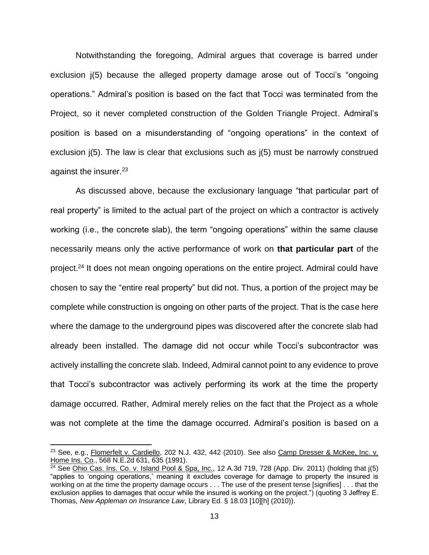Notwithstanding the foregoing, Admiral argues that coverage is barred under exclusion j(5) because the alleged property damage arose out of Tocci's "ongoing operations." Admiral's position is based on the fact that Tocci was terminated from the Project, so it never completed construction of the Golden Triangle Project. Admiral's position is based on a misunderstanding of "ongoing operations" in the context of exclusion j(5). The law is clear that exclusions such as j(5) must be narrowly construed against the insurer.<sup>23</sup>

As discussed above, because the exclusionary language "that particular part of real property" is limited to the actual part of the project on which a contractor is actively working (i.e., the concrete slab), the term "ongoing operations" within the same clause necessarily means only the active performance of work on **that particular part** of the project.<sup>24</sup> It does not mean ongoing operations on the entire project. Admiral could have chosen to say the "entire real property" but did not. Thus, a portion of the project may be complete while construction is ongoing on other parts of the project. That is the case here where the damage to the underground pipes was discovered after the concrete slab had already been installed. The damage did not occur while Tocci's subcontractor was actively installing the concrete slab. Indeed, Admiral cannot point to any evidence to prove that Tocci's subcontractor was actively performing its work at the time the property damage occurred. Rather, Admiral merely relies on the fact that the Project as a whole was not complete at the time the damage occurred. Admiral's position is based on a

<sup>&</sup>lt;sup>23</sup> See, e.g., Flomerfelt v. Cardiello, 202 N.J. 432, 442 (2010). See also Camp Dresser & McKee, Inc. v. Home Ins. Co., 568 N.E.2d 631, 635 (1991).

<sup>&</sup>lt;sup>24</sup> See Ohio Cas. Ins. Co. v. Island Pool & Spa, Inc., 12 A.3d 719, 728 (App. Div. 2011) (holding that  $j(5)$ "applies to 'ongoing operations,' meaning it excludes coverage for damage to property the insured is working on at the time the property damage occurs . . . The use of the present tense [signifies] . . . that the exclusion applies to damages that occur while the insured is working on the project.") (quoting 3 Jeffrey E. Thomas, *New Appleman on Insurance Law*, Library Ed. § 18.03 [10][h] (2010)).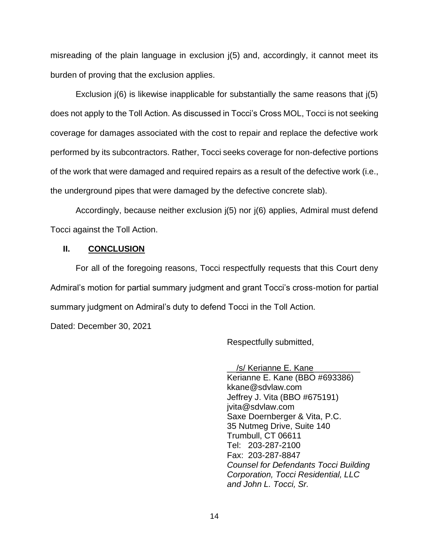misreading of the plain language in exclusion j(5) and, accordingly, it cannot meet its burden of proving that the exclusion applies.

Exclusion j(6) is likewise inapplicable for substantially the same reasons that j(5) does not apply to the Toll Action. As discussed in Tocci's Cross MOL, Tocci is not seeking coverage for damages associated with the cost to repair and replace the defective work performed by its subcontractors. Rather, Tocci seeks coverage for non-defective portions of the work that were damaged and required repairs as a result of the defective work (i.e., the underground pipes that were damaged by the defective concrete slab).

Accordingly, because neither exclusion j(5) nor j(6) applies, Admiral must defend Tocci against the Toll Action.

## **II. CONCLUSION**

For all of the foregoing reasons, Tocci respectfully requests that this Court deny Admiral's motion for partial summary judgment and grant Tocci's cross-motion for partial summary judgment on Admiral's duty to defend Tocci in the Toll Action.

Dated: December 30, 2021

Respectfully submitted,

/s/ Kerianne E. Kane Kerianne E. Kane (BBO #693386) kkane@sdvlaw.com Jeffrey J. Vita (BBO #675191) jvita@sdvlaw.com Saxe Doernberger & Vita, P.C. 35 Nutmeg Drive, Suite 140 Trumbull, CT 06611 Tel: 203-287-2100 Fax: 203-287-8847 *Counsel for Defendants Tocci Building Corporation, Tocci Residential, LLC and John L. Tocci, Sr.*